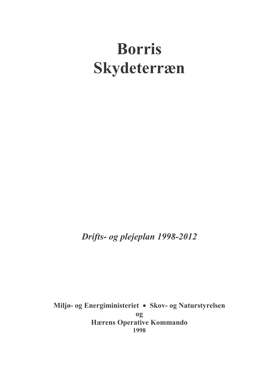# **Borris** Skydeterræn

Drifts- og plejeplan 1998-2012

Miljø- og Energiministeriet • Skov- og Naturstyrelsen og **Hærens Operative Kommando** 1998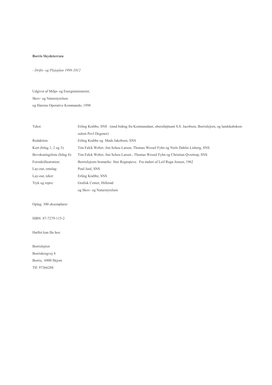#### **Borris Skydeterræn**

- Drifts- og Plejeplan 1998-2012

Udgivet af Miljø- og Energiministeriet, Skov- og Naturstyrelsen og Hærens Operative Kommando, 1998

| Tekst:                       | Erling Krabbe, SNS (med bidrag fra Kommandant, oberstløjtnant S.S. Jacobsen, Borrislejren, og landskabskon- |
|------------------------------|-------------------------------------------------------------------------------------------------------------|
|                              | sulent Povl Degener)                                                                                        |
| Redaktion:                   | Erling Krabbe og Mads Jakobsen, SNS                                                                         |
| Kort (bilag $1, 2$ og $3$ ): | Tim Falck Weber, Jim Schou Larsen, Thomas Wessel Fyhn og Niels Dahlin Lisborg, SNS                          |
| Bevoksningsliste (bilag 4):  | Tim Falck Weber, Jim Schou Larsen, Thomas Wessel Fyhn og Christian Qvortrup, SNS                            |
| Forsideillustration:         | Borrislejrens bomærke: Stor Regnspove. Fra maleri af Leif Ragn Jensen, 1962                                 |
| Lay-out, omslag:             | Poul Juul, SNS                                                                                              |
| Lay-out, tekst:              | Erling Krabbe, SNS                                                                                          |
| Tryk og repro:               | Grafisk Center, Hillerød                                                                                    |
|                              | og Skov- og Naturstyrelsen                                                                                  |
|                              |                                                                                                             |
| Oplag: 300 eksemplarer       |                                                                                                             |
|                              |                                                                                                             |
| ISBN: 87-7279-115-2          |                                                                                                             |
|                              |                                                                                                             |
| Hæftet kan fås hos:          |                                                                                                             |
|                              |                                                                                                             |
| Borrislejren                 |                                                                                                             |
| Borriskrogvej 4              |                                                                                                             |
| Borris, 6900 Skjern          |                                                                                                             |

Tlf: 97366288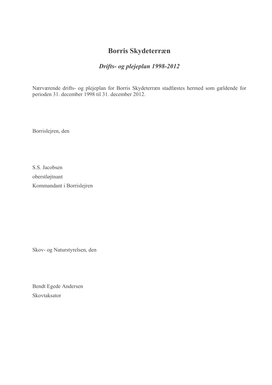## **Borris Skydeterræn**

## Drifts- og plejeplan 1998-2012

Nærværende drifts- og plejeplan for Borris Skydeterræn stadfæstes hermed som gældende for perioden 31. december 1998 til 31. december 2012.

Borrislejren, den

S.S. Jacobsen oberstløjtnant Kommandant i Borrislejren

Skov- og Naturstyrelsen, den

Bendt Egede Andersen Skovtaksator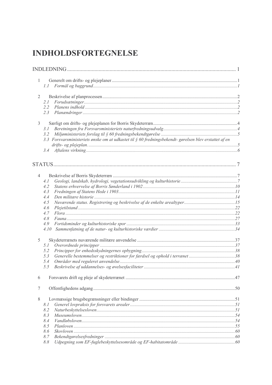## **INDHOLDSFORTEGNELSE**

| $\mathbf{1}$<br>1.1<br>$\overline{2}$<br>2.1<br>$2.2^{\circ}$<br>2.3<br>$\overline{3}$<br>3.1<br>3.2<br>3.3 Forsvarsministeriets ønske om at udkastet til $\S$ 60 fredningsbekendt- gørelsen blev erstattet af en<br>4<br>4.1<br>4.2<br>4.3<br>4.4<br>4.5<br>4.6<br>4.7<br>4.8<br>4.9<br>4.10<br>5<br>5.1<br>5.2<br>Generelle bestemmelser og restriktioner for færdsel og ophold i terrænet38<br>5.3<br>5.4<br>5.5<br>6<br>$\tau$<br>$\,$ 8 $\,$<br>8.1<br>8.2<br>8.3<br>8.4<br>8.5<br>8.6<br>8.7 |  |  |
|----------------------------------------------------------------------------------------------------------------------------------------------------------------------------------------------------------------------------------------------------------------------------------------------------------------------------------------------------------------------------------------------------------------------------------------------------------------------------------------------------|--|--|
|                                                                                                                                                                                                                                                                                                                                                                                                                                                                                                    |  |  |
|                                                                                                                                                                                                                                                                                                                                                                                                                                                                                                    |  |  |
|                                                                                                                                                                                                                                                                                                                                                                                                                                                                                                    |  |  |
|                                                                                                                                                                                                                                                                                                                                                                                                                                                                                                    |  |  |
|                                                                                                                                                                                                                                                                                                                                                                                                                                                                                                    |  |  |
|                                                                                                                                                                                                                                                                                                                                                                                                                                                                                                    |  |  |
|                                                                                                                                                                                                                                                                                                                                                                                                                                                                                                    |  |  |
|                                                                                                                                                                                                                                                                                                                                                                                                                                                                                                    |  |  |
|                                                                                                                                                                                                                                                                                                                                                                                                                                                                                                    |  |  |
|                                                                                                                                                                                                                                                                                                                                                                                                                                                                                                    |  |  |
|                                                                                                                                                                                                                                                                                                                                                                                                                                                                                                    |  |  |
|                                                                                                                                                                                                                                                                                                                                                                                                                                                                                                    |  |  |
|                                                                                                                                                                                                                                                                                                                                                                                                                                                                                                    |  |  |
|                                                                                                                                                                                                                                                                                                                                                                                                                                                                                                    |  |  |
|                                                                                                                                                                                                                                                                                                                                                                                                                                                                                                    |  |  |
|                                                                                                                                                                                                                                                                                                                                                                                                                                                                                                    |  |  |
|                                                                                                                                                                                                                                                                                                                                                                                                                                                                                                    |  |  |
|                                                                                                                                                                                                                                                                                                                                                                                                                                                                                                    |  |  |
|                                                                                                                                                                                                                                                                                                                                                                                                                                                                                                    |  |  |
|                                                                                                                                                                                                                                                                                                                                                                                                                                                                                                    |  |  |
|                                                                                                                                                                                                                                                                                                                                                                                                                                                                                                    |  |  |
|                                                                                                                                                                                                                                                                                                                                                                                                                                                                                                    |  |  |
|                                                                                                                                                                                                                                                                                                                                                                                                                                                                                                    |  |  |
|                                                                                                                                                                                                                                                                                                                                                                                                                                                                                                    |  |  |
|                                                                                                                                                                                                                                                                                                                                                                                                                                                                                                    |  |  |
|                                                                                                                                                                                                                                                                                                                                                                                                                                                                                                    |  |  |
|                                                                                                                                                                                                                                                                                                                                                                                                                                                                                                    |  |  |
|                                                                                                                                                                                                                                                                                                                                                                                                                                                                                                    |  |  |
|                                                                                                                                                                                                                                                                                                                                                                                                                                                                                                    |  |  |
|                                                                                                                                                                                                                                                                                                                                                                                                                                                                                                    |  |  |
|                                                                                                                                                                                                                                                                                                                                                                                                                                                                                                    |  |  |
|                                                                                                                                                                                                                                                                                                                                                                                                                                                                                                    |  |  |
|                                                                                                                                                                                                                                                                                                                                                                                                                                                                                                    |  |  |
|                                                                                                                                                                                                                                                                                                                                                                                                                                                                                                    |  |  |
|                                                                                                                                                                                                                                                                                                                                                                                                                                                                                                    |  |  |
|                                                                                                                                                                                                                                                                                                                                                                                                                                                                                                    |  |  |
|                                                                                                                                                                                                                                                                                                                                                                                                                                                                                                    |  |  |
|                                                                                                                                                                                                                                                                                                                                                                                                                                                                                                    |  |  |
|                                                                                                                                                                                                                                                                                                                                                                                                                                                                                                    |  |  |
|                                                                                                                                                                                                                                                                                                                                                                                                                                                                                                    |  |  |
|                                                                                                                                                                                                                                                                                                                                                                                                                                                                                                    |  |  |
| 8.8                                                                                                                                                                                                                                                                                                                                                                                                                                                                                                |  |  |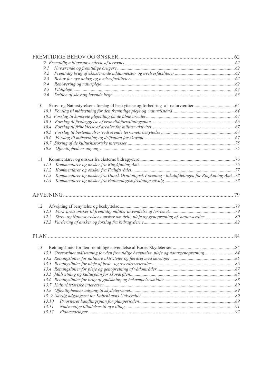| 9.1   |                                                                                              |  |
|-------|----------------------------------------------------------------------------------------------|--|
| 9.2   |                                                                                              |  |
| 9.3   |                                                                                              |  |
| 9.4   |                                                                                              |  |
| 9.5   |                                                                                              |  |
| 9.6   |                                                                                              |  |
| 10    |                                                                                              |  |
|       |                                                                                              |  |
|       |                                                                                              |  |
|       |                                                                                              |  |
|       |                                                                                              |  |
|       |                                                                                              |  |
|       |                                                                                              |  |
|       |                                                                                              |  |
|       |                                                                                              |  |
| 11 -  |                                                                                              |  |
|       |                                                                                              |  |
|       |                                                                                              |  |
| 11.3  | Kommentarer og ønsker fra Dansk Ornitologisk Forening - lokalafdelingen for Ringkøbing Amt78 |  |
|       |                                                                                              |  |
|       |                                                                                              |  |
|       |                                                                                              |  |
| 12    |                                                                                              |  |
|       |                                                                                              |  |
|       |                                                                                              |  |
|       |                                                                                              |  |
|       |                                                                                              |  |
| 13    |                                                                                              |  |
|       |                                                                                              |  |
|       | 13.1 Overordnet målsætning for den fremtidige benyttelse, pleje og naturgenopretning         |  |
|       |                                                                                              |  |
|       |                                                                                              |  |
|       |                                                                                              |  |
|       |                                                                                              |  |
|       |                                                                                              |  |
|       |                                                                                              |  |
|       |                                                                                              |  |
| 13.10 |                                                                                              |  |
| 13.11 |                                                                                              |  |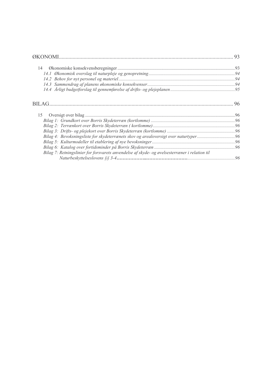|                                                                                               | 93 |
|-----------------------------------------------------------------------------------------------|----|
| 14                                                                                            |    |
|                                                                                               |    |
|                                                                                               |    |
|                                                                                               |    |
|                                                                                               |    |
| BILAG.                                                                                        | 96 |
| 15                                                                                            |    |
|                                                                                               |    |
|                                                                                               |    |
|                                                                                               |    |
| Bilag 4: Bevoksningsliste for skydeterrænets skov og arealoversigt over naturtyper96          |    |
|                                                                                               |    |
|                                                                                               |    |
| Bilag 7: Retningslinier for forsvarets anvendelse af skyde- og øvelsesterræner i relation til |    |
|                                                                                               |    |
|                                                                                               |    |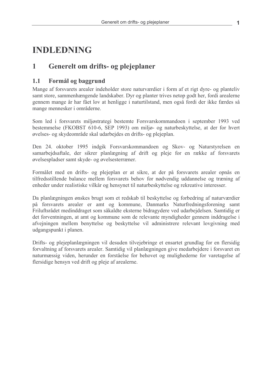## **INDLEDNING**

#### $\mathbf{1}$ Generelt om drifts- og plejeplaner

#### $1.1$ Formål og baggrund

Mange af forsvarets arealer indeholder store naturværdier i form af et rigt dyre- og planteliv samt store, sammenhængende landskaber. Dyr og planter trives netop godt her, fordi arealerne gennem mange år har fået lov at henligge i naturtilstand, men også fordi der ikke færdes så mange mennesker i områderne.

Som led i forsvarets miljøstrategi bestemte Forsvarskommandoen i september 1993 ved bestemmelse (FKOBST 610-6, SEP 1993) om miljø- og naturbeskyttelse, at der for hvert øvelses- og skydeområde skal udarbejdes en drifts- og plejeplan.

Den 24. oktober 1995 indgik Forsvarskommandoen og Skov- og Naturstyrelsen en samarbeidsaftale, der sikrer planlægning af drift og pleje for en række af forsvarets øvelsespladser samt skyde- og øvelsesterræner.

Formålet med en drifts- og plejeplan er at sikre, at der på forsvarets arealer opnås en tilfredsstillende balance mellem forsvarets behov for nødvendig uddannelse og træning af enheder under realistiske vilkår og hensynet til naturbeskyttelse og rekreative interesser.

Da planlægningen ønskes brugt som et redskab til beskyttelse og forbedring af naturværdier på forsvarets arealer er amt og kommune, Danmarks Naturfredningsforening samt Friluftsrådet medinddraget som såkaldte eksterne bidragydere ved udarbejdelsen. Samtidig er det forventningen, at amt og kommune som de relevante myndigheder gennem inddragelse i afvejningen mellem benyttelse og beskyttelse vil administrere relevant lovgivning med udgangspunkt i planen.

Drifts- og plejeplanlægningen vil desuden tilvejebringe et ensartet grundlag for en flersidig forvaltning af forsvarets arealer. Samtidig vil planlægningen give medarbejdere i forsvaret en naturmæssig viden, herunder en forståelse for behovet og mulighederne for varetagelse af flersidige hensyn ved drift og pleje af arealerne.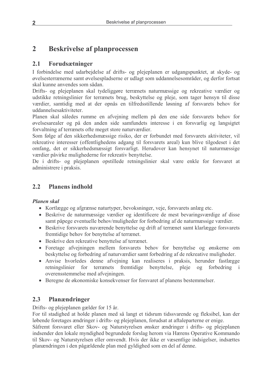#### **Beskrivelse af planprocessen**  $\overline{2}$

#### $2.1$ Forudsætninger

I forbindelse med udarbejdelse af drifts- og plejeplanen er udgangspunktet, at skyde- og øvelsesterrænerne samt øvelsespladserne er udlagt som uddannelsesområder, og derfor fortsat skal kunne anvendes som sådan.

Drifts- og plejeplanen skal tydeliggøre terrænets naturmæssige og rekreative værdier og udstikke retningslinier for terrænets brug, beskyttelse og pleje, som tager hensyn til disse værdier, samtidig med at der opnås en tilfredsstillende løsning af forsvarets behov for uddannelsesaktiviteter.

Planen skal således rumme en afvejning mellem på den ene side forsvarets behov for øvelsesarealer og på den anden side samfundets interesse i en forsvarlig og langsigtet forvaltning af terrænets ofte meget store naturværdier.

Som følge af den sikkerhedsmæssige risiko, der er forbundet med forsvarets aktiviteter, vil rekreative interesser (offentlighedens adgang til forsvarets areal) kun blive tilgodeset i det omfang, det er sikkerhedsmæssigt forsvarligt. Herudover kan hensynet til naturmæssige værdier påvirke mulighederne for rekreativ benyttelse.

De i drifts- og plejeplanen opstillede retningslinier skal være enkle for forsvaret at administrere i praksis.

#### $2.2$ **Planens indhold**

## **Planen** skal

- Kortlægge og afgrænse naturtyper, bevoksninger, veje, forsvarets anlæg etc.
- Beskrive de naturmæssige værdier og identificere de mest bevaringsværdige af disse samt påpege eventuelle behov/muligheder for forbedring af de naturmæssige værdier.
- Beskrive forsvarets nuværende benyttelse og drift af terrænet samt klarlægge forsvarets fremtidige behov for benyttelse af terrænet.
- Beskrive den rekreative benyttelse af terrænet.
- Foretage afvejningen mellem forsvarets behov for benyttelse og ønskerne om beskyttelse og forbedring af naturværdier samt forbedring af de rekreative muligheder.
- Anvise hvorledes denne afvejning kan realiseres i praksis, herunder fastlægge terrænets fremtidige benyttelse, pleje og forbedring *i* retningslinier for overensstemmelse med afvejningen.
- Beregne de økonomiske konsekvenser for forsvaret af planens bestemmelser.

#### $2.3$ Planændringer

Drifts- og plejeplanen gælder for 15 år.

For til stadighed at holde planen med så langt et tidsrum tidssvarende og fleksibel, kan der løbende foretages ændringer i drifts- og plejeplanen, forudsat at aftaleparterne er enige.

Såfremt forsvaret eller Skov- og Naturstyrelsen ønsker ændringer i drifts- og plejeplanen indsender den lokale myndighed begrundede forslag herom via Hærens Operative Kommando til Skov- og Naturstyrelsen eller omvendt. Hvis der ikke er væsentlige indsigelser, indsættes planændringen i den pågældende plan med gyldighed som en del af denne.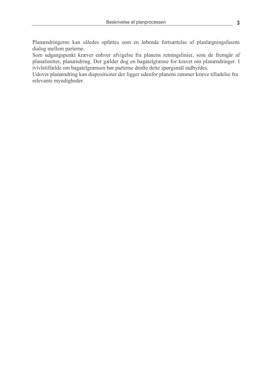Planændringerne kan således opfattes som en løbende fortsættelse af planlægningsfasens dialog mellem parterne.

Som udgangspunkt kræver enhver afvigelse fra planens retningslinier, som de fremgår af planafsnittet, planændring. Der gælder dog en bagatelgrænse for kravet om planændringer. I tvivlstilfælde om bagatelgrænsen bør parterne drøfte dette spørgsmål indbyrdes.

Udover planændring kan dispositioner der ligger udenfor planens rammer kræve tilladelse fra relevante myndigheder.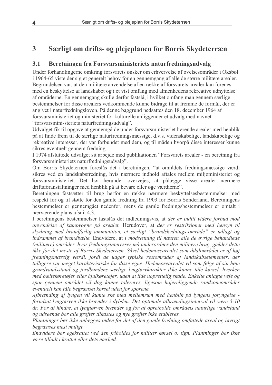#### $\overline{3}$ Særligt om drifts- og plejeplanen for Borris Skydeterræn

#### $3.1$ Beretningen fra Forsvarsministeriets naturfredningsudvalg

Under forhandlingerne omkring forsvarets ønsker om erhvervelse af øvelsesområder i Oksbøl i 1964-65 viste der sig et generelt behov for en gennemgang af alle de større militære arealer. Begrundelsen var, at den militære anvendelse af en række af forsvarets arealer kan forenes med en beskyttelse af landskabet og i et vist omfang med almenhedens rekreative udnyttelse af områderne. En gennemgang skulle derfor fastslå, i hvilket omfang man gennem særlige bestemmelser for disse arealers vedkommende kunne bidrage til at fremme de formål, der er angivet i naturfredningsloven. På denne baggrund nedsattes den 18. december 1964 af forsvarsministeriet og ministeriet for kulturelle anliggender et udvalg med navnet "forsvarsmini-steriets naturfredningsudvalg".

Udvalget fik til opgave at gennemgå de under forsvarsministeriet hørende arealer med henblik på at finde frem til de særlige naturfredningsmæssige, d.v.s. videnskabelige, landskabelige og rekreative interesser, der var forbundet med dem, og til måden hvorpå disse interesser kunne sikres eventuelt gennem fredning.

I 1974 afsluttede udvalget sit arbejde med publikationen "Forsvarets arealer - en beretning fra forsvarsministeriets naturfredningsudvalg".

Om Borris Skydeterræn foreslås det i beretningen, "at områdets fredningsmæssige værdi sikres ved en landskabsfredning, hvis nærmere indhold aftales mellem miljøministeriet og forsvarsministeriet. Det bør herunder overvejes, at pålægge visse arealer nærmere driftsforanstaltninger med henblik på at bevare eller øge værdierne".

Beretningen fastsætter til brug herfor en række nærmere beskyttelsesbestemmelser med respekt for og til støtte for den gamle fredning fra 1903 for Borris Sønderland. Beretningens bestemmelser er gennemgået nedenfor, mens de gamle fredningsbestemmelser er omtalt i nærværende plans afsnit 4.3.

I beretningens bestemmelser fastslås det indledningsvis, at der er indtil videre forbud mod anvendelse af kampvogne på arealet. Herudover, at der er restriktioner med hensyn til skydning med brandfarlig ammunition, et særligt "brandskydnings-område" er udlagt og indrammet af brandbælte. Endvidere, at i modsætning til næsten alle de øvrige behandlede (militære) områder, hvor fredningsinteresser må underordnes den militære brug, gælder dette ikke for det meste af Borris Skydeterræn. Såvel hedemosearealet som ådalområdet er af høj fredningsmæssig værdi, fordi de udgør typiske restområder af landskabselementer, der tidligere var meget karakteristiske for disse egne. Hedemosearealet vil som følge af sin høje grundvandsstand og jordbundens særlige lyngtørvkarakter ikke kunne tåle kørsel, hverken med bæltekøretøjer eller hjulkøretøjer, uden at lide uoprettelig skade. Enkelte anlagte veje og spor gennem området vil dog kunne tolereres, ligesom højereliggende randzoneområder eventuelt kan tåle begrænset kørsel uden for sporene.

Afbrænding af lyngen vil kunne ske med mellemrum med henblik på lyngens foryngelse forudsat lyngtørven ikke brænder i dybden. Det optimale afbrændingsinterval vil være 5-10 år. For at hindre, at lyngtørven brænder og for at opretholde områdets naturlige vandstand og udseende bør alle grøfter tilkastes og nye grøfter ikke etableres.

Plantninger bør ikke anlægges inden for det af den gamle fredning omfattede areal og iøvrigt begrænses mest muligt.

Endvidere bør egekrattet ved åen friholdes for militær kørsel o. lign. Plantninger bør ikke være tilladt i krattet eller dets nærhed.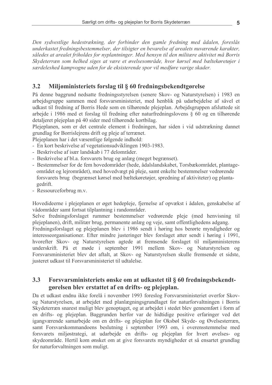Den sydvestlige hedestrækning, der forbinder den gamle fredning med ådalen, foreslås underkastet fredningsbestemmelser, der tilsigter en bevarelse af arealets nuværende karakter, således at arealet friholdes for nyplantninger. Med hensyn til den militære aktivitet må Borris Skydeterræn som helhed siges at være et øvelsesområde, hvor kørsel med bæltekøretøjer i særdeleshed kampvogne uden for de eksisterende spor vil medføre varige skader.

#### $3.2$ Miljøministeriets forslag til § 60 fredningsbekendtgørelse

På denne baggrund nedsatte fredningsstyrelsen (senere Skov- og Naturstyrelsen) i 1983 en arbejdsgruppe sammen med forsvarsministeriet, med henblik på udarbejdelse af såvel et udkast til fredning af Borris Hede som en tilhørende plejeplan. Arbejdsgruppen afsluttede sit arbejde i 1986 med et forslag til fredning efter naturfredningslovens § 60 og en tilhørende detaljeret plejeplan på 40 sider med tilhørende kortbilag.

Plejeplanen, som er det centrale element i fredningen, har siden i vid udstrækning dannet grundlag for Borrislejrens drift og pleje af terrænet.

Plejeplanen har i det væsentlige følgende indhold:

- En kort beskrivelse af vegetationsudviklingen 1903-1983.
- Beskrivelse af især landskab i 77 delområder.
- Beskrivelse af bl.a. forsvarets brug og anlæg (meget begrænset).
- Bestemmelser for de fem hovedområder (hede, ådalslandskabet, Torsbækområdet, plantageområdet og lejrområdet), med hovedvægt på pleje, samt enkelte bestemmelser vedrørende forsvarets brug (begrænset kørsel med bæltekøretøjer, spredning af aktiviteter) og plantagedrift.
- Ressourceforbrug m.v.

Hovedideerne i plejeplanen er øget hedepleje, fjernelse af opvækst i ådalen, genskabelse af vådområder samt fortsat tilplantning i randområder.

Selve fredningsforslaget rummer bestemmelser vedrørende pleje (med henvisning til plejeplanen), drift, militær brug, permanente anlæg og veje, samt offentlighedens adgang. Fredningsforslaget og plejeplanen blev i 1986 sendt i høring hos berørte myndigheder og interesseorganisationer. Efter mindre justeringer blev forslaget atter sendt i høring i 1991, hvorefter Skov- og Naturstyrelsen agtede at fremsende forslaget til miljøministerens underskrift. På et møde i september 1991 mellem Skov- og Naturstyrelsen og Forsvarsministeriet blev det aftalt, at Skov- og Naturstyrelsen skulle fremsende et sidste, justeret udkast til Forsvarsministeriet til udtalelse.

#### 3.3 Forsvarsministeriets ønske om at udkastet til § 60 fredningsbekendtgørelsen blev erstattet af en drifts- og plejeplan.

Da et udkast endnu ikke forelå i november 1993 foreslog Forsvarsministeriet overfor Skovog Naturstyrelsen, at arbejdet med planlægningsgrundlaget for naturforvaltningen i Borris Skydeterræn snarest muligt blev genoptaget, og at arbejdet i stedet blev gennemført i form af en drifts- og plejeplan. Baggrunden herfor var de hidtidige positive erfaringer ved det igangværende samarbejde om en drifts- og plejeplan for Oksbøl Skyde- og Øvelsesterræn, samt Forsvarskommandoens beslutning i september 1993 om, i overensstemmelse med forsvarets miljøstrategi, at udarbejde en drifts- og plejeplan for hvert øvelses- og skydeområde. Hertil kom ønsket om at give forsvarets myndigheder et så ensartet grundlag for naturforvaltningen som muligt.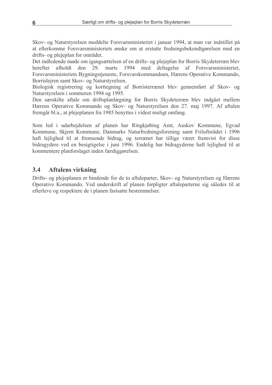Skov- og Naturstyrelsen meddelte Forsvarsministeriet i januar 1994, at man var indstillet på at efterkomme Forsvarsministeriets ønske om at erstatte fredningsbekendtgørelsen med en drifts- og plejeplan for området.

Det indledende møde om igangsættelsen af en drifts- og plejeplan for Borris Skydeterræn blev den 29. marts 1994 med deltagelse af Forsvarsministeriet, afholdt herefter Forsvarsministeriets Bygningstjeneste, Forsvarskommandoen, Hærens Operative Kommando, Borrislejren samt Skov- og Naturstyrelsen.

Biologisk registrering og korttegning af Borristerrænet blev gennemført af Skov- og Naturstyrelsen i sommeren 1994 og 1995.

Den særskilte aftale om driftsplanlægning for Borris Skydeterræn blev indgået mellem Hærens Operative Kommando og Skov- og Naturstyrelsen den 27. maj 1997. Af aftalen fremgår bl.a., at plejeplanen fra 1985 benyttes i videst muligt omfang.

Som led i udarbejdelsen af planen har Ringkjøbing Amt, Aaskov Kommune, Egyad Kommune, Skjern Kommune, Danmarks Naturfredningsforening samt Friluftsrådet i 1996 haft leilighed til at fremsende bidrag, og terrænet har tillige været fremvist for disse bidragydere ved en besigtigelse i juni 1996. Endelig har bidragyderne haft lejlighed til at kommentere planforslaget inden færdiggørelsen.

#### $3.4$ **Aftalens virkning**

Drifts- og plejeplanen er bindende for de to aftaleparter, Skov- og Naturstyrelsen og Hærens Operative Kommando. Ved underskrift af planen forpligter aftaleparterne sig således til at efterleve og respektere de i planen fastsatte bestemmelser.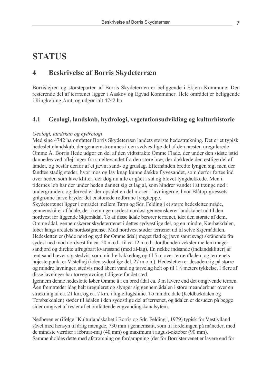## **STATUS**

#### $\overline{\mathbf{4}}$ **Beskrivelse af Borris Skydeterræn**

Borrislejren og størsteparten af Borris Skydeterræn er beliggende i Skjern Kommune. Den resterende del af terrrænet ligger i Aaskov og Egyad Kommuner. Hele området er beliggende i Ringkøbing Amt, og udgør ialt 4742 ha.

#### $4.1$ Geologi, landskab, hydrologi, vegetationsudvikling og kulturhistorie

#### Geologi, landskab og hydrologi

Med sine 4742 ha omfatter Borris Skydeterræn landets største hedestrækning. Det er et typisk hedeslettelandskab, der gennemstrømmes i den sydvestlige del af den næsten uregulerede Omme Å. Borris Hede udgør en del af den vidtstrakte Omme Flade, der under den sidste istid dannedes ved aflejringer fra smeltevandet fra den store bræ, der dækkede den østlige del af landet, og består derfor af et jævnt sand- og gruslag. Efterhånden bredte lyngen sig, men der fandtes stadig steder, hvor mos og lav knap kunne dække flyvesandet, som derfor førtes ind over heden som lave klitter, der dog nu alle er gået i stå og blevet lyngdækkede. Men i tidernes løb har der under heden dannet sig et lag al, som hindrer vandet i at trænge ned i undergrunden, og derved er der opstået en del moser i lavningerne, hvor Blåtop-græssets grågrønne farve bryder det enstonede rødbrune lyngtæppe.

Skydeterrænet ligger i området mellem Tarm og Sdr. Felding i et større hedesletteområde, gennemskåret af ådale, der i retningen sydøst-nordøst gennemskærer landskabet ud til den nordvest for liggende Skjernådal. To af disse ådale berører terrænet, idet den største af dem, Omme ådal, gennemskærer skydeterrænet i dettes sydvestlige del, og en mindre, Kærbækdalen, løber langs arealets nordøstgrænse. Mod nordvest støder terrænet ud til selve Skjernådalen. Hedesletten er (både nord og syd for Omme ådal) meget flad og jævn samt svagt skrånende fra sydøst ned mod nordvest fra ca. 20 m.o.h. til ca 12 m.o.h. Jordbunden veksler mellem mager sandjord og direkte ufrugtbart kvartssand (med al-lag). En række indsande (indlandsklitter) af rent sand hæver sig stedvist som mindre bakkedrag op til 5 m over terrænfladen, og terrænets højeste punkt er Vistelhøj (i den sydøstlige del, 27 m.o.h.). Hedesletten er desuden rig på større og mindre lavninger, stedvis med åbent vand og tørvelag helt op til 1<sup>1</sup>/<sub>2</sub> meters tykkelse. I flere af disse lavninger har tørvegravning tidligere fundet sted.

Igennem denne hedeslette løber Omme å i en bred ådal ca. 3 m lavere end det omgivende terræn. Åen fremtræder idag helt ureguleret og slynger sig gennem ådalen i store meanderbuer over en strækning af ca. 21 km, og ca. 7 km, i fugleflugtslinie. To mindre dale (Keldbækdalen og Torsbækdalen) støder til ådalen i den sydøstlige del af terrænet, og ådalen er desuden på begge sider omgivet af rester af et omfattende engvandingskanalsytem.

Nedbøren er (ifølge "Kulturlandskabet i Borris og Sdr. Felding", 1979) typisk for Vestjylland såvel med hensyn til årlig mængde, 730 mm i gennemsnit, som til fordelingen på måneder, med de mindste værdier i februar-maj (40 mm) og maximum i august-oktober (90 mm). Sammenholdes dette med afstrømning og fordampning (der for Borristerrænet er lavere end for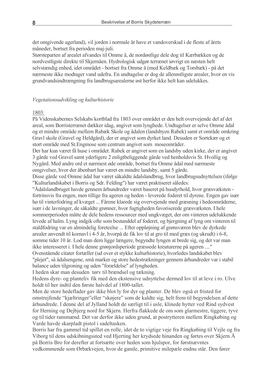det omgivende agerland), vil jorden i normale år have et vandoverskud i de fleste af årets måneder, bortset fra perioden maj-juli.

Størsteparten af arealet afvandes til Omme å, de nordøstlige dele dog til Kærbækken og de nordvestligste direkte til Skjernåen. Hydrologisk udgør terrænet i vrigt en næsten helt selvstændig enhed, idet området - bortset fra Omme å (med Keldbæk og Torsbæk) - på det nærmeste ikke modtager vand udefra. En undtagelse er dog de allerøstligste arealer, hvor en vis grundvandsindtrængning fra landbrugsarealerne øst herfor ikke helt kan udelukkes.

#### Vegetationsudvikling og kulturhistorie

#### 1803:

På Videnskabernes Selskabs kortblad fra 1803 over området er den helt overvejende del af det areal, som Borristerrænet dækker idag, angivet som lynghede. Undtagelser er selve Omme ådal og et mindre område mellem Rabæk Skole og ådalen (landsbyen Rabek) samt et område omkring Gravl skole (Gravel og Heldgård), der er angivet som dyrket land. Desuden er Sortekær og et stort område med St. Engmose som centrum angivet som moseområder.

Der har kun været få huse i området. Rabek er angivet som en landsby uden kirke, der er angivet 3 gårde ved Gravel samt yderligere 2 enligtbeliggende gårde ved henholdsvis St. Hvollig og Nygård. Med andre ord et nærmest øde område, bortset fra Omme ådal med nærmeste omgivelser, hvor der åbenbart har været en mindre landsby, samt 5 gårde.

Disse gårde ved Omme ådal har været såkaldte ådalslandbrug, hvor landbrugsudnyttelsen (ifølge "Kulturlandskabet i Borris og Sdr. Felding") har været praktiseret således:

"Ådalslandbruget havde gennem århundreder været baseret på husdyrhold, hvor græsvæksten fortrinsvis fra engen, men tillige fra ageren og heden - leverede foderet til dyrene. Engen gav især hø til vinterfodring af kvæget ... Fårene klarede sig overvejende med græsning i hedeområderne, især i de lavninger, de såkaldte grønner, hvor fugtigheden favoriserede græsvæksten. I hele sommerperioden måtte de dele hedens ressourcer med ungkvæget, der om vinteren udelukkende levede af halm. Lyng indgik ofte som bestanddel af foderet, og bjergning af lyng om vinteren til staldfodring var en almindelig foreteelse ... Efter oppløjning af grønsværen blev de dyrkede arealer anvendt til kornavl i 4-5 år, hvorpå de fik lov til at gro til med græs (og ukrudt) i 6-8, somme tider 10 år. Lod man dem ligge længere, begyndte lyngen at brede sig, og det var man ikke interesseret i. I hele denne grønjordsperiode græssede kreaturerne på ageren ...." Ovenstående citater fortæller (ud over et stykke kulturhistorie), hvorledes landskabet blev "plejet", så ådalsengene, små marker og store hedestrækninger gennem århundreder var i stabil balance uden tilgroning og uden "forældelse" af lyngheden.

I heden skar man desuden tørv til brændsel og tækning.

Hedens dyre- og planteliv fik med den ekstensive udnyttelse dermed lov til at leve i ro. Ulve holdt til her indtil den første halvdel af 1800-tallet.

Men de store hedeflader gav ikke blot ly for dyr og planter. De blev også et fristed for omstrejfende "kjæltringer" eller "skøjere" som de kaldte sig, helt frem til begyndelsen af dette århundrede. I denne del af Jylland holdt de særligt til i usle, klinede hytter ved Rind sydvest for Herning og Dejbjerg nord for Skjern. Herfra flakkede de om som glarmestre, tiggere, tyve og til tider ransmænd. Det var derfor ikke uden grund, at postrytteren mellem Ringkøbing og Varde havde skarpladt pistol i sadeltasken.

Borris har fra gammel tid spillet en rolle, idet de to vigtige veje fra Ringkøbing til Vejle og fra Viborg til dens udskibningssted ved Hjerting her krydsede hinanden og førtes over Skjern Å på Borris Bro for derefter at fortsætte over heden som hjulspor, for førstnævntes vedkommende som Ørbækvejen, hvor de gamle, primitive milepæle endnu står. Den fører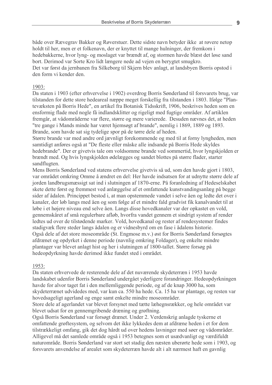både over Rævegrav Bakker og Røverstuer. Dette sidste navn betyder ikke at røvere netop holdt til her, men er et folkenavn, der er knyttet til mange hulninger, der fremkom i hedebakkerne, hvor lyng- og moslaget var brændt af, og stormen havde blæst det løse sand bort. Derimod var Sorte Kro lidt længere nede ad vejen en berygtet smugkro. Det var først da jernbanen fra Silkeborg til Skjern blev anlagt, at landsbyen Borris opstod i den form vi kender den.

#### 1903:

Da staten i 1903 (efter erhvervelse i 1902) overdrog Borris Sønderland til forsvarets brug, var tilstanden for dette store hedeareal næppe meget forskellig fra tilstanden i 1803. Ifølge "Plantevæksten på Borris Hede", en artikel fra Botanisk Tidsskrift, 1906, beskrives heden som en ensformig flade med nogle få indlandsklitter og rigeligt med fugtige områder. Af artiklen fremgår, at vådområderne var flere, større og mere varierede. Desuden nævnes det, at heden "tre gange i Mands minde har været hjemsøgt af brande", nemlig i 1869, 1889 og 1893. Brande, som havde sat sig tydelige spor på de tørre dele af heden.

Større brande var med andre ord jævnligt forekommende og med til at forny lyngheden, men samtidigt anføres også at "De fleste eller måske alle indsande på Borris Hede skyldes hedebrande". Der er givetvis tale om voldsomme brande ved sommertid, hvor lyngskjolden er brændt med. Og hvis lyngskjolden ødelægges og sandet blottes på større flader, starter sandflugten.

Mens Borris Sønderland ved statens erhvervelse givetvis så ud, som den havde gjort i 1803, var området omkring Omme å ændret en del: Her havde indsatsen for at udnytte større dele af jorden landbrugsmæssigt sat ind i slutningen af 1870-erne. På foranledning af Hedeselskabet skete dette først og fremmest ved anlæggelse af et omfattende kunstvandingsanlæg på begge sider af ådalen. Princippet bestod i, at man opstemmede vandet i selve åen og ledte det over i kanaler, der løb langs med åen og som følge af et mindre fald gradvist fik kanalvandet til at løbe i et højere niveau end selve åen. Langs disse hovedkanaler var der opkastet en vold, gennemskåret af små regulerbare afløb, hvorfra vandet gennem et sindrigt system af render ledtes ud over de tilstødende marker. Vold, hovedkanal og rester af rendesystemer findes stadigvæk flere steder langs ådalen og er vidnesbyrd om en fase i ådalens historie. Også dele af det store moseområde (St. Engmose m.v.) øst for Borris Sønderland forsøgtes afdrænet og opdyrket i denne periode (navnlig omkring Foldager), og enkelte mindre plantager var blevet anlagt hist og her i slutningen af 1800-tallet. Større forsøg på hedeopdyrkning havde derimod ikke fundet sted i området.

#### 1953:

Da staten erhvervede de resterende dele af det nuværende skydeterræn i 1953 havde landskabet udenfor Borris Sønderland undergået yderligere forandringer. Hedeopdyrkningen havde for alvor taget fat i den mellemliggende periode, og af de knap 3000 ha, som skydeterrænet udvidedes med, var kun ca. 550 ha hede. Ca. 15 ha var plantage, og resten var hovedsageligt agerland og enge samt enkelte mindre moseområder.

Store dele af agerlandet var blevet forsynet med tætte læhegnsrækker, og hele området var blevet udsat for en gennemgribende dræning og grøftning.

Også Borris Sønderland var forsøgt drænet. Under 2. Verdenskrig anlagde tyskerne et omfattende grøftesystem, og selvom det ikke lykkedes dem at afdræne heden i et for dem tilstrækkeligt omfang, gik det dog hårdt ud over hedens lavninger med søer og vådområder. Alligevel må det samlede område også i 1953 betegnes som et usædvanligt og værdifuldt naturområde. Borris Sønderland var stort set stadig den næsten uberørte hede som i 1903, og forsvarets anvendelse af arealet som skydeterræn havde alt i alt nærmest haft en gavnlig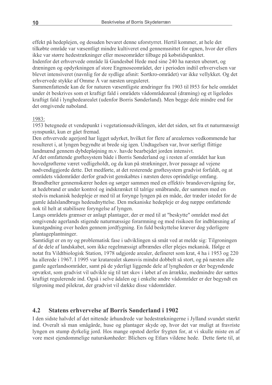effekt på hedeplejen, og desuden bevaret denne uforstyrret. Hertil kommer, at hele det tilkøbte område var væsentligt mindre kultiveret end gennemsnittet for egnen, hvor der ellers ikke var større hedestrækninger eller moseområder tilbage på købstidspunktet.

Indenfor det erhvervede område lå Gundesbøl Hede med sine 240 ha næsten uberørt, og dræningen og opdyrkningen af store Engmoseområdet, der i perioden indtil erhvervelsen var blevet intensiveret (navnlig for de sydlige afsnit: Sortkro-området) var ikke vellykket. Og det erhvervede stykke af Omme Å var næsten ureguleret.

Sammenfattende kan de for naturen væsentligste ændringer fra 1903 til 1953 for hele området under ét beskrives som et kraftigt fald i områdets vådområdeareal (dræning) og et ligeledes kraftigt fald i lynghedearealet (udenfor Borris Sønderland). Men begge dele mindre end for det omgivende naboland.

## $1983 -$

1953 betegnede et vendepunkt i vegetationsudviklingen, idet det siden, set fra et naturmæssigt synspunkt, kun er gået fremad.

Den erhvervede ageriord har ligget udvrket, hvilket for flere af arealernes vedkommende har resulteret i, at lyngen begyndte at brede sig igen. Undtagelsen var, hvor særligt flittige landmænd gennem dybdepløjning m.v. havde bearbejdet jorden intensivt.

Af det omfattende grøftesystem både i Borris Sønderland og i resten af området har kun hovedgrøfterne været vedligeholdt, og da kun på strækninger, hvor passage ad vejene nødvendiggjorde dette. Det medførte, at det resterende grøftesystem gradvist forfaldt, og at områdets vådområder derfor gradvist genskabtes i næsten deres oprindelige omfang. Brandbælter gennemskærer heden og sørger sammen med en effektiv brandovervågning for, at hedebrand er under kontrol og indskrænket til talrige småbrande, der sammen med en stedvis mekanisk hedepleje er med til at forynge lyngen på en måde, der træder istedet for de gamle ådalslandbrugs hedeudnyttelse. Den mekaniske hedepleje er dog næppe omfattende nok til helt at stabilisere forvngelse af lyngen.

Langs områdets grænser er anlagt plantager, der er med til at "beskytte" området mod det omgivende agerlands stigende naturmæssige forarmning og mod risikoen for indblæsning af kunstgødning over heden gennem jordfygning. En fuld beskyttelse kræver dog yderligere plantageplantninger.

Samtidigt er en ny og problematisk fase i udviklingen så småt ved at melde sig: Tilgroningen af de dele af landskabet, som ikke regelmæssigt afbrændes eller plejes mekanisk. Ifølge et notat fra Vildtbiologisk Station, 1978 udgjorde arealer, defineret som krat, 4 ha i 1953 og 220 ha allerede i 1967. I 1995 var kratarealet skønsvis mindst dobbelt så stort, og på næsten alle gamle agerlandsområder, samt på de yderligt liggende dele af lyngheden er der begyndende opvækst, som gradvist vil udvikle sig til tæt skov i løbet af en årrække, medmindre der sættes kraftigt regulerende ind. Også i selve ådalen og i enkelte andre vådområder er der begyndt en tilgroning med pilekrat, der gradvist vil dække disse vådområder.

#### $4.2$ **Statens erhvervelse af Borris Sønderland i 1902**

I den sidste halvdel af det nittende århundrede var hedestrækningerne i Jylland svundet stærkt ind. Overalt så man smågårde, huse og plantager skyde op, hvor det var muligt at fravriste lyngen en stump dyrkelig jord. Hos mange opstod derfor frygten for, at vi skulle miste en af vore mest ejendommelige naturskønheder: Blichers og Etlars vildene hede. Dette førte til, at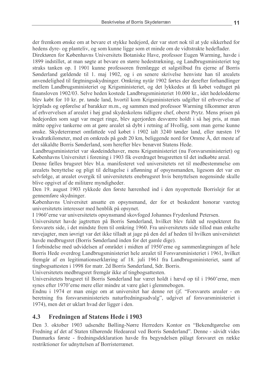11

der fremkom ønske om at bevare et stykke hedejord, der var stort nok til at yde sikkerhed for hedens dyre- og planteliv, og som kunne ligge som et minde om de vidtstrakte hedeflader.

Direktøren for Københavns Universitets Botaniske Have, professor Eugen Warming, havde i 1899 indstillet, at man søgte at bevare en større hedestrækning, og Landbrugsministeriet tog straks tanken op. I 1901 kunne professoren fremlægge et salgstilbud fra ejerne af Borris Sønderland gældende til 1. maj 1902, og i en senere skrivelse henviste han til arealets anvendelighed til fægtningsskydninger. Omkring nytår 1902 førtes der derefter forhandlinger mellem Landbrugsministeriet og Krigsministeriet, og det lykkedes at få købet vedtaget på finansloven 1902/03. Selve heden kostede Landbrugsministeriet 10.000 kr., idet hedelodderne blev købt for 10 kr. pr. tønde land, hvortil kom Krigsministeriets udgifter til erhvervelse af lejrplads og opførelse af barakker m.m., og sammen med professor Warming tilkommer æren af erhvervelsen af arealet i høj grad skydeskolens tidligere chef, oberst Prytz. Mens prisen på hedejorden som sagt var meget ringe, blev agerjorden desværre holdt i så høj pris, at man måtte opgive tankerne om at gøre arealet så dybt i retning af Hvollig, som man gerne kunne gnske. Skydeterrænet omfattede ved købet i 1902 ialt 3240 tønder land, eller næsten 19 kvadratkilometer, med en omkreds på godt 20 km, beliggende nord for Omme Å, det meste af det såkaldte Borris Sønderland, som herefter blev benævnt Statens Hede.

Landbrugsministeriet var skødeindehaver, mens Krigsministeriet (nu Forsvarsministeriet) og Københavns Universitet i forening i 1903 fik overdraget brugsretten til det indkøbte areal.

Denne fælles brugsret blev bl.a. manifesteret ved universitetets ret til medbestemmelse om arealets benyttelse og pligt til deltagelse i aflønning af opsynsmanden, ligesom det var en selvfølge, at arealet overgik til universitetets enebrugsret hvis benyttelsen nogensinde skulle blive opgivet af de militære myndigheder.

Den 19. august 1903 rykkede den første hærenhed ind i den nyoprettede Borrislejr for at gennemføre skydninger.

Københavns Universitet ansatte en opsynsmand, der for et beskedent honorar varetog universitetets interesser med henblik på opsynet.

I 1960'erne var universitetets opsynsmand skovfoged Johannes Frydenlund Petersen.

Universitetet havde jagtretten på Borris Sønderland, hvilket blev fuldt ud respekteret fra forsvarets side, i det mindste frem til omkring 1960. Fra universitetets side tillod man enkelte rævejagter, men jøvrigt var det ikke tilladt at jage på den del af heden til hvilken universitetet havde medbrugsret (Borris Sønderland inden for det gamle dige).

I forbindelse med udvidelsen af området i midten af 1950'erne og sammenlægningen af hele Borris Hede overdrog Landbrugsministeriet hele arealet til Forsvarsministeriet i 1961, hvilket fremgår af en legitimationserklæring af 18. juli 1961 fra Landbrugsministeriet, samt af tingbogsattesten i 1998 for matr. 2d Borris Sønderland, Sdr. Borris.

Universitetets medbrugsret fremgår ikke af tingbogsattesten.

Universitetets brugsret til Borris Sønderland har været holdt i hævd op til i 1960'erne, men synes efter 1970'erne mere eller mindre at være gået i glemmebogen.

Endnu i 1974 er man enige om at universitet har denne ret (jf. "Forsvarets arealer - en beretning fra forsvarsministeriets naturfredningsudvalg", udgivet af forsvarsministeriet i 1974), men det er uklart hvad der ligger i den.

#### $4.3$ **Fredningen af Statens Hede i 1903**

Den 3. oktober 1903 udsendte Bølling-Nørre Herreders Kontor en "Bekendtgørelse om Fredning af det af Staten tilhørende Hedeareal ved Borris Sønderland". Denne - såvidt vides Danmarks første - fredningsdeklaration havde fra begyndelsen pålagt forsvaret en række restriktioner for udnyttelsen af Borristerrænet.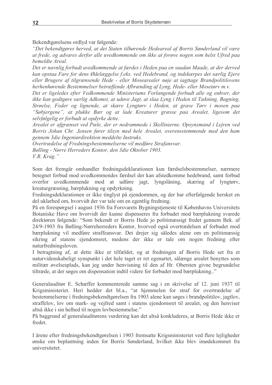Bekendtgørelsens ordlyd var følgende:

"Det bekendtgøres herved, at det Staten tilhørende Hedeareal af Borris Sønderland vil være at frede, og advares derfor alle uvedkommende om ikke at forøve nogen som helst Ufred paa bemeldte Areal.

Det er navnlig forbudt uvedkommende at færdes i Heden paa en saadan Maade, at der derved kan opstaa Fare for dens Ødelæggelse f.eks. ved Hedebrand, og indskærpes det særlig Ejere eller Brugere af tilgrænsende Hede - eller Mosearealer nøje at jagttage Brandpolitilovens herhenhørende Bestemmelser betræffende Afbrænding af Lyng, Hede- eller Mosetørv m.v.

Det er ligeledes efter Vedkommende Ministeriums Forlangende forbudt alle og enhver, der ikke kan godtgøre særlig Adkomst, at udøve Jagt, at slaa Lyng i Heden til Tækning, Bagning, Strøelse, Foder og lignende, at skære Lyngtøry i Heden, at grave Tøry i mosen paa "Søbjergene", at plukke Bær og at lade Kreaturer græsse paa Arealet, ligesom det selvfølgelig er forbudt at opdyrke dette.

Arealet er afgrænset ved Pæle, der er nedrammede i Skellinierne. Opsynsmand i Lejren ved Borris Johan Chr. Jensen fører tilsyn med hele Arealet, overensstemmende med den ham gennem 3die Ingeniørdirektion meddelte Instruks.

Overtrædelse af Fredningsbestemmelserne vil medføre Strafansvar. Bølling - Nørre Herreders Kontor, den 3die Oktober 1903. V.R. Krag."

Som det fremgår omhandler fredningsdeklarationen kun færdselsbestemmelser, nærmere betegnet forbud mod uvedkommendes færdsel der kan afstedkomme hedebrand, samt forbud overfor uvedkommende mod at udføre jagt, lyngslåning, skæring af lyngtørv, kreaturgræsning, bærplukning og opdyrkning.

Fredningsdeklarationen er ikke tinglyst på ejendommen, og der har efterfølgende hersket en del uklarhed om, hvorvidt der var tale om en egentlig fredning.

På en forespørgsel i august 1936 fra Forsvarets Bygningstjeneste til Københavns Universitets Botaniske Have om hvorvidt der kunne dispenseres fra forbudet mod bærplukning svarede direktøren følgende: "Som bekendt er Borris Hede jo politimæssigt fredet gennem Bek. af 24/9-1903 fra Bølling-Nørreherreders Kontor, hvorved også overtrædelsen af forbudet mod bærplukning vil medføre straffeansvar. Det drejer sig således alene om en politimæssig sikring af statens ejendomsret, medens der ikke er tale om nogen fredning efter naturfredningsloven.

I betragtning af, at dette ikke er tilfældet, og at fredningen af Borris Hede set fra et naturvidenskabeligt synspunkt i det hele taget er ret egenartet, sålænge arealet benyttes som militær øvelsesplads, kan jeg under henvisning til den af Hr. Obersten givne begrundelse tiltræde, at der søges om dispensation indtil videre for forbudet mod bærplukning..."

Generalauditør E. Schæffer kommenterede samme sag i en skrivelse af 12. juni 1937 til Krigsministeriet. Heri hedder det bl.a., "at hjemmelen for straf for overtrædelse af bestemmelserne i fredningsbekendtgørelsen fra 1903 alene kan søges i brandpolitilov, jagtlov, straffelov, lov om mark- og vejfred samt i statens ejendomsret til arealet, og den henviser altså ikke i sin helhed til nogen lovbestemmelse."

På baggrund af generalauditørens vurdering kan det altså konkluderes, at Borris Hede ikke er fredet.

I årene efter fredningsbekendtgørelsen i 1903 fremsatte Krigsministeriet ved flere lejligheder ønske om beplantning inden for Borris Sønderland, hvilket ikke blev imødekommet fra universitetet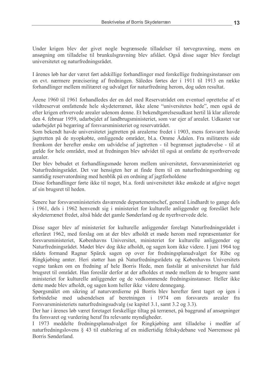Under krigen blev der givet nogle begrænsede tilladelser til tørvegravning, mens en ansøgning om tilladelse til brunkulsgravning blev afslået. Også disse sager blev forelagt universitetet og naturfredningsrådet.

I årenes løb har der været ført adskillige forhandlinger med forskellige fredningsinstanser om en evt. nærmere præcisering af fredningen. Således førtes der i 1911 til 1913 en række forhandlinger mellem militæret og udvalget for naturfredning herom, dog uden resultat.

Årene 1960 til 1961 forhandledes der en del med Reservatrådet om eventuel oprettelse af et vildtreservat omfattende hele skydeterrænet, ikke alene "universitetes hede", men også de efter krigen erhvervede arealer udenom denne. Et bekendtgørelsesudkast hertil lå klar allerede den 4. februar 1959, udarbeidet af landbrugsministeriet, som var ejer af arealet. Udkastet var udarbeidet på begæring af forsvarsministeriet og reservatrådet.

Som bekendt havde universitetet jagtretten på arealerne fredet i 1903, mens forsvaret havde jagtretten på de nyopkøbte, omliggende områder, bl.a. Omme Ådalen. Fra militærets side fremkom der herefter ønske om udvidelse af jagtretten - til begrænset jagtudøvelse - til at gælde for hele området, mod at fredningen blev udvidet til også at omfatte de nyerhvervede arealer.

Der blev bebudet et forhandlingsmøde herom mellem universitetet, forsvarsministeriet og Naturfredningsrådet. Det var hensigten her at finde frem til en naturfredningsordning og samtidig reservatordning med henblik på en ordning af jagtforholdene

Disse forhandlinger førte ikke til noget, bl.a. fordi universitetet ikke ønskede at afgive noget af sin brugsret til heden.

Senere har forsvarsministeriets daværende departementschef, general Lindhardt to gange dels i 1961, dels i 1962 henvendt sig i ministeriet for kulturelle anliggender og foreslået hele skydeterrænet fredet, altså både det gamle Sønderland og de nyerhvervede dele.

Disse sager blev af ministeriet for kulturelle anliggender forelagt Naturfredningsrådet i efteråret 1962, med forslag om at der blev afholdt et møde herom med repræsentanter for forsvarsministeriet, Københavns Universitet, ministeriet for kulturelle anliggender og Naturfredningsrådet. Mødet blev dog ikke afholdt, og sagen kom ikke videre. I juni 1964 tog rådets formand Ragnar Spärck sagen op over for fredningsplanudvalget for Ribe og Ringkjøbing amter. Heri støtter han på Naturfredningsrådets og Københavns Universitets vegne tanken om en fredning af hele Borris Hede, men fastslår at universitetet har fuld brugsret til området. Han foreslår derfor at der afholdes et møde mellem de to brugere samt ministeriet for kulturelle anliggender og de vedkommende fredningsinstanser. Heller ikke dette møde blev afholdt, og sagen kom heller ikke videre dennegang.

Spørgsmålet om sikring af naturværdierne på Borris blev herefter først taget op igen i forbindelse med udsendelsen af beretningen i 1974 om forsvarets arealer fra Forsvarsministeriets naturfredningsudvalg (se kapitel 3.1, samt 3.2 og 3.3).

Der har i årenes løb været foretaget forskellige tiltag på terrænet, på baggrund af ansøgninger fra forsvaret og vurdering heraf fra relevante myndigheder.

I 1973 meddelte fredningsplanudvalget for Ringkjøbing amt tilladelse i medfør af naturfredningslovens § 43 til etablering af en midlertidig feltskydebane ved Nørremose på Borris Sønderland.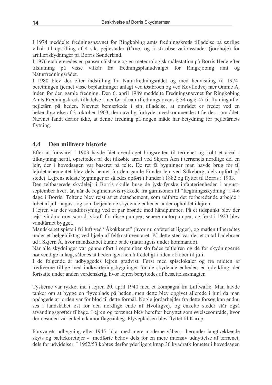I 1974 meddelte fredningsnævnet for Ringkøbing amts fredningskreds tilladelse på særlige vilkår til opstilling af 4 stk. pejlestader (tårne) og 5 stk. observationsstader (jordhøje) for artilleriskydninger på Borris Sønderland.

I 1976 etablereredes en pansermålsbane og en meteorologisk målestation på Borris Hede efter tilslutning på visse vilkår fra fredningsplanudvalget for Ringkjøbing  $amt$  og Naturfredningsrådet.

I 1980 blev der efter indstilling fra Naturfredningsrådet og med henvisning til 1974beretningen fjernet visse beplantninger anlagt ved Østbroen og ved Kovflodvej nær Omme Å, inden for den gamle fredning. Den 6. april 1989 meddelte Fredningsnævnet for Ringkøbing Amts Fredningskreds tilladelse i medfør af naturfredningslovens § 34 og § 47 til flytning af et pejletårn på heden. Nævnet bemærkede i sin tilladelse, at området er fredet ved en bekendtgørelse af 3. oktober 1903, der navnlig forbyder uvedkommende at færdes i området. Nævnet fandt derfor ikke, at denne fredning på nogen måde har betydning for peiletårnets flytning.

#### $4.4$ Den militære historie

Efter at forsvaret i 1903 havde fået overdraget brugsretten til terrænet og købt et areal i tilknytning hertil, oprettedes på det tilkøbte areal ved Skjern Åen i terrænets nordlige del en lejr, der i hovedsagen var baseret på telte. De ret få bygninger man havde brug for til lejrdetachementet blev dels hentet fra den gamle Funder-lejr ved Silkeborg, dels opført på stedet. Lejrens ældste bygninger er således opført i Funder i 1882 og flyttet til Borris i 1903.

Den teltbaserede skydelejr i Borris skulle huse de jysk-fynske infanterienheder i augustseptember hvert år, når de regimentsvis rykkede fra garnisonen til "fægtningsskydning" i 4-6 dage i Borris. Teltene blev rejst af et detachement, som udførte det forberedende arbejde i løbet af juli-august, og som betjente de skydende enheder under opholdet i lejren.

I leiren var der vandforsyning ved et par brønde med håndpumper. På et tidspunkt blev der rejst vindmotorer som drivkraft for disse pumper, senere motorpumper, og først i 1923 blev vandtårnet bygget.

Mandskabet spiste i fri luft ved "Åkøkkenet" (hvor nu cafeteriet ligger), og maden tilberedtes under et bølgebliktag ved hjælp af feltkostinventaret. På dette sted var der et antal badebroer ud i Skjern Å, hvor mandskabet kunne bade (naturligvis under kommando).

Når alle skydninger var gennemført i september sløjfedes teltlejren og de for skydningerne nødvendige anlæg, således at heden igen henlå fredeligt i tiden oktober til juli.

I de følgende år udbyggedes lejren gradvist. Først med spiselokaler og fra midten af trediverne tillige med indkvarteringsbygninger for de skydende enheder, en udvikling, der fortsatte under anden verdenskrig, hvor lejren benyttedes af besættelsesmagten

Tyskerne var rykket ind i lejren 20. april 1940 med et kompagni fra Luftwaffe. Man havde tanker om at bygge en flyveplads på heden, men dette blev opgivet allerede i juni da man opdagede at jorden var for blød til dette formål. Nogle jordarbejder fra dette forsøg kan endnu ses i landskabet øst for den nordlige ende af Hvolligvej, og enkelte steder står også afvandingsgrøfter tilbage. Lejren og terrænet blev herefter benyttet som øvelsesområde, hvor der desuden var enkelte kamouflageanlæg. Flyvepladsen blev flyttet til Karup.

Forsvarets udbygning efter 1945, bl.a. med mere moderne våben - herunder langtrækkende skyts og bæltekøretøjer - medførte behov dels for en mere intensiv udnyttelse af terrænet. dels for udvidelser. I 1952/53 købtes derfor yderligere knap 30 kvadratkilometer i hovedsagen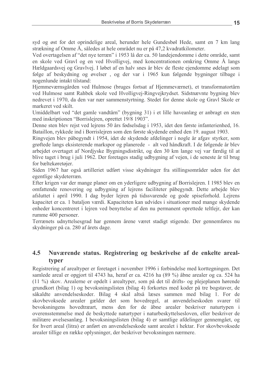syd og øst for det oprindelige areal, herunder hele Gundesbøl Hede, samt en 7 km lang strækning af Omme Å, således at hele området nu er på 47,2 kvadratkilometer.

Ved overtagelsen af "det nye terræn" i 1953 lå der ca. 50 landejendomme i dette område, samt en skole ved Gravl og en ved Hvolligvej, med koncentrationen omkring Omme Å langs Hældgaardsvej og Gravlyej. I løbet af en halv snes år blev de fleste ejendomme ødelagt som følge af beskydning og øvelser, og der var i 1965 kun følgende bygninger tilbage i nogenlunde intakt tilstand:

Hjemmeværnsgården ved Hulmose (bruges fortsat af Hjemmeværnet), et transformatortårn ved Hulmose samt Rahbek skole ved Hvolligvej-Ringvejkrydset. Sidstnævnte bygning blev nedrevet i 1970, da den var nær sammenstyrtning. Stedet for denne skole og Gravl Skole er markeret ved skilt.

Umiddelbart ved "det gamle vandtårn" (bygning 31) i et lille haveanlæg er anbragt en sten med inskriptionen "Borrisleiren, oprettet 19/8 1903".

Denne sten blev rejst ved lejrens 50 års fødselsdag i 1953, idet den første infanterienhed, 16. Bataillon, rykkede ind i Borrislejren som den første skydende enhed den 19. august 1903.

Ringvejen blev påbegyndt i 1954, idet de skydende afdelinger i nogle år afgav styrker, som grøftede langs eksisterende markspor og planerede - alt ved håndkraft. I de følgende år blev arbejdet overtaget af Nordjyske Bygningsdistrikt, og den 30 km lange vej var færdig til at blive taget i brug i juli 1962. Der foretages stadig udbygning af vejen, i de seneste år til brug for bæltekøretøjer.

Siden 1967 har også artilleriet udført visse skydninger fra stillingsområder uden for det egentlige skydeterræn.

Efter krigen var der mange planer om en yderligere udbygning af Borrislejren. I 1985 blev en omfattende renovering og udbygning af lejrens faciliteter påbegyndt. Dette arbejde blev afsluttet i april 1990. I dag byder lejren på tidssvarende og gode spiseforhold. Lejrens kapacitet er ca. 1 bataljon værdi. Kapaciteten kan udvides i situationer med mange skydende enheder koncentreret i lejren ved benyttelse af den nu permanent oprettede teltlejr, der kan rumme 400 personer.

Terrænets udnyttelsesgrad har gennem årene været stadigt stigende. Der gennemføres nu skydninger på ca. 280 af årets dage.

#### $4.5$ Nuværende status. Registrering og beskrivelse af de enkelte arealtyper

Registrering af arealtyper er foretaget i november 1996 i forbindelse med korttegningen. Det samlede areal er opgjort til 4743 ha, heraf er ca. 4216 ha (89 %) åbne arealer og ca. 524 ha (11 %) skov. Arealerne er opdelt i arealtyper, som på det til drifts- og plejeplanen hørende grundkort (bilag 1) og bevoksningslisten (bilag 4) forkortes med koder på tre bogstaver, de såkaldte anvendelseskoder. Bilag 4 skal altså læses sammen med bilag 1. For de skovbevoksede arealer gælder det som hovedregel, at anvendelseskoden svarer til bevoksningens hovedtræart, mens den for de åbne arealer beskriver naturtypen i overensstemmelse med de beskyttede naturtyper i naturbeskyttelsesloven, eller beskriver de militære øvelsesanlæg. I bevoksningslisten (bilag 4) er samtlige afdelinger gennemgået, og for hvert areal (litra) er anført en anvendelseskode samt arealet i hektar. For skovbevoksede arealer tillige en række oplysninger, der beskriver bevoksningen nærmere.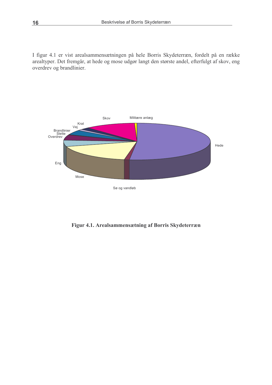I figur 4.1 er vist arealsammensætningen på hele Borris Skydeterræn, fordelt på en række arealtyper. Det fremgår, at hede og mose udgør langt den største andel, efterfulgt af skov, eng overdrev og brandlinier.



Figur 4.1. Arealsammensætning af Borris Skydeterræn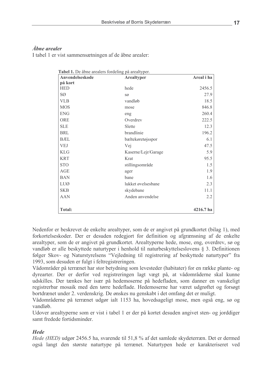## Åbne arealer

I tabel 1 er vist sammensætningen af de åbne arealer:

| Anvendelseskode    | Arealtyper          | Areal i ha |
|--------------------|---------------------|------------|
| på kort            |                     |            |
| <b>HED</b>         | hede                | 2456.5     |
| SØ                 | SØ                  | 27.9       |
| <b>VLB</b>         | vandløb             | 18.5       |
| <b>MOS</b>         | mose                | 846.8      |
| <b>ENG</b>         | eng                 | 260.4      |
| ORE                | Overdrey            | 222.5      |
| <b>SLE</b>         | Slette              | 12.3       |
| <b>BRL</b>         | brandlinie          | 196.2      |
| <b>B</b> <i>EL</i> | bæltekøretøjsspor   | 6.1        |
| <b>VEJ</b>         | Vej                 | 47.5       |
| <b>KLG</b>         | Kaserne/Lejr/Garage | 5.9        |
| <b>KRT</b>         | Krat                | 95.5       |
| <b>STO</b>         | stillingsområde     | 1.5        |
| AGE                | ager                | 1.9        |
| <b>BAN</b>         | bane                | 1.6        |
| LUØ                | lukket øvelsesbane  | 2.3        |
| <b>SKB</b>         | skydebane           | 11.1       |
| <b>AAN</b>         | Anden anvendelse    | 2.2        |
| <b>Total:</b>      |                     | 4216.7 ha  |

Nedenfor er beskrevet de enkelte arealtyper, som de er angivet på grundkortet (bilag 1), med forkortelseskoder. Der er desuden redegjort for definition og afgrænsning af de enkelte arealtyper, som de er angivet på grundkortet. Arealtyperne hede, mose, eng, overdrev, sø og vandløb er alle beskyttede naturtyper i henhold til naturbeskyttelseslovens § 3. Definitionen følger Skov- og Naturstyrelsens "Vejledning til registrering af beskyttede naturtyper" fra 1993, som desuden er fulgt i feltregistreringen.

Vådområder på terrænet har stor betydning som levesteder (habitater) for en række plante- og dyrearter. Der er derfor ved registreringen lagt vægt på, at vådområderne skal kunne udskilles. Der tænkes her især på hedemoserne på hedefladen, som danner en vanskeligt registrerbar mosaik med den tørre hedeflade. Hedemoserne har været udgrøftet og forsøgt bortdrænet under 2. verdenskrig. De ønskes nu genskabt i det omfang det er muligt.

Vådområderne på terrænet udgør ialt 1153 ha, hovedsageligt mose, men også eng, sø og vandløb.

Udover arealtyperne som er vist i tabel 1 er der på kortet desuden angivet sten- og jorddiger samt fredede fortidsminder

## **Hede**

Hede (HED) udgør 2456.5 ha, svarende til 51,8 % af det samlede skydeterræn. Det er dermed også langt den største naturtype på terrænet. Naturtypen hede er karakteriseret ved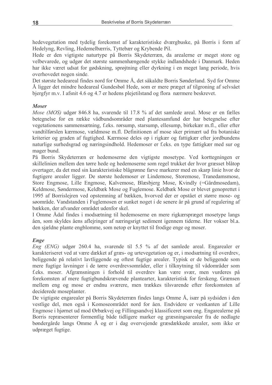hedevegetation med tydelig forekomst af karakteristiske dværgbuske, på Borris i form af Hedelyng, Revling, Hedemelbærris, Tyttebær og Krybende Pil.

Hede er den vigtigste naturtype på Borris Skydeterræn, da arealerne er meget store og velbevarede, og udgør det største sammenhængende stykke indlandshede i Danmark. Heden har ikke været udsat for gødskning, sprøjtning eller dyrkning i en meget lang periode, hvis overhovedet nogen sinde.

Det største hedeareal findes nord for Omme Å, det såkaldte Borris Sønderland. Syd for Omme Å ligger det mindre hedeareal Gundesbøl Hede, som er mere præget af tilgroning af selvsået bjergfyr m.v. I afsnit 4.6 og 4.7 er hedens plejetilstand og flora nærmere beskrevet.

#### **Moser**

Mose (MOS) udgør 846.8 ha, svarende til 17.8 % af det samlede areal. Mose er en fælles betegnelse for en række vådbundsområder med plantesamfund der har betegnelse efter vegetationens sammensætning, f.eks. rørsump, starsump, ellesump, birkekær m.fl., eller efter vandtilførslen kærmose, vældmose m.fl. Definitionen af mose sker primært ud fra botaniske kriterier og graden af fugtighed. Kærmose deles op i rigkær og fattigkær efter jordbundens naturlige surhedsgrad og næringsindhold. Hedemoser er f.eks. en type fattigkær med sur og mager bund.

På Borris Skydeterræn er hedemoserne den vigtigste mosetype. Ved korttegningen er skillelinien mellem den tørre hede og hedemoserne som regel trukket der hvor græsset blåtop overtager, da det med sin karakteristiske blågrønne farve markerer med en skarp linie hvor de fugtigere arealer ligger. De største hedemoser er Lindemose, Storemose, Tranedamsmose, Store Engmose, Lille Engmose, Kalvemose, Blæsbjerg Mose, Kvindly (=Gårdmosedam), Keldmose, Søndermose, Keldbæk Mose og Fuglemose. Keldbæk Mose er blevet genoprettet i 1995 af Borrislejren ved opstemning af bækken, hvorved der er opstået et større mose- og søområde. Vandstanden i Fuglemosen er sunket noget i de senere år på grund af regulering af bækken, der afvander området udenfor skel.

I Omme Ådal findes i modsætning til hedemoserne en mere rigkærspræget mosetype langs åen, som skyldes åens aflejringer af næringsrigt sediment igennem tiderne. Her vokser bl.a. den sjældne plante engblomme, som netop er knyttet til frodige enge og moser.

## **Enge**

Eng (ENG) udgør 260.4 ha, svarende til 5.5 % af det samlede areal. Engarealer er karakteriseret ved at være dækket af græs- og urtevegetation og er, i modsætning til overdrev, beliggende på relativt lavtliggende og oftest fugtige arealer. Typisk er de beliggende som mere fugtige lavninger i de tørre overdrevsområder, eller i tilknytning til vådområder som f.eks. moser. Afgrænsningen i forhold til overdrev kan være svær, men vurderes på forekomsten af mere fugtigbundskrævende plantearter, karakteristisk for ferskeng. Grænsen mellem eng og mose er endnu sværere, men trækkes tilsvarende efter forekomsten af deciderede moseplanter.

De vigtigste engarealer på Borris Skydeterræn findes langs Omme Å, især på sydsiden i den vestlige del, men også i Komoseområdet nord for åen. Endvidere er vestkanten af Lille Engmose i hjørnet ud mod Ørbækvej og Fillingsandvej klassificeret som eng. Engarealerne på Borris repræsenterer formentlig både tidligere marker og græsningsarealer fra de nedlagte bøndergårde langs Omme Å og er i dag overvejende græsdækkede arealer, som ikke er udpræget fugtige.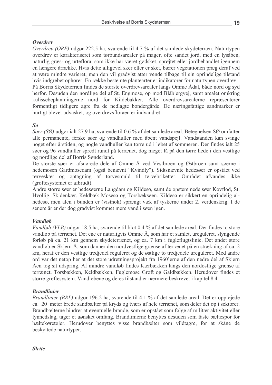#### **Overdrey**

Overdrev (ORE) udgør 222.5 ha, svarende til 4.7 % af det samlede skydeterræn. Naturtypen overdrev er karakteriseret som tørbundsarealer på mager, ofte sandet jord, med en lysåben, naturlig græs- og urteflora, som ikke har været gødsket, sprøjtet eller jordbehandlet igennem en længere årrække. Hvis dette alligevel sker eller er sket, bærer vegetationen præg deraf ved at være mindre varieret, men den vil gradvist atter vende tilbage til sin oprindelige tilstand hvis indgrebet ophører. En række bestemte plantearter er indikatorer for naturtypen overdrev. På Borris Skydeterræn findes de største overdrevsarealer langs Omme Ådal, både nord og syd herfor. Desuden den nordlige del af St. Engmose, op mod Blåbjergvej, samt arealet omkring kulissebeplantningerne nord for Kildebakker. Alle overdrevsarealerne repræsenterer formentligt tidligere agre fra de nedlagte bøndergårde. De næringsfattige sandmarker er hurtigt blevet udvasket, og overdrevsfloraen er indvandret.

## $\mathcal{S}\theta$

Søer (SØ) udgør ialt 27.9 ha, svarende til 0.6 % af det samlede areal. Betegnelsen SØ omfatter alle permanente, ferske søer og vandhuller med åbent vandspejl. Vandstanden kan svinge noget efter årstiden, og nogle vandhuller kan tørre ud i løbet af sommeren. Der findes ialt 25 søer og 96 vandhuller spredt rundt på terrænet, dog meget få på den tørre hede i den vestlige og nordlige del af Borris Sønderland.

De største søer er afsnørede dele af Omme Å ved Vestbroen og Østbroen samt søerne i hedemosen Gårdmosedam (også benævnt "Kvindly"). Sidtsnævnte hedesøer er opstået ved tørveskær og optagning af tørvesmuld til tørvebriketter. Området afvandes ikke (grøftesystemet er afbrudt).

Andre større søer er hedesøerne Langdam og Kildesø, samt de opstemmede søer Kovflod, St. Hvollig, Skidenkær, Keldbæk Mosesø og Torsbæksøen. Kildesø er sikkert en oprindelig alhedesø, men alen i bunden er (vistnok) sprængt væk af tyskerne under 2. verdenskrig. I de senere år er der dog gradvist kommet mere vand i søen igen.

#### **Vandløb**

Vandløb (VLB) udgør 18.5 ha, svarende til blot 0.4 % af det samlede areal. Der findes to store vandløb på terrænet. Det ene er naturligvis Omme Å, som har et samlet, ureguleret, slyngende forløb på ca. 21 km gennem skydeterrænet, og ca. 7 km i fugleflugtslinie. Det andet store vandløb er Skjern Å, som danner den nordvestlige grænse af terrænet på en strækning af ca. 2 km, heraf er den vestlige tredjedel reguleret og de østlige to tredjedele ureguleret. Med andre ord var det netop her at det store udretningsprojekt fra 1960'erne af den nedre del af Skjern Åen tog sit udspring. Af mindre vandløb findes Kærbækken langs den nordøstlige grænse af terrænet, Torsbækken, Keldbækken, Fuglemose Grøft og Galdbækken. Herudover findes et større grøftesystem. Vandløbene og deres tilstand er nærmere beskrevet i kapitel 8.4

## **Brandlinier**

*Brandlinier (BRL)* udgør 196.2 ha, svarende til 4.1 % af det samlede areal. Det er oppløjede ca. 20 meter brede sandbælter på kryds og tværs af hele terrænet, som deler det op i sektorer. Brandbælterne hindrer at eventuelle brande, som er opstået som følge af militær aktivitet eller lynnedslag, tager et uønsket omfang. Brandlinierne benyttes desuden som faste bæltespor for bæltekøretøjer. Herudover benyttes visse brandbælter som vildtagre, for at skåne de beskyttede naturtyper.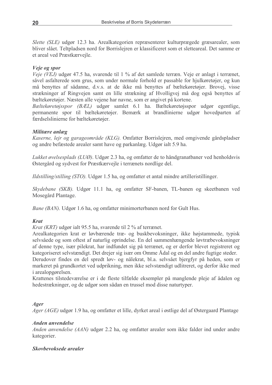Slette (SLE) udgør 12.3 ha. Arealkategorien repræsenterer kulturprægede græsarealer, som bliver slået. Teltpladsen nord for Borrisleiren er klassificeret som et sletteareal. Det samme er et areal ved Præstkærveile.

## Veie og spor

Veje (VEJ) udgør 47.5 ha, svarende til 1 % af det samlede terræn. Veje er anlagt i terrænet, såvel asfalterede som grus, som under normale forhold er passable for hjulkøretøjer, og kun må benyttes af sådanne, d.v.s. at de ikke må benyttes af bæltekøretøjer. Brovej, visse strækninger af Ringvejen samt en lille strækning af Hvolligvej må dog også benyttes af bæltekøretøjer. Næsten alle vejene har navne, som er angivet på kortene.

Bæltekøretøjsspor (BÆL) udgør samlet 6.1 ha. Bæltekøretøjsspor udgør egentlige, permanente spor til bæltekøretøjer. Bemærk at brandlinierne udgør hovedparten af færdselslinierne for bæltekøretøjer.

## Militære anlæg

Kaserne, lejr og garageområde (KLG). Omfatter Borrislejren, med omgivende gårdspladser og andre befæstede arealer samt have og parkanlæg. Udgør ialt 5.9 ha.

Lukket øvelsesplads (LUØ). Udgør 2.3 ha, og omfatter de to håndgranatbaner ved henholdsvis Østergård og sydvest for Præstkærvejle i terrænets nordlige del.

Ildstilling/stilling (STO). Udgør 1.5 ha, og omfatter et antal mindre artilleristillinger.

Skydebane (SKB). Udgør 11.1 ha, og omfatter SF-banen, TL-banen og skeetbanen ved Mosegård Plantage.

Bane (BAN). Udgør 1.6 ha, og omfatter minimorterbanen nord for Gult Hus.

## **Krat**

*Krat (KRT)* udgør ialt 95.5 ha, svarende til 2 % af terrænet.

Arealkategorien krat er løvbærende træ- og buskbevoksninger, ikke højstammede, typisk selvsåede og som oftest af naturlig oprindelse. En del sammenhængende løvtræbevoksninger af denne type, især pilekrat, har indfundet sig på terrænet, og er derfor blevet registreret og kategoriseret selvstændigt. Det drejer sig især om Omme Ådal og en del andre fugtige steder.

Derudover findes en del spredt løv- og nålekrat, bl.a. selvsået bjergfyr på heden, som er markeret på grundkortet ved udprikning, men ikke selvstændigt udlitreret, og derfor ikke med *i* arealopgørelsen.

Krattenes tilstedeværelse er i de fleste tilfælde eksempler på manglende pleje af ådalen og hedestrækninger, og de udgør som sådan en trussel mod disse naturtyper.

## Ager

*Ager (AGE)* udgør 1.9 ha, og omfatter et lille, dyrket areal i østlige del af Østergaard Plantage

## **Anden anvendelse**

Anden anvendelse (AAN) udgør 2.2 ha, og omfatter arealer som ikke falder ind under andre kategorier.

## Skovbevoksede arealer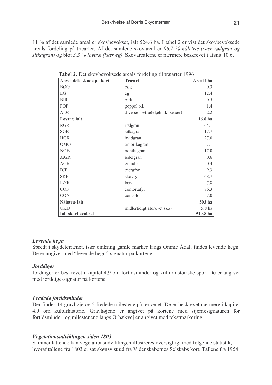11 % af det samlede areal er skovbevokset, ialt 524.6 ha. I tabel 2 er vist det skovbevoksede areals fordeling på træarter. Af det samlede skovareal er 96.7 % nåletræ (især rødgran og sitkagran) og blot 3.3 % løvtræ (især eg). Skovarealerne er nærmere beskrevet i afsnit 10.6.

| Anvendelseskode på kort  | <b>Træart</b>                     | Areal i ha |
|--------------------------|-----------------------------------|------------|
| <b>BØG</b>               | bøg                               | 0.3        |
| EG                       | eg                                | 12.4       |
| <b>BIR</b>               | birk                              | 0.5        |
| POP                      | poppel o.l.                       | 1.4        |
| <b>ALØ</b>               | diverse løvtræ(el, elm, kirsebær) | 2.2        |
| Løvtræ jalt              |                                   | 16.8 ha    |
| <b>RGR</b>               | rødgran                           | 164.1      |
| <b>SGR</b>               | sitkagran                         | 117.7      |
| <b>HGR</b>               | hvidgran                          | 27.0       |
| <b>OMO</b>               | omorikagran                       | 7.1        |
| <b>NOB</b>               | nobilisgran                       | 17.0       |
| ÆGR                      | ædelgran                          | 0.6        |
| <b>AGR</b>               | grandis                           | 0.4        |
| <b>BJF</b>               | bjergfyr                          | 9.3        |
| <b>SKF</b>               | skovfyr                           | 68.7       |
| LÆR                      | lærk                              | 7.8        |
| <b>COF</b>               | contortafyr                       | 76.3       |
| <b>CON</b>               | concolor                          | 7.0        |
| Nåletræ ialt             |                                   | 503 ha     |
| <b>UKU</b>               | midlertidigt afdrevet skov        | 5.8 ha     |
| <b>Ialt skovbevokset</b> |                                   | 519.8 ha   |

#### Levende hegn

Spredt i skydeterrænet, især omkring gamle marker langs Omme Ådal, findes levende hegn. De er angivet med "levende hegn"-signatur på kortene.

## **Jorddiger**

Jorddiger er beskrevet i kapitel 4.9 om fortidsminder og kulturhistoriske spor. De er angivet med jorddige-signatur på kortene.

## Fredede fortidsminder

Der findes 14 gravhøje og 5 fredede milestene på terrænet. De er beskrevet nærmere i kapitel 4.9 om kulturhistorie. Gravhøjene er angivet på kortene med stjernesignaturen for fortidsminder, og milestenene langs Ørbækvej er angivet med tekstmarkering.

#### Vegetationsudviklingen siden 1803

Sammenfattende kan vegetationsudviklingen illustreres oversigtligt med følgende statistik, hvoraf tallene fra 1803 er sat skønsvist ud fra Videnskabernes Selskabs kort. Tallene fra 1954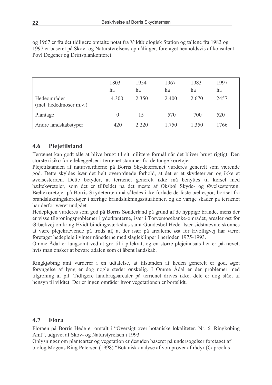og 1967 er fra det tidligere omtalte notat fra Vildtbiologisk Station og tallene fra 1983 og 1997 er baseret på Skov- og Naturstyrelsens opmålinger, foretaget henholdsvis af konsulent Povl Degener og Driftsplankontoret.

|                                        | 1803  | 1954  | 1967  | 1983  | 1997 |
|----------------------------------------|-------|-------|-------|-------|------|
|                                        | ha    | ha    | ha    | ha    | ha   |
| Hedeområder<br>(incl. hededmoser m.v.) | 4.300 | 2.350 | 2.400 | 2.670 | 2457 |
| Plantage                               |       | 15    | 570   | 700   | 520  |
| Andre landskabstyper                   | 420   | 2.220 | 1.750 | 1.350 | 1766 |

#### 4.6 **Plejetilstand**

Terrænet kan godt tåle at blive brugt til sit militære formål når det bliver brugt rigtigt. Den største risiko for ødelæggelser i terrænet stammer fra de tunge køretøjer.

Plejetilstanden af naturværdierne på Borris Skydeterrænet vurderes generelt som værende god. Dette skyldes især det helt overordnede forhold, at det er et skydeterræn og ikke et øvelsesterræn. Dette betyder, at terrænet generelt ikke må benyttes til kørsel med bæltekøretøjer, som det er tilfældet på det meste af Oksbøl Skyde- og Øvelsesterræn. Bæltekøretøjer på Borris Skydeterræn må således ikke forlade de faste bæltespor, bortset fra brandslukningskøretøjer i særlige brandslukningssituationer, og de varige skader på terrænet har derfor været undgået.

Hedeplejen vurderes som god på Borris Sønderland på grund af de hyppige brande, mens der er visse tilgroningsproblemer i yderkanterne, især i Tørvemosebanke-området, arealer øst for Ørbækvej omkring Hvidt bindingsværkshus samt Gundesbøl Hede. Især sidstnævnte skønnes at være plejekrævende på trods af, at der især på arealerne øst for Hvolligvej har været foretaget hedepleje i vintermånederne med slagleklipper i perioden 1975-1993.

Omme Ådal er langsomt ved at gro til i pilekrat, og en større plejeindsats her er påkrævet, hvis man ønsker at bevare ådalen som et åbent landskab.

Ringkjøbing amt vurderer i en udtalelse, at tilstanden af heden generelt er god, øget foryngelse af lyng er dog nogle steder ønskelig. I Omme Ådal er der problemer med tilgroning af pil. Tidligere landbrugsarealer på terrænet drives ikke, dele er dog slået af hensyn til vildtet. Der er ingen områder hvor vegetationen er bortslidt.

#### $4.7$ **Flora**

Floraen på Borris Hede er omtalt i "Oversigt over botaniske lokaliteter. Nr. 6. Ringkøbing Amt", udgivet af Skov- og Naturstyrelsen i 1993.

Oplysninger om plantearter og vegetation er desuden baseret på undersøgelser foretaget af biolog Mogens Ring Petersen (1998) "Botanisk analyse af vomprøver af rådyr (Capreolus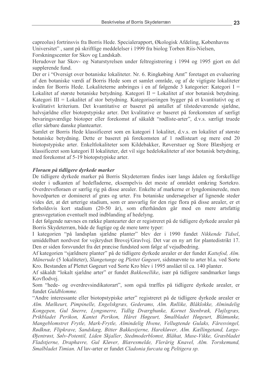capreolus) fortrinsvis fra Borris Hede. Specialerapport, Økologisk Afdeling, Københavns Universitet", samt på skriftlige meddelelser i 1999 fra biolog Torben Riis-Nielsen, Forskningscenter for Skov og Landskab.

Herudover har Skov- og Naturstyrelsen under feltregistrering i 1994 og 1995 gjort en del supplerende fund.

Der er i "Oversigt over botaniske lokaliteter. Nr. 6. Ringkøbing Amt" foretaget en evaluering af den botaniske værdi af Borris Hede som et samlet område, og af de vigtigste lokaliteter inden for Borris Hede. Lokaliteterne anbringes i en af følgende 3 kategorier: Kategori I = Lokalitet af største botaniske betydning. Kategori  $II =$  Lokalitet af stor botanisk betydning. Kategori III = Lokalitet af stor betydning. Kategoriseringen bygger på et kvantitativt og et kvalitativt kriterium. Det kvantitative er baseret på antallet af tilstedeværende sjældne, halvsjældne eller biotopstypiske arter. Det kvalitative er baseret på forekomsten af særligt bevaringsværdige biotoper eller forekomst af såkaldt "rødliste-arter", d.v.s. særligt truede eller sårbare danske plantearter.

Samlet er Borris Hede klassificeret som en kategori I lokalitet, d.v.s. en lokalitet af største botaniske betydning. Dette er baseret på forekomsten af 1 rødlisteart og mere end 20 biotopstypiske arter. Enkeltlokaliteter som Kildebakker, Røverstuer og Store Blæsbjerg er klassificeret som kategori II lokaliteter, det vil sige hedelokaliteter af stor botanisk betydning, med forekomst af 5-19 biotopstypiske arter.

## Floraen på tidligere dyrkede marker

De tidligere dyrkede marker på Borris Skydeterræn findes især langs ådalen og forskellige steder i udkanten af hedefladerne, eksempelvis det meste af området omkring Sortekro. Overdrevsfloraen er særlig rig på disse arealer. Enkelte af markerne er lyngdominerede, men hovedparten er domineret af græs og urter. Fra botaniske undersøgelser af lignende steder vides det, at det urterige stadium, som er ansvarlig for den rige flora på disse arealer, er et forholdsvis kort stadium (20-50 år), som efterhånden går mod en mere artsfattig græsvegetation eventuelt med indblanding af hedelyng.

I det følgende nævnes en række plantearter der er registreret på de tidligere dyrkede arealer på Borris Skydeterræn, både de fugtige og de mere tørre typer:

I kategorien "på landsplan sjældne planter" blev der i 1990 fundet Nikkende Tidsel, umiddelbart nordvest for vejkrydset Brovej/Gravlvej. Det var en ny art for plantedistrikt 17. Den er siden forsvundet fra det præcise fundsted som følge af vejudbedring.

Af kategorien "sjældnere planter" på de tidligere dyrkede arealer er der fundet Kattefod, Alm. Månerude (5 lokaliteter), Slangetunge og Plettet Gøgeurt, sidstnævnte to arter bl.a. ved Sorte Kro. Bestanden af Plettet Gøgeurt ved Sorte Kro blev i 1995 anslået til ca. 140 planter.

Af såkaldt "lokalt sjældne arter" er fundet Bakkenellike, især på tidligere sandmarker langs Kovflodvej.

Som "hede- og overdrevsindikatorart", som også træffes på tidligere dyrkede arealer, er fundet Guldblomme.

"Andre interessante eller biotopstypiske arter" registreret på de tidligere dyrkede arealer er Alm. Mælkeurt, Pimpinelle, Engelskgræs, Gederams, Alm. Røllike, Blåklokke, Almindelig Kongepen, Gul Snerre, Lyngsnerre, Tidlig Dværgbunke, Kornet Stenbræk, Fløjlsgræs, Prikbladet Perikon, Kantet Perikon, Håret Høgeurt, Smalbladet Høgeurt, Blåmunke, Mangeblomstret Frytle, Mark-Frytle, Almindelig Hvene, Vellugtende Gulaks, Fåresvingel, Rødknæ, Flipkrave, Sandskæg, Bitter Bakkestjerne, Harekløver, Alm. Kællingetand, Læge-Øjentrøst, Sølv-Potentil, Liden Skjaller, Stedmoderblomst, Blåhat, Muse-Vikke, Græsbladet Fladstjerne, Draphavre, Gul Kløver, Blæresmelde, Flerårig Knavel, Alm. Torskemund, Smalbladet Timian. Af lav-arter er fundet Cladonia furcata og Peltigera sp.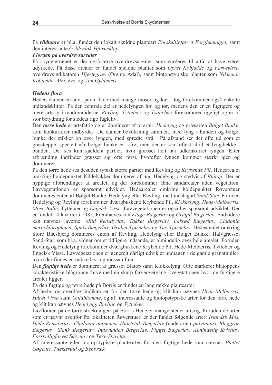På vildtagre er bl.a. fundet den lokalt sjældne planteart Forskelligfarvet Forglemmigej, samt den interessante Gyldenlak-Hjørneklap.

Floraen på overdrevsarealer

På skydeterrænet er der også tørre overdrevsarealer, som vurderes til altid at have været udyrkede. På disse arealer er fundet sjældne planter som Opret Kobjælde og Farvevisse, overdrevsindikatoren *Hjertegræs* (Omme Ådal), samt biotopstypiske planter som Nikkende Kobjælde, Alm. Ene og Alm. Gyldenris.

## **Hedens** flora

Heden danner en stor, jævn flade med mange moser og kær, dog forekommer også enkelte indlandsklitter. På den centrale del er hedelyngen høj og tør, medens den er en fugtigere og mere artsrig i randområderne. Revling, Tyttebær og Tranebær forekommer rigeligt og er af stor betydning for stedets rige fugleliv.

Den tørre hede er artsfattig og er domineret af to arter, Hedelyng og græsarten Bølget Bunke, som konkurrerer indbyrdes. De danner bevoksning sammen, med lyng i bunden og bølget bunke der stikker op over lyngen, med spredte strå. På afstand ser det ofte ud som et græstæppe, specielt når bølget bunke er i frø, men der er som oftest altid et lyngdække i bunden. Der ses kun sjældent partier, hvor græsset helt har udkonkurret lyngen. Efter afbrænding indfinder græsset sig ofte først, hvorefter lyngen kommer stærkt igen og dominerer.

På den tørre hede ses desuden typisk større partier med Revling og Krybende Pil. Hedearealet omkring højdepunktet Kildebakker domineres af ung Hedelyng og stedvis af Blåtop. Der er hyppige afbrændinger af arealet, og der forekommer åbne sandarealer uden vegetation. Lavvegetationen er sparsomt udviklet. Hedearealet omkring højdepunktet Røverstuer domineres enten af Bølget Bunke, Hedelyng eller Revling, med indslag af Sand-Star. Foruden Hedelyng og Revling forekommer dværgbuskene Krybende Pil, Klokkelyng, Hede-Melbærris, Mose-Bølle, Tyttebær og Engelsk Visse. Lavvegetationen er også her sparsomt udviklet. Der er fundet 14 lavarter i 1985. Fremhæves kan *Etage-Bægerlav* og Grågul Bægerlav. Endvidere kan nævnes laverne: Mild Rensdyrlav, Takket Bægerlav, Lakrød Bægerlav, Cladonia merochlorophaea, Spids Bægerlav, Grubet Tjørnelav og Tue-Tjørnelav. Hedearealet omkring Store Blæsbjerg domineres enten af Revling, Hedelyng eller Bølget Bunke. Halvgræsset Sand-Star, som bl.a. vidner om et tidligere indsande, er almindelig over hele arealet. Foruden Revling og Hedelyng forekommer dværgbuskene Krybende Pil, Hede-Melbærris, Tyttebær og Engelsk Visse. Lavvegetationen er generelt dårligt udviklet undtagen i de gamle granathuller, hvori der findes en række lav- og mossamfund.

Den *fugtige hede* er domineret af græsset Blåtop samt Klokkelyng. Ofte markerer blåtoppens karakteristiske blågrønne farve med en skarp farveovergang i vegetationen hvor de fugtigere arealer ligger.

På den fugtige og tørre hede på Borris er fundet en lang række plantearter.

Af hede- og overdrevsindikatorer for den tørre hede og klit kan nævnes Hede-Melbærris, Håret Visse samt Guldblomme, og af interessante og biotopstypiske arter for den tørre hede og klit kan nævnes Hedelyng, Revling og Tyttebær.

Lavfloraen på de tørre strækninger på Borris Hede er mange steder artsrig. Foruden de arter som er nævnt ovenfor fra lokaliteten Røverstuer, er der fundet følgende arter: Islandsk Mos, Hede-Rensdyrlav, Cladonia anomaea, Hjortetak-Bægerlav (underarten pulvinata), Bleggrøn Bægerlav, Slank Bægerlav, Indsvunden Bægerlav, Pigget Bægerlav, Almindelig Kvistlav, Forskelligfarvet Skivelav og Tørv-Skivelav.

Af interessante eller biotopstypiske plantearter for den fugtige hede kan nævnes Plettet Gøgeurt, Tuekæruld og Benbræk.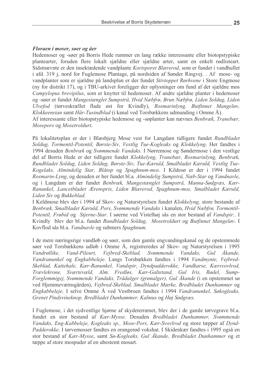#### Floraen i moser, søer og åer

Hedemoser og -søer på Borris Hede rummer en lang række interessante eller biotopstypiske plantearter, foruden flere lokalt sjældne eller sjældne arter, samt en enkelt rødlisteart. Sidstnævnte er den insektædende vandplante Kortsporet Blærerod, som er fundet i vandhullet i afd. 319 j, nord for Fuglemose Plantage, på nordsiden af Sønder Ringvej. Af mose- og vandplanter som er sjældne på landsplan er der fundet Stivtoppet Rørhvene i Store Engmose (ny for distrikt 17), og i TBU-arkivet foreligger der oplysninger om fund af det sjældne mos *Campylopus brevipilus*, som er knyttet til hedemoser. Af andre sjældne planter i hedemoser og -søer er fundet Mangestænglet Sumpstrå, Hvid Næbfrø, Brun Næbfrø, Liden Soldug, Liden Ulvefod (tørveskrællet flade øst for Kvindly), Rosmarinlyng, Butfinnet Mangeløy, Klokkeensian samt Hår-Tusindblad (i kanal ved Torsbækkens udmunding i Omme Å). Af interessante eller biotopstypiske hedemose og -søplanter kan nævnes Benbræk, Tranebær, Mosepors og Mosetroldurt.

På lokalitetsplan er der i Blæsbjerg Mose vest for Langdam tidligere fundet Rundbladet Soldug, Tormentil-Potentil, Børste-Siv, Vestlig Tue-Kogleaks og Klokkelyng. Her fandtes i 1994 desuden Benbræk og Svømmende Vandaks. I Nørremose og Søndermose i den vestlige del af Borris Hede er der tidligere fundet Klokkelyng, Tranebær, Rosmarinlyng, Benbræk, Rundbladet Soldug, Liden Soldug, Børste-Siv, Tue-Kæruld, Smalbladet Kæruld, Vestlig Tue-Kogelaks, Almindelig Star, Blåtop og Spaghnum-mos. I Kildesø er der i 1994 fundet Rosmarin-Lyng, og desuden er her fundet bl.a. Almindelig Sumpstrå, Næb-Star og Vandnavle, og i Langdam er der fundet Benbræk, Mangestænglet Sumpstrå, Manna-Sødgræs, Kær-Ranunkel, Lancetbladet Ærenspris, Liden Blærerod, Spaghnum-mos, Smalbladet Kæruld, Liden Siv og Bukkeblad.

I Keldmose blev der i 1994 af Skov- og Naturstyrelsen fundet Klokkelyng, store bestande af Benbræk, Smalbladet Kæruld, Pors, Svømmende Vandaks i kanalen, Hvid Næbfrø, Tormentil-Potentil, Frøbid og Stjerne-Star. I søerne ved Vistelhøj sås en stor bestand af Vandspir.. I Kvindly blev der bl.a. fundet Rundbladet Soldug, Mosetroldurt og Butfinnet Mangeløv. I Kovflod sås bl.a. Vandnavle og submers Spaghnum.

I de mere næringsrige vandløb og søer, som den gamle engvandingskanal og de opstemmede søer ved Torsbækkens udløb i Omme Å, registreredes af Skov- og Naturstyrelsen i 1995 Vejbred-Skeblad, Vandrøllike. Vand-Pileurt. Svømmende Vandaks. Gul Åkande. Vandranunkel og Engkabbeleje. Langs Torsbækken fandtes i 1994 Vandmynte, Vejbred-Skeblad, Kattehale, Kær-Ranunkel, Vandspir, Dyndpadderokke, Vandkarse, Kærsvovlrod, Trævlekrone, Sværtevæld, Alm. Fredløs, Kær-Galtetand, Gul Iris, Rødel, Sump-Forglemmigej, Svømmende Vandaks, Trådalger (grønalger), Gul Åkande (i en opstemmet sø ved Hjemmeværnsgården), Vejbred-Skeblad, Smalbladet Mærke, Bredbladet Dunhammer og Engkabbeleje. I selve Omme Å ved Vestbroen fandtes i 1994 Vandranunkel, Søkogleaks, Grenet Pindsvineknop, Bredbladet Dunhammer, Kalmus og Høj Sødgræs.

I Fuglemose, i det sydvestlige hjørne af skydeterrænet, blev der i de gamle tørvegrave bl.a. fundet en stor bestand af Kær-Mysse. Desuden Bredbladet Dunhammer, Svømmende Vandaks, Eng-Kabbeleje, Kogleaks sp., Mose-Pors, Kær-Svovlrod og store tæpper af Dynd-Padderokke. I tørvemosser fandtes en orangerød vokshat. I Skidenkær fandtes i 1995 også en stor bestand af Kær-Mysse, samt Sø-Kogleaks, Gul Åkande, Bredbladet Dunhammer og et tæppe af store mospuder af en ubestemt mosart.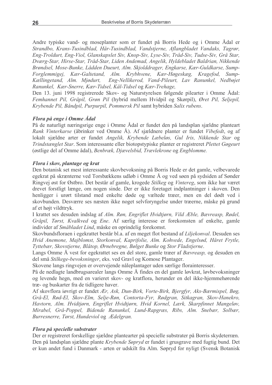Andre typiske vand- og moseplanter som er fundet på Borris Hede og i Omme Ådal er Strandbo, Krans-Tusindblad, Hår-Tusindblad, Vandstjerne, Aflangbladet Vandaks, Tagrør, Eng-Troldurt, Eng-Viol, Glanskapslet Siv, Knop-Siv, Lyse-Siv, Tråd-Siv, Tudse-Siv, Grå Star, Dværg-Star, Hirse-Star, Tråd-Star, Liden Andemad, Angelik, Hyldebladet Baldrian, Nikkende Brøndsel, Mose-Bunke, Lådden Dueurt, Alm. Skjolddrager, Engkarse, Kær-Guldkarse, Sump-Forglemmigej, Kær-Galtetand, Alm. Krybhvene, Kær-Høgeskæg, Kragefod, Sump-Kællingetand, Alm. Mjødurt, Eng-Nellikerod, Vand-Pileurt, Lav Ranunkel, Nedbøjet Ranunkel, Kær-Snerre, Kær-Tidsel, Kål-Tidsel og Kær-Trehage,

Den 13. juni 1998 registrerede Skov- og Naturstyrelsen følgende pilearter i Omme Ådal: Femhannet Pil, Gråpil, Grøn Pil (hybrid mellem Hvidpil og Skørpil), Øret Pil, Seljepil, Krybende Pil, Båndpil, Purpurpil, Pommersk Pil samt hybriden Salix rubens.

#### Flora på enge i Omme Ådal

På de naturligt næringsrige enge i Omme Ådal er fundet den på landsplan sjældne planteart Rank Vinterkarse (åbrinker ved Omme Å). Af sjældnere planter er fundet Vibefedt, og af lokalt sjældne arter er fundet Angelik, Krybende Læbeløs, Gul Iris, Nikkende Star og Trindstænglet Star. Som interessante eller biotopstypiske planter er registreret Plettet Gøgeurt (østlige del af Omme ådal), Benbræk, Djævelsbid, Trævlekrone og Engblomme.

#### Flora i skov, plantage og krat

Den botanisk set mest interessante skovbevoksning på Borris Hede er det gamle, velbevarede egekrat på skrænterne ved Torsbækkens udløb i Omme Å og ved søen på sydsiden af Sønder Ringvej øst for Østbro. Det består af gamle, krogede Stilkeg og Vintereg, som ikke har været drevet forstligt længe, om nogen sinde. Der er ikke foretaget indplantninger i skoven. Den henligger i urørt tilstand med enkelte døde og væltede træer, men en del dødt ved i skovbunden. Desværre ses næsten ikke noget selvforyngelse under træerne, måske på grund af et højt vildttryk.

I krattet ses desuden indslag af Alm. Røn, Engriflet Hvidtjørn, Vild Æble, Bævreasp, Rødel, Gråpil, Tørst, Kvalkved og Ene. Af særlig interesse er forekomsten af enkelte, gamle individer af Småbladet Lind, måske en oprindelig forekomst.

Skovbundsfloraen i egekrattet består bl.a. af en meget flot bestand af Liljekonval. Desuden ses Hvid Anemone, Majblomst, Storkonval, Kaprifolie, Alm. Kohvede, Engelsød, Håret Frytle, Tyttebær, Skovstjerne, Blåtop, Ørnebregne, Bølget Bunke og Stor Fladstjerne.

Langs Omme Å vest for egekrattet ses en del store, gamle træer af Bævreasp, og desuden en del små Stilkege-bevoksninger, eks. ved Gravl og Komose Plantager.

Skovene langs ringvejen er overvejende nåleplantager uden særlige florainteresser.

På de nedlagte landbrugsarealer langs Omme Å findes en del gamle løvkrat, løvbevoksninger og levende hegn, med en varieret skov- og kratflora, herunder en del ikke-hjemmehørende træ- og buskarter fra de tidligere haver.

Af skovflora igvrigt er fundet Ær, Ask, Dun-Birk, Vorte-Birk, Bjergfyr, Aks-Bærmispel, Bøg, Grå-El, Rød-El, Skov-Elm, Selje-Røn, Contorta-Fyr, Rødgran, Sitkagran, Skov-Hanekro, Havtorn, Alm. Hvidtjørn, Engriflet Hvidtjørn, Hvid Kornel, Lærk, Skarpfinnet Mangeløv, Mirabel, Grå-Poppel, Bidende Ranunkel, Lund-Rapgræs, Ribs, Alm. Snebær, Solbær, Burresnerre, Tørst, Hundeviol og Ædelgran.

#### Flora på specielle substrater

Der er registreret forskellige sjældne plantearter på specielle substrater på Borris skydeterræn. Den på landsplan sjældne plante Krybende Søpryd er fundet i grusgrave med fugtig bund. Det er kun andet fund i Danmark - arten er udskilt fra Alm. Søpryd for nyligt (Svensk Botanisk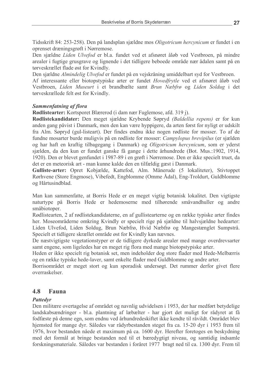Tidsskrift 84: 253-258). Den på landsplan sjældne mos Oligotricum hercynicum er fundet i en oprenset dræningsgrøft i Nørremose.

Den sjældne Liden Ulvefod er bl.a. fundet ved et afsnøret åløb ved Vestbroen, på mindre arealer i fugtige grusgrave og lignende i det tidligere beboede område nær ådalen samt på en tørveskrællet flade øst for Kvindly.

Den sjældne Almindelig Ulvefod er fundet på en vejskråning umiddelbart syd for Vestbroen.

Af interessante eller biotopstypiske arter er fundet Hovedfrytle ved et afsnøret åløb ved Vestbroen, Liden Museurt i et brandbælte samt Brun Næbfrø og Liden Soldug i det tørveskrællede felt øst for Kvindly.

## **Sammenfatning af flora**

**Rødlistearter:** Kortsporet Blærerod (i dam nær Fuglemose, afd. 319 j).

Rødlistekandidater: Den meget sjældne Krybende Søpryd (Baldellia repens) er for kun anden gang påvist i Danmark, men den kan være hyppigere, da arten først for nyligt er udskilt fra Alm. Søpryd (gul-listeart). Der findes endnu ikke nogen rødliste for mosser. To af de fundne mosarter burde muligvis på en rødliste for mosser: Campylopus brevipilus (er sjælden og har haft en kraftig tilbagegang i Danmark) og Oligotricum hercynicum, som er yderst sjælden, da den kun er fundet ganske få gange i dette århundrede (Bot. Mus.:1902, 1914, 1920). Den er blevet genfundet i 1987-89 i en grøft i Nørremose. Den er ikke specielt truet, da det er en meteorisk art - man kunne kalde den en tilfældig gæst i Danmark.

Gulliste-arter: Opret Kobjælde, Kattefod, Alm. Månerude (5 lokaliteter), Stivtoppet Rørhvene (Store Engmose), Vibefedt, Engblomme (Omme Ådal), Eng-Troldurt, Guldblomme og Hårtusindblad.

Man kan sammenfatte, at Borris Hede er en meget vigtig botanisk lokalitet. Den vigtigste naturtype på Borris Hede er hedemoserne med tilhørende småvandhuller og andre småbiotoper.

Rødlistearten, 2 af rødlistekandidaterne, en af gullistearterne og en række typiske arter findes her. Moseområderne omkring Kvindly er specielt rige på sjældne til halvsjældne hedearter: Liden Ulvefod, Liden Soldug, Brun Næbfrø, Hvid Næbfrø og Mangestænglet Sumpstrå. Specielt et tidligere skrællet område øst for Kvindly kan nævnes.

De næstvigtigste vegetationstyper er de tidligere dyrkede arealer med mange overdrevsarter samt engene, som ligeledes har en meget rig flora med mange biotopstypiske arter.

Heden er ikke specielt rig botanisk set, men indeholder dog store flader med Hede-Melbærris og en række typiske hede-laver, samt enkelte flader med Guldblomme og andre arter.

Borrisområdet er meget stort og kun sporadisk undersøgt. Det rummer derfor givet flere overraskelser.

#### 4.8 Fauna

## **Pattedyr**

Den militære overtagelse af området og navnlig udvidelsen i 1953, der har medført betydelige landskabsændringer - bl.a. plantning af læbælter - har gjort det muligt for rådyret at få fodfæste på denne egn, som endnu ved århundredeskiftet ikke kendte til råvildt. Området blev hjemsted for mange dyr. Således var rådyrbestanden steget fra ca. 15-20 dyr i 1953 frem til 1976, hvor bestanden nåede et maximum på ca. 1600 dyr. Herefter foretoges en beskydning med det formål at bringe bestanden ned til et bæredygtigt niveau, og samtidig indsamle forskningsmateriale. Således var bestanden i foråret 1977 bragt ned til ca. 1300 dyr. Frem til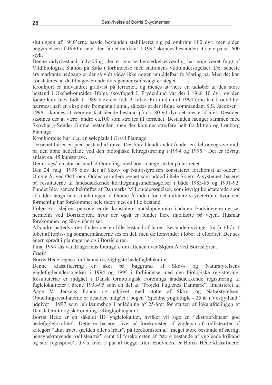slutningen af 1980'erne havde bestanden stabiliseret sig på omkring 800 dyr, men siden begyndelsen af 1990'erne er den faldet markant. I 1997 skønnes bestanden at være på ca. 600 styk.

Denne rådyrbestands udvikling, der er ganske bemærkelsesværdig, har nøje været fulgt af Vildtbiologisk Station på Kalø i forbindelse med stationens vildtundersøgelser. Det seneste års markante nedgang er der så vidt vides ikke nogen umiddelbar forklaring på. Men det kan konstateres, at de tilbageværende dyrs gennemsnitsvægt er steget.

Kronhjort er indvandret gradvist på terrænet, og menes at være en udløber af den store bestand i Oksbøl-området. Ifølge skovfoged J. Frydenlund var der i 1988 10 dyr, og den første kalv blev født. I 1989 blev der født 3 kalve. Fra midten af 1990'erne har kronvildtet nærmest haft en eksplosiv fremgang i antal, således at der ifølge kommandant S.S. Jacobsen i 1998 skønnes at være en faststående bestand på ca. 80-90 dyr det meste af året. Desuden skønnes der at være andre ca.100 som strejfer til terrænet. Bestanden hænger sammen med Skovbjerg-Sønder Omme bestanden, men der kommer strejfere helt fra klitten og Lønborg Plantage.

Kronhjortene har bl.a. en søleplads i Gravl Plantage.

Terrænet huser en pæn bestand af ræve. Der blev blandt andet fundet en del rævegrave midt på den åbne hedeflade ved den biologiske feltregistrering i 1994 og 1995. Der er jøvrigt anlagt ca. 45 kunstgrave.

Der er også en stor bestand af Grævling, med boer mange steder på terrænet.

Den 24. maj 1995 blev der af Skov- og Naturstyrelsen konstateret forekomst af odder i Omme Å, ved Østbroen. Odder var ellers regnet som uddød i hele Skjern Å-systemet, baseret på resultaterne af landsdækkende kortlægningsundersøgelser i både 1983-85 og 1991-92. Fundet blev senere bekræftet af Danmarks Miljøundersøgelser, som jøvrigt konstaterede spor af odder langs hele strækningen af Omme Å inden for det militære skydeterræn, hvor den formentlig har forekommet hele tiden med en lille bestand.

Ifølge Borrislejrens personel er der konstateret undslupne mink i ådalen. Endvidere er der set hermelin ved Borrislejren, hvor der også er fundet flere ihjelkørte på vejen. Husmår forekommer, og Skovmår er set.

Af andre pattedyrarter findes der en lille bestand af harer. Bestanden svinger fra år til år. I løbet af forårs- og sommermånderne ses en del, men de forsvinder i løbet af efteråret. Der ses egern spredt i plantagerne og i Borrislejren.

I maj 1994 sås vandflagermus fouragere om aftenen over Skjern Å ved Borrislejren.

## **Fugle**

Borris Hede regnes for Danmarks vigtigste hedefuglelokalitet.

klassificering baggrund Denne er sket på af Skov- $0<sup>q</sup>$ Naturstyrelsens ynglefugleundersøgelser i 1994 og 1995 i forbindelse med den biologiske registrering. Resultaterne er indgået i Dansk Ornitologisk Forenings landsdækkende registrering af fuglelokaliteter i årene 1993-95 som en del af "Projekt Fuglenes Danmark", finansieret af Aage V. Jensens Fonde og udgivet med støtte af Skov- og Naturstyrelsen. Optællingsresultaterne er desuden indgået i bogen "Sjældne ynglefugle - 25 år i Vestjylland" udgivet i 1997 som jubilæumsbog i anledning af 25-året for starten af lokalafdelingen af Dansk Ornitologisk Forening i Ringkjøbing amt.

Borris Hede er en såkaldt H1 ynglelokalitet, hvilket vil sige en "ekstraordinaær god hedefuglelokalitet". Dette er baseret såvel på forekomsten af ynglepar af rødlistearter af kategori "akut truet, sjælden eller sårbar", på forekomsten af "meget store bestande af særligt hensynskrævende rødlistearter" samt til forekomsten af "store bestande af ynglende krikand og stor regnspove", d.v.s. over 5 par af begge arter. Endvidere er Borris Hede klassificeret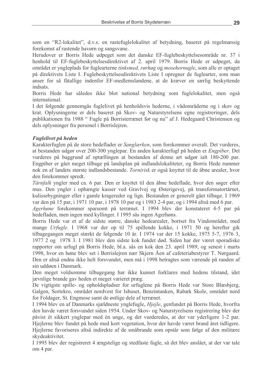som en "R2-lokalitet", d.v.s. en rastefuglelokalitet af betydning, baseret på regelmæssig forekomst af rastende havørn og sangsvane.

Herudover er Borris Hede udpeget som det danske EF-fuglebeskyttelsesområde nr. 37 i henhold til EF-fuglebeskyttelsesdirektivet af 2. april 1979. Borris Hede er udpeget, da området er yngleplads for fuglearterne *tinksmed, rørhøg* og *mosehornugle*, som alle er optaget på direktivets Liste I. Fuglebeskyttelsesdirektivets Liste I opregner de fuglearter, som man anser for så fåtallige indenfor EF-medlemslandene, at de kræver en særlig beskyttende indsats.

Borris Hede har således ikke blot national betydning som fuglelokalitet, men også international

I det følgende gennemgås fuglelivet på henholdsvis hederne, i vådområderne og i skov og krat. Oplysningerne er dels baseret på Skov- og Naturstyrelsens egne registreringer, dels publikationen fra 1988 " Fugle på Borristerrænet før og nu" af J. Hedegaard Christensen og dels oplysninger fra personel i Borrislejren.

### Fuglelivet på heden

Karakterfuglen på de store hedeflader er *Sanglærken*, som forekommer overalt. Det vurderes, at bestanden udgør over 200-300 ynglepar. En anden karakterfugl på heden er Engpiber. Det vurderes på baggrund af optællingen at bestanden af denne art udgør ialt 180-200 par. Engpiber er gået meget tilbage på landsplan på indlandslokaliteter, og Borris Hede rummer nok en af landets største indlandsbestande. Tornirisk er også knyttet til de åbne arealer, hvor den forekommer spredt.

*Tårnfalk* yngler med ca. 6 par. Den er knyttet til den åbne hedeflade, hvor den søger efter mus. Den yngler i ophængte kasser ved Gravlvej og Østerigevej, på transformatortårnet, kulissebygninger eller i gamle kragereder og lign. Bestanden er generelt gået tilbage. I 1969 var den på 15 par, i 1971 10 par, i 1978 10 par og i 1983 2-4 par, og i 1994 altså med 6 par.

Agerhøne forekommer sparsomt på terrænet. I 1994 blev der konstateret 4-5 par på hedefladen, men ingen med kyllinger. I 1995 sås ingen Agerhøns.

Borris Hede var et af de sidste større, danske hedearealer, bortset fra Vindområdet, med mange Urfugle. I 1968 var der op til 75 spillende kokke, i 1971 50 og herefter gik tilbagegangen meget stærkt de følgende 10 år. I 1974 var der 15 kokke, 1975 5-7, 1976 3, 1977 2 og 1978 3. I 1981 blev den sidste kok fundet død. Siden har der været sporadiske rapporter om urfugl på Borris Hede, bl.a. sås en kok den 23. april 1989, og senest i marts 1998, hvor en høne blev set i Borrislejren nær Skjern Åen af cafeteriabestyrer T. Nørgaard. Den er altså endnu ikke helt forsvundet, men må i 1998 betragtes som værende på randen af sin uddøen i Danmark.

Den meget voldsomme tilbagegang har ikke kunnet forklares med hedens tilstand, idet jævnlige brande gav heden et meget varieret præg.

De vigtigste spille- og opholdspladser for urfuglene på Borris Hede var Store Blæsbjerg, Galgen, Sortekro, området nordvest for Ishuset, Benzintanken, Rabæk Skole, området nord for Foldager, St. Engmose samt de østlige dele af terrænet.

I 1994 blev en af Danmarks sjældneste ynglefugle, Hjejle, genfundet på Borris Hede, hvorfra den havde været forsvundet siden 1954. Under Skov- og Naturstyrelsens registrering blev der påvist ét sikkert ynglepar med én unge, og det vurderedes, at der var yderligere 1-2 par. Hiejlerne blev fundet på hede med kort vegetation, hvor der havde været brand året tidligere. Higilerne favoriseres altså indirekte af de småbrande som opstår som følge af den militære skydeaktivitet.

I 1995 blev der registreret 4 ængstelige og stedfaste fugle, så det blev anslået, at der var tale om 4 par.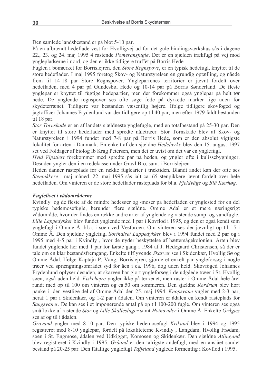Den samlede landsbestand er på blot 5-10 par.

På en afbrændt hedeflade vest for Hvolligvej ud for det gule bindingsværkshus sås i dagene 22., 23. og 24. maj 1995 4 rastende Pomeransfugle. Det er en sjælden trækfugl på vej mod ynglepladserne i nord, og den er ikke tidligere truffet på Borris Hede.

Fuglen i bomærket for Borrislejren, den *Store Regnspove*, er en typisk hedefugl, knyttet til de store hedeflader. I maj 1995 foretog Skov- og Naturstyrelsen en grundig optælling, og nåede frem til 14-18 par Store Regnspover. Yngleparrenes territorier er jævnt fordelt over hedefladen, med 4 par på Gundesbøl Hede og 10-14 par på Borris Sønderland. De fleste vnglepar er knyttet til fugtige hedepartier, men der forekommer også ynglepar på helt tør hede. De ynglende regnspover ses ofte søge føde på dyrkede marker lige uden for skydeterrænet. Tidligere var bestanden væsentlig højere. Ifølge tidligere skovfoged og jagtofficer Johannes Frydenlund var der tidligere op til 40 par, men efter 1979 faldt bestanden til 18 par.

Stor Tornskade er en af landets sjældneste ynglefugle, med en totalbestand på 25-30 par. Den er knyttet til store hedeflader med spredte nåletræer. Stor Tornskade blev af Skov- og Naturstyrelsen i 1994 fundet med 7-8 par på Borris Hede, som er den absolut vigtigste lokalitet for arten i Danmark. En enkelt af den sjældne Hedelærke blev den 15. august 1997 set ved Foldager af biolog Ib Krag Petersen, men det er uvist om det var en ynglefugl.

Hvid Vipstjert forekommer med spredte par på heden, og yngler ofte i kulissebygninger. Desuden yngler den i en redekasse under Gravl Bro, samt i Borrislejren.

Heden danner rasteplads for en række fuglearter i træktiden. Blandt andet kan der ofte ses Stenpikkere i maj måned. 22. maj 1995 sås ialt ca. 65 stenpikkere jævnt fordelt over hele hedefladen. Om vinteren er de store hedeflader rasteplads for bl.a. Fjeldvåge og Blå Kærhøg.

#### Fuglelivet i vådområderne

Kvindly og de fleste af de mindre hedesøer og -moser på hedefladen er ynglested for en del typiske hedemosefugle, herunder flere sjældne. Omme Ådal er et mere næringsrigt vådområde, hvor der findes en række andre arter af ynglende og rastende sump- og vandfugle. Lille Lappedykker blev fundet ynglende med 1 par i Kovflod i 1995, og den er også kendt som ynglefugl i Omme Å, bl.a. i søen ved Vestbroen. Om vinteren ses der jævnligt op til 15 i Omme Å. Den sjældne ynglefugl Sorthalset Lappedykker blev i 1994 fundet med 2 par og i 1995 med 4-5 par i Kvindly, hvor de nyder beskyttelse af hættemågekolonien. Arten blev fundet ynglende her med 1 par for første gang i 1984 af J. Hedegaard Christensen, så der er tale om en klar bestandsfremgang. Enkelte tilflyvende Skarver ses i Skidenkær, Hvollig Sø og Omme Ådal. Ifølge Kaptajn P. Vang, Borrislejren, gjorde et enkelt par yngleforsøg i nogle træer ved sprængningsområdet syd for åen i ca. 1996, dog uden held. Skovfoged Johannes Frydenlund oplyser desuden, at skarven har gjort yngleforsøg i de udgåede træer i St. Hvollig søen, også uden held. Fiskehejre yngler ikke på terrænet, men raster i Omme Ådal hele året rundt med op til 100 om vinteren og ca.50 om sommeren. Den sjældne Rørdrum blev hørt pauke i den vestlige del af Omme Ådal den 25. maj 1994. Knopsvane yngler med 2-3 par, heraf 1 par i Skidenkær, og 1-2 par i ådalen. Om vinteren er ådalen en kendt rasteplads for Sangsvaner. De kan ses i et imponerende antal på op til 100-200 fugle. Om vinteren ses også småflokke af rastende Stor og Lille Skallesluger samt Hvinænder i Omme Å. Enkelte Grågæs ses af og til i ådalen.

Gravand yngler med 8-10 par. Den typiske hedemosefugl Krikand blev i 1994 og 1995 registreret med 8-10 ynglepar, fordelt på lokaliteterne Kvindly, Langdam, Hvollig Frødam, søen i St. Engmose, ådalen ved Udkigget, Komosen og Skidenkær. Den sjældne Atlingand blev registreret i Kvindly i 1995. Gråand er den talrigste andefugl, med en anslået samlet bestand på 20-25 par. Den fåtallige ynglefugl Taffeland ynglede formentlig i Kovflod i 1995.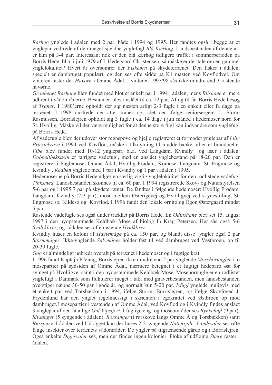Rørhøg vnglede i ådalen med 2 par, både i 1994 og 1995. Her fandtes også i begge år et ynglepar ved rede af den meget sjældne ynglefugl Blå Kærhøg. Landsbestanden af denne art er kun på 3-4 par. Interessant nok er den blå kærhøg tidligere truffet i sommerperioden på Borris Hede, bl.a. i juli 1979 af J. Hedegaard Christensen, så måske er der tale om en gammel vnglelokalitet? Hvert år oversomrer der *Fiskeørn* på skydeterrænet. Den fisker i ådalen, specielt er dambruget populært, og den ses ofte sidde på K1 masten ved Kovflodvej. Om vinteren raster der *Havørn* i Omme Ådal. I vinteren 1997/98 sås ikke mindre end 3 rastende havørne.

Grønbenet Rørhøne blev fundet med blot et enkelt par i 1994 i ådalen, mens Blishøne er mere udbredt i vådområderne. Bestanden blev anslået til ca. 12 par. Af og til får Borris Hede besøg af Traner. I 1980'erne opholdt der sig næsten årligt 2-3 fugle i en enkelt eller få dage på terrænet. I 1998 dukkede der atter traner op, idet der ifølge seniorsergent L. Storm Rasmussen, Borrislejren opholdt sig 3 fugle i ca. 14 dage i juli måned i hedemoser nord for St. Hyollig. Måske vil der være mulighed for at denne store fugl kan indvandre som ynglefugl på Borris Hede.

Af vadefugle blev der udover stor regnspove og hjejle registreret et formodet ynglepar af Lille Præstekrave i 1994 ved Kovflod, måske i tilknytning til mudderbanker eller et brandbælte. Vibe blev fundet med 10-12 ynglepar, bl.a. ved Langdam, Kvindly og især i ådalen. Dobbeltbekkasin er talrigste vadefugl, med en anslået ynglebestand på 18-20 par. Den er registreret i Fuglemose, Omme Ådal, Hvollig Frødam, Komose, Langdam, St. Engmose og Kvindly. Rødben ynglede med 1 par i Kvindly og 1 par i ådalen i 1995.

Hedemoserne på Borris Hede udgør en særlig vigtig ynglelokalitet for den rødlistede vadefugl Tinksmed. Landsbestanden skønnes til ca. 60 par. I 1994 registrerede Skov- og Naturstyrelsen 5-6 par og i 1995 7 par på skydeterrænet. De fandtes i følgende hedemoser: Hvollig Frødam, Langdam, Kvindly (2-3 par), mose mellem Østerigevej og Hvolligvej ved skydestilling, St. Engmose sø, Kildesø og Kovflod. I 1996 fandt den lokale ornitolog Egon Østergaard mindst 5 par.

Rastende vadefugle ses også under trækket på Borris Hede. En Odinshane blev set 15. august 1997 i den nyopstemmede Keldbæk Mose af biolog Ib Krag Petersen. Her sås også 5-6 Svaleklirer, og i ådalen ses ofte rastende Hvidklirer.

Kvindly huser en koloni af *Hættemåge* på ca. 150 par, og blandt disse yngler også 2 par Stormmåger. Ikke-ynglende Sølvmåger holder fast til ved dambruget ved Vestbroen, op til  $20-30$  fugle.

Gøg er almindeligt udbredt overalt på terrænet i hedemoser og i fugtige krat.

I 1996 fandt Kaptajn P. Vang, Borrislejren ikke mindre end 2 par ynglende Mosehornugler i to mosepartier på sydsiden af Omme Ådal, nærmere betegnet i et fugtigt hedeparti øst for svinget på Hvolligvej samt i den nyopstemmede Keldbæk Mose. Mosehornugle er en rødlistet ynglefugl i Danmark som fluktuerer meget i takt med gnaverbestanden, men landsbestanden overstiger næppe 30-50 par i gode år, og normalt kun 5-20 par. Isfugl ynglede muligvis med et enkelt par ved Torsbækken i 1994, ifølge Storm, Borrislejren, og ifølge Skovfoged J. Frydenlund har den ynglet regelmæssigt i skrænten i egekrattet ved Østbroen op mod dambruget. I mosepartier i vestenden af Omme Ådal, ved Kovflod og i Kvindly findes anslået 3 ynglepar af den fåtallige Gul Vipstjert. I fugtige eng- og moseområder ses Bynkefugl (9 par), Sivsanger (5 syngende i ådalen), Rørsanger (i rørskove langs Omme Å og Torsbækken) samt Rørspurv. I ådalen ved Udkigget kan der høres 2-3 syngende Nattergale. Landsvaler ses ofte fange insekter over terrænets vådområder. De yngler på tilgrænsende gårde og i Borrislejren. Også enkelte Digesvaler ses, men der findes ingen kolonier. Floke af udfløjne Stære raster i ådalen.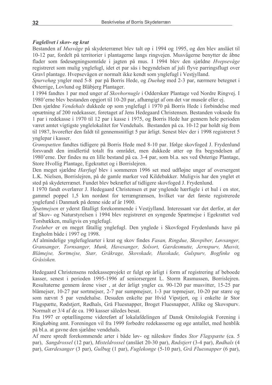### Fuglelivet i skov- og krat

Bestanden af Musvåge på skydeterrænet blev talt op i 1994 og 1995, og den blev anslået til 10-12 par, fordelt på territorier i plantagerne langs ringvejen. Musvågerne benytter de åbne flader som fødesøgningsområde i jagten på mus. I 1994 blev den sjældne Hvepsevåge registreret som mulig vnglefugl, idet et par sås i begyndelsen af juli flyve parringsflugt over Gravl plantage. Hvepsevågen er normalt ikke kendt som ynglefugl i Vestjylland.

Spurvehøg yngler med 5-8 par på Borris Hede, og Duehøg med 2-3 par, nærmere betegnet i Østerrige, Lovlund og Blåbjerg Plantager.

I 1994 fandtes 1 par med unger af Skovhornugle i Odderskær Plantage ved Nordre Ringvej. I 1980'erne blev bestanden opgjort til 10-20 par, afhængigt af om det var museår eller ej.

Den sjældne Vendehals dukkede op som ynglefugl i 1970 på Borris Hede i forbindelse med opsætning af 200 redekasser, foretaget af Jens Hedegaard Christensen. Bestanden voksede fra 1 par i redekasse i 1970 til 12 par i kasse i 1975, og Borris Hede har gennem hele perioden været amtet vigtigste ynglelokalitet for Vendehals. Bestanden på ca. 10-12 par holdt sig frem til 1987, hvorefter den faldt til gennemsnitligt 5 par årligt. Senest blev der i 1998 registreret 5 ynglepar i kasser.

Grønspætten fandtes tidligere på Borris Hede med 8-10 par. Ifølge skovfoged J. Frydenlund forsvandt den imidlertid totalt fra området, men dukkede atter op fra begyndelsen af 1980'erne. Der findes nu en lille bestand på ca. 3-4 par, som bl.a. ses ved Østerige Plantage, Store Hyollig Plantage, Egekrattet og i Borrislejren.

Den meget sjældne *Hærfugl* blev i sommeren 1996 set med udfløjne unger af oversergent L.K. Nielsen, Borrislejren, på de gamle marker ved Kildebakker. Muligvis har den ynglet et sted på skydeterrænet. Fundet blev bekræftet af tidligere skovfoged J. Frydenlund.

I 1970 fandt overlærer J. Hedegaard Christensen et par ynglende hærfugle i et hul i en stor, gammel poppel 1,5 km nordøst for terrængrænsen, hvilket var det første registrerede ynglefund i Danmark på denne side af år 1900.

Spætmejsen er yderst fåtalligt forekommende i Vestjylland. Interessant var det derfor, at der af Skov- og Naturstyrelsen i 1994 blev registreret en syngende Spætmejse i Egekrattet ved Torsbækken, muligvis en ynglefugl.

Træløber er en meget fåtallig ynglefugl. Den ynglede i Skovfoged Frydenlunds have på Engholm både i 1997 og 1998.

Af almindelige ynglefuglearter i krat og skov findes Fasan, Ringdue, Skovpiber, Løvsanger, Gransanger, Tornsanger, Munk, Havesanger, Solsort, Gærdesmutte, Jernspurv, Musvit, Blåmejse, Sortmejse, Stær, Gråkrage, Skovskade, Husskade, Gulspurv, Bogfinke og Gråsisken.

Hedegaard Christensens redekasseprojekt er fulgt op årligt i form af registrering af beboede kasser, senest i perioden 1995-1996 af seniorsergent L. Storm Rasmussen, Borrislejren. Resultaterne gennem årene viser, at der årligt yngler ca. 90-120 par musvitter, 15-25 par blåmejser, 10-27 par sortmejser, 2-7 par sumpmejser, 1-3 par topmejser, 10-20 par stære og som nævnt 5 par vendehalse. Desuden enkelte par Hvid Vipstiert, og i enkelte år Stor Flagspætte, Rødstjert, Rødhals, Grå Fluesnapper, Broget Fluesnapper, Allike og Skovspurv. Normalt er 3/4 af de ca. 190 kasser således besat.

Fra 1997 er optællingerne videreført af lokalafdelingen af Dansk Ornitologisk Forening i Ringkøbing amt. Foreningen vil fra 1999 forbedre redekasserne og øge antallet, med henblik på bl.a. at gavne den sjældne vendehals.

Af mere spredt forekommende arter i både løv- og nåleskov findes Stor Flagspætte (ca. 5 par), Sangdrossel (12 par), Misteldrossel (anslået 20-30 par), Rødstjert (3-4 par), Rødhals (4 par), Gærdesanger (3 par), Gulbug (1 par), Fuglekonge (5-10 par), Grå Fluesnapper (6 par),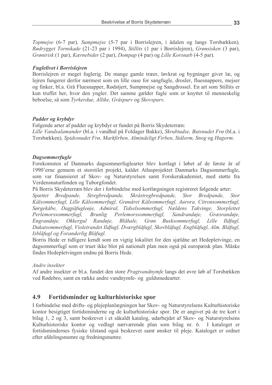Topmejse (6-7 par), Sumpmejse (5-7 par i Borrislejren, i ådalen og langs Torsbækken), Rødrygget Tornskade (21-23 par i 1994), Stillits (1 par i Borrislejren), Grønsisken (3 par), Grønirisk (1 par), Kærnebider (2 par), Dompap (4 par) og Lille Korsnæb (4-5 par).

### **Fuglelivet i Borrislejren**

Borrislejren er meget fuglerig. De mange gamle træer, løvkrat og bygninger giver læ, og lejren fungerer derfor nærmest som en lille oase for sangfugle, drosler, fluesnappere, mejser og finker, bl.a. Grå Fluesnapper, Rødstjert, Sumpmejse og Sangdrossel. En art som Stillits er kun truffet her, hvor den yngler. Det samme gælder fugle som er knyttet til menneskelig beboelse, så som Tyrkerdue, Allike, Gråspurv og Skovspurv.

# Padder og krybdyr

Følgende arter af padder og krybdyr er fundet på Borris Skydeterræn: Lille Vandsalamander (bl.a. i vandhul på Foldager Bakke), Skrubtudse, Butsnudet Frø (bl.a. i Torsbækken), Spidssnudet Frø, Markfirben, Almindeligt Firben, Stålorm, Snog og Hugorm.

### **Dagsommerfugle**

Forekomsten af Danmarks dagsommerfuglearter blev kortlagt i løbet af de første år af 1990'erne gennem et storstilet projekt, kaldet Atlasprojektet Danmarks Dagsommerfugle, som var finansieret af Skov- og Naturstyrelsen samt Forskerakademiet, med støtte fra Verdensnaturfonden og Tuborgfondet.

På Borris Skydeterræn blev der i forbindelse med kortlægningen registreret følgende arter:

Spættet Bredpande, Stregbredpande, Skråstregbredpande, Stor Bredpande, **Stor** Kålsommerfugl, Lille Kålsommerfugl, Grønåret Kålsommerfugl, Aurora, Citronsommerfugl, Sørgekåbe, Dagpåfugleøje, Admiral, Tidselsommerfugl, Nældens Takvinge, Storplettet Perlemorssommerfugl. **Brunlig** Perlemorssommerfugl. Sandrandøje, Græsrandøje, Engrandøie. *Okkergul* Randøje, Blåhale, Grøn Busksommerfugl, Lille Ildfugl, Dukatsommerfugl, Violetrandet Ildfugl, Dværgblåfugl, Skovblåfugl, Engblåfugl, Alm. Blåfugl, Isblåfugl og Foranderlig Blåfugl.

Borris Hede er tidligere kendt som en vigtig lokalitet for den sjældne art Hedepletvinge, en dagsommerfugl som er truet ikke blot på nationalt plan men også på europæisk plan. Måske findes Hedepletvingen endnu på Borris Hede.

### Andre insekter

Af andre insekter er bl.a. fundet den store *Pragtvandnymfe* langs det øvre løb af Torsbækken ved Rødebro, samt en række andre vandnymfe- og guldsmedearter.

#### 4.9 Fortidsminder og kulturhistoriske spor

I forbindelse med drifts- og plejeplanlægningen har Skov- og Naturstyrelsens Kulturhistoriske kontor besigtiget fortidsminderne og de kulturhistoriske spor. De er angivet på de tre kort i bilag 1, 2 og 3, samt beskrevet i et såkaldt katalog, udarbejdet af Skov- og Naturstyrelsens Kulturhistoriske kontor og vedlagt nærværende plan som bilag nr. 6. I kataloget er fortidsmindernes fysiske tilstand også beskrevet samt ønsker til pleje. Kataloget er ordnet efter afdelingsnumre og fredningsnumre.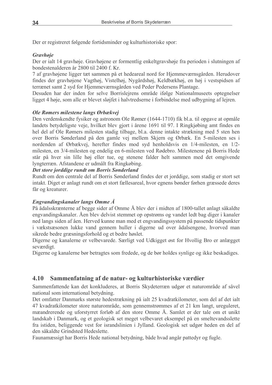Der er registreret følgende fortidsminder og kulturhistoriske spor:

### **Gravhoje**

Der er ialt 14 gravhøje. Gravhøjene er formentlig enkeltgravshøje fra perioden i slutningen af bondestenalderen år 2800 til 2400 f. Kr.

7 af gravhøjene ligger tæt sammen på et hedeareal nord for Hjemmeværnsgården. Herudover findes der gravhøjene Vagthøj, Vistelhøj, Nygårdshøj, Keldbækhøj, en høj i vestspidsen af terrænet samt 2 syd for Hjemmeværnsgården ved Peder Pedersens Plantage.

Desuden har der inden for selve Borrislejrens område ifølge Nationalmuseets optegnelser ligget 4 høje, som alle er blevet sløjfet i halvtredserne i forbindelse med udbygning af lejren.

### Ole Rømers milestene langs Ørbækvej

Den verdenskendte fysiker og astronom Ole Rømer (1644-1710) fik bl.a. til opgave at opmåle landets betydeligste veje, hvilket blev gjort i årene 1691 til 97. I Ringkjøbing amt findes en hel del af Ole Rømers milesten stadig tilbage, bl.a. denne intakte strækning med 5 sten hen over Borris Sønderland på den gamle vej mellem Skjern og Ørbæk. En 5-milesten ses i nordenden af Ørbækvej, herefter findes mod syd henholdsvis en 1/4-milesten, en 1/2milesten, en 3/4-milesten og endelig en 6-milesten ved Rødebro. Milestenene på Borris Hede står på hver sin lille høj eller tue, og stenene falder helt sammen med det omgivende lyngterræn. Afstandene er udmålt fra Ringkøbing.

#### Det store jorddige rundt om Borris Sønderland

Rundt om den centrale del af Borris Sønderland findes der et jorddige, som stadig er stort set intakt. Diget er anlagt rundt om et stort fællesareal, hvor egnens bønder førhen græssede deres får og kreaturer.

### Engvandingskanaler langs Omme Å

På ådalsskrænterne af begge sider af Omme Å blev der i midten af 1800-tallet anlagt såkaldte engvandingskanaler. Åen blev delvist stemmet op opstrøms og vandet ledt bag diger i kanaler ned langs siden af åen. Herved kunne man med et engvandingssystem på passende tidspunkter i vækstsæsonen lukke vand gennem huller i digerne ud over ådalsengene, hvorved man sikrede bedre græsningsforhold og et bedre høslet.

Digerne og kanalerne er velbevarede. Særligt ved Udkigget øst for Hvollig Bro er anlægget seværdigt.

Digerne og kanalerne bør betragtes som fredede, og de bør holdes synlige og ikke beskadiges.

#### 4.10 Sammenfatning af de natur- og kulturhistoriske værdier

Sammenfattende kan det konkluderes, at Borris Skydeterræn udgør et naturområde af såvel national som international betydning.

Det omfatter Danmarks største hedestrækning på ialt 25 kvadratkilometer, som del af det ialt 47 kvadratkilometer store naturområde, som gennemstrømmes af et 21 km langt, ureguleret, mæandrerende og uforstyrret forløb af den store Omme Å. Samlet er der tale om et unikt landskab i Danmark, og et geologisk set meget velbevaret eksempel på en smeltevandsslette fra istiden, beliggende vest for israndslinien i Jylland. Geologisk set udgør heden en del af den såkaldte Grindsted Hedeslette.

Faunamæssigt har Borris Hede national betydning, både hyad angår pattedyr og fugle.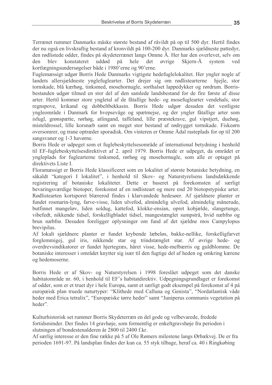Terrænet rummer Danmarks måske største bestand af råvildt på op til 500 dyr. Hertil findes der nu også en livskraftig bestand af kronvildt på 100-200 dyr. Danmarks sjældneste pattedyr, den rødlistede odder, findes på skydeterrænet langs Omme Å. Her har den overlevet, selv om blev den konstateret uddød på hele det ovrige Skiern-Å system ved kortlægningsundersøgelser både i 1980'erne og 90'erne.

Fuglemæssigt udgør Borris Hede Danmarks vigtigste hedefuglelokalitet. Her yngler nogle af landets allersjældneste ynglefuglearter. Det drejer sig om rødlistearterne hielle, stor tornskade, blå kærhøg, tinksmed, mosehornugle, sorthalset lappedykker og rørdrum. Borrisbestanden udgør tilmed en stor del af den samlede landsbestand for de fire første af disse arter. Hertil kommer store yngletal af de fåtallige hede- og mosefuglearter vendehals, stor regnspove, krikand og dobbeltbekkasin. Borris Hede udgør desuden det vestligste yngleområde i Danmark for hvepsevåge og spætmejse, og der yngler fåtallige arter som isfugl, grønspætte, rørhøg, atlingand, taffeland, lille præstekrave, gul vipstjert, duehøg, misteldrossel, lille korsnæb samt en meget stor bestand af rødrygget tornskade. Fiskeørn oversomrer, og trane optræder sporadisk. Om vinteren er Omme Ådal rasteplads for op til 200 sangsvaner og 1-3 havørne.

Borris Hede er udpeget som et fuglebeskyttelsesområde af international betydning i henhold til EF-fuglebeskyttelsesdirektivet af 2. april 1979. Borris Hede er udpeget, da området er yngleplads for fuglearterne tinksmed, rørhøg og mosehornugle, som alle er optaget på direktivets Liste L

Floramæssigt er Borris Hede klassificeret som en lokalitet af største botaniske betydning, en såkaldt "kategori I lokalitet", i henhold til Skov- og Naturstyrelsens landsdækkende registrering af botaniske lokaliteter. Dette er baseret på forekomsten af særligt bevaringsværdige biotoper, forekomst af en rødlisteart og mere end 20 biotopstypiske arter. Rødlistearten kortsporet blærerod findes i klarvandede hedesøer. Af sjældnere planter er fundet rosmarin-lyng, farve-visse, liden ulvefod, almindelig ulvefod, almindelig månerude, butfinnet mangeløv, liden soldug, kattefod, klokke-ensian, opret kobjælde, slangetunge, vibefedt, nikkende tidsel, forskelligbladet tidsel, mangestænglet sumpstrå, hvid næbfrø og brun næbfrø. Desuden foreligger oplysninger om fund af det sjældne mos Campylopus brevipilus.

Af lokalt sjældnere planter er fundet krybende læbeløs, bakke-nellike, forskelligfarvet forglemmigej, gul iris, nikkende star og trindstænglet star. Af øvrige hede- og overdrevsindikatorer er fundet hjertegræs, håret visse, hede-melbærris og guldblomme. De botaniske interesser i området knytter sig især til den fugtige del af heden og omkring kærene og hedemoserne.

Borris Hede er af Skov- og Naturstyrelsen i 1998 foreslået udpeget som det danske habitatområde nr. 60, i henhold til EF's habitatdirektiv. Udpegningsgrundlaget er forekomst af odder, som er et truet dyr i hele Europa, samt et særligt godt eksempel på forekomst af 4 på europæisk plan truede naturtyper: "Klithede med Calluna og Genista", "Nordatlantisk våde heder med Erica tetralix", "Europæiske tørre heder" samt "Juniperus communis vegetation på heder"

Kulturhistorisk set rummer Borris Skydeterræn en del gode og velbevarede, fredede fortidsminder. Der findes 14 gravhøje, som formentlig er enkeltgravshøje fra perioden i slutningen af bondestenalderen år 2800 til 2400 f.kr.

Af særlig interesse er den fine række på 5 af Ole Rømers milestene langs Ørbækvej. De er fra perioden 1691-97. På landsplan findes der kun ca. 55 styk tilbage, heraf ca. 40 i Ringkøbing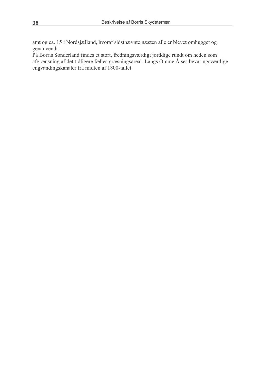amt og ca. 15 i Nordsjælland, hvoraf sidstnævnte næsten alle er blevet omhugget og genanvendt.

På Borris Sønderland findes et stort, fredningsværdigt jorddige rundt om heden som afgrænsning af det tidligere fælles græsningsareal. Langs Omme Å ses bevaringsværdige engvandingskanaler fra midten af 1800-tallet.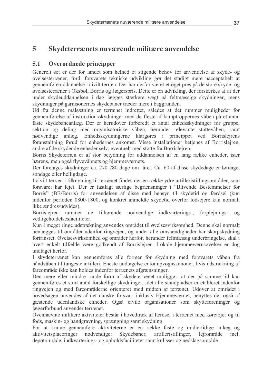#### $5.1$ Overordnede principper

Generelt set er der for landet som helhed et stigende behov for anvendelse af skyde- og øvelsesterræner, fordi forsvarets tekniske udvikling gør det stadigt mere uacceptabelt at gennemføre uddannelse i civilt terræn. Der har derfor været et øget pres på de store skyde- og øvelsesterræner i Oksbøl, Borris og Jægerspris. Dette er en udvikling, der forstærkes af at der under skydeuddannelsen i dag lægges stærkere vægt på feltmæssige skydninger, mens skydninger på garnisonernes skydebaner træder mere i baggrunden.

Ud fra denne målsætning er terrænet indrettet, således at det rummer muligheder for gennemførelse af instruktionsskydninger med de fleste af kamptroppernes våben på et antal faste skydebaneanlæg. Der er herudover forberedt et antal enhedsskydninger for gruppe, sektion og deling med organisatoriske våben, herunder relevante støttevåben, samt nødvendige anlæg. Enhedsskydningerne klargøres i princippet ved Borrislejrens foranstaltning forud for enhedernes ankomst. Visse installationer betjenes af Borrislejren, andre af de skydende enheder selv, eventuelt med støtte fra Borrislejren.

Borris Skydeterræn er af stor betydning for uddannelsen af en lang række enheder, især hærens, men også flyvevåbnets og hjemmeværnets.

Der foretages skydninger ca. 270-280 dage om året. Ca. 60 af disse skydedage er lørdage, søndage eller helligdage.

I civilt terræn i tilknytning til terrænet findes der en række ydre artilleristillingsområder, som forsvaret har lejet. Der er fastlagt særlige begrænsninger i "Blivende Bestemmelser for Borris" (BB/Borris) for anvendelsen af disse med hensyn til skydetid og færdsel (kun indenfor perioden 0800-1800, og konkret anmeldte skydetid overfor lodsejere kan normalt ikke *ændres/udvides*).

Borrislejren rummer de tilhørende nødvendige indkvarterings-, forplejnings- $0g$ vedligeholdelsesfaciliteter.

Kun i meget ringe udstrækning anvendes området til øvelsesvirksomhed. Denne skal normalt henlægges til områder udenfor ringvejen, og under alle omstændigheder har skarpskydning fortrinsret. Øvelsesvirksomhed og områder herfor, herunder feltmæssig underbringelse, skal i hvert enkelt tilfælde være godkendt af Borrislejren. Lokale hjemmeværnsøvelser er dog undtaget herfor.

I skydeterrænet kan gennemføres alle former for skydning med forsvarets våben fra håndvåben til tungeste artilleri. Eneste undtagelse er kampvognskanoner, hvis udstrækning af fareområde ikke kan holdes indenfor terrænets afgrænsninger.

Den mere eller mindre runde form af skydeterrænet muliggør, at der på samme tid kan gennemføres et stort antal forskellige skydninger, idet alle standpladser er etableret indenfor ringvejen og med fareområderne orienteret mod midten af terrænet. Udover at området i hovedsagen anvendes af det danske forsvar, inklusiv Hjemmeværnet, benyttes det også af gæstende udenlandske enheder. Også civile organisationer som skytteforeninger og jægerforbund anvender terrænet.

Ovennævnte militære aktiviteter består i hovedtræk af færdsel i terrænet med køretøjer og til fods, maskin- og håndgravning, sprængning samt skydning.

For at kunne gennemføre aktiviteterne er en række faste og midlertidige anlæg og aktivitetsplaceringer nødvendige: Skydebaner, artilleristillinger, leirområde incl depotområde, indkvarterings- og opholdsfaciliteter samt kulisser og nedslagsområde.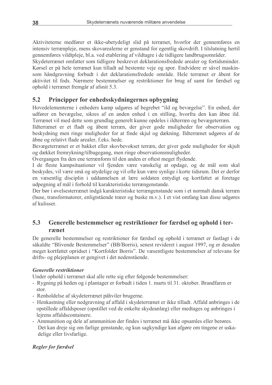Aktiviteterne medfører et ikke-ubetydeligt slid på terrænet, hvorfor der gennemføres en intensiv terrænpleje, mens skovarealerne er genstand for egentlig skovdrift. I tilslutning hertil gennemføres vildtpleje, bl.a. ved etablering af vildtagre i de tidligere landbrugsområder.

Skydeterrænet omfatter som tidligere beskrevet deklarationsfredede arealer og fortidsminder. Kørsel er på hele terrænet kun tilladt ad bestemte veje og spor. Endvidere er såvel maskinsom håndgravning forbudt i det deklarationsfredede område. Hele terrænet er åbent for aktivitet til fods. Nærmere bestemmelser og restriktioner for brug af samt for færdsel og ophold i terrænet fremgår af afsnit 5.3.

#### $5.2$ Principper for enhedsskydningernes opbygning

Hovedelementerne i enheders kamp udgøres af begrebet "ild og bevægelse". En enhed, der udfører en bevægelse, sikres af en anden enhed i en stilling, hvorfra den kan åbne ild. Terrænet vil med dette som grundlag generelt kunne opdeles i ildterræn og bevægeterræn.

Ildterrænet er et fladt og åbent terræn, der giver gode muligheder for observation og beskydning men ringe muligheder for at finde skjul og dækning. Ildterrænet udgøres af de åbne og relativt flade arealer, f.eks. hede.

Bevægeterrænet er et bakket eller skovbevokset terræn, der giver gode muligheder for skjult og dækket fremrykning/tilbagegang, men ringe observationsmuligheder.

Overgangen fra den ene terrænform til den anden er oftest meget flydende.

I de fleste kampsituationer vil fjenden være vanskelig at opdage, og de mål som skal beskydes, vil være små og utydelige og vil ofte kun være synlige i korte tidsrum. Det er derfor en væsentlig disciplin i uddannelsen at lære soldaten entydigt og kortfattet at foretage udpegning af mål i forhold til karakteristiske terrængenstande.

Der bør i øvelsesterrænet indgå karakteristiske terrængenstande som i et normalt dansk terræn (huse, transformatorer, enligtstående træer og buske m.v.). I et vist omfang kan disse udgøres af kulisser

#### $5.3$ Generelle bestemmelser og restriktioner for færdsel og ophold i terrænet

De generelle bestemmelser og restriktioner for færdsel og ophold i terrænet er fastlagt i de såkaldte "Blivende Bestemmelser" (BB/Borris), senest revideret i august 1997, og er desuden meget kortfattet opridset i "Kortfolder Borris". De væsentligste bestemmelser af relevans for drifts- og plejeplanen er gengivet i det nedenstående.

# **Generelle restriktioner**

Under ophold i terrænet skal alle rette sig efter følgende bestemmelser:

- Rygning på heden og i plantager er forbudt i tiden 1. marts til 31. oktober. Brandfaren er stor
- Renholdelse af skydeterrænet påhviler brugerne.
- Henkastning eller nedgravning af affald i skydeterrænet er ikke tilladt. Affald anbringes i de opstillede affaldsposer (opstillet ved de enkelte skydeanlæg) eller medtages og anbringes i lejrens affaldscontainere.
- Ammunition og dele af ammunition der findes i terrænet må ikke opsamles eller berøres. Det kan dreje sig om farlige genstande, og kun sagkyndige kan afgøre om tingene er uskadelige eller livsfarlige.

# **Regler for færdsel**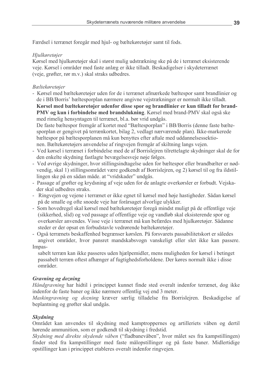Færdsel i terrænet foregår med hjul- og bæltekøretøjer samt til fods.

# Hjulkøretøjer

Kørsel med hjulkøretøjer skal i størst mulig udstrækning ske på de i terrænet eksisterende veje. Kørsel i områder med faste anlæg er ikke tilladt. Beskadigelser i skydeterrænet (veje, grøfter, rør m.v.) skal straks udbedres.

# Bæltekøretøjer

- Kørsel med bæltekøretøjer uden for de i terrænet afmærkede bæltespor samt brandlinier og de i BB/Borris' bæltesporplan nærmere angivne vejstrækninger er normalt ikke tilladt. Kørsel med bæltekøretøjer udenfor disse spor og brandlinier er kun tilladt for brand-
- PMV og kun i forbindelse med brandslukning. Kørsel med brand-PMV skal også ske med rimelig hensyntagen til terrænet, bl.a. bør vrid undgås.

De faste bæltespor fremgår af kortet med "Bæltesporplan" i BB/Borris (denne faste bæltesporplan er gengivet på terrænkortet, bilag 2, vedlagt nærværende plan). Ikke-markerede bæltespor på bæltesporplanen må kun benyttes efter aftale med uddannelsessektionen. Bæltekøretøjers anvendelse af ringvejen fremgår af skiltning langs vejen.

- Ved kørsel i terrænet i forbindelse med de af Borrislejren tilrettelagte skydninger skal de for den enkelte skydning fastlagte bevægelsesveje nøje følges.
- Ved øvrige skydninger, hvor stillingsindtagelse uden for bæltespor eller brandbælter er nødvendig, skal 1) stillingsområdet være godkendt af Borrislejren, og 2) kørsel til og fra ildstillingen ske på en sådan måde. at "vridskader" undgås.
- Passage af grøfter og krydsning af veje uden for de anlagte overkørsler er forbudt. Vejskader skal udbedres straks.
- Ringvejen og vejene i terrænet er ikke egnet til kørsel med høje hastigheder. Sådan kørsel på de smalle og ofte snoede veje har forårsaget alvorlige ulykker.
- Som hovedregel skal kørsel med bæltekøretøjer foregå mindst muligt på de offentlige veje (sikkerhed, slid) og ved passage af offentlige veje og vandløb skal eksisterende spor og overkørsler anvendes. Visse veje i terrænet må kun befærdes med hjulkøretøjer. Sådanne steder er der opsat en forbudstavle vedrørende bæltekøretøjer.
- Også terrænets beskaffenhed begrænser kørslen. På forsvarets passabilitetskort er således angivet områder, hvor pansret mandskabsvogn vanskeligt eller slet ikke kan passere. Impas-

sabelt terræn kan ikke passeres uden hjælpemidler, mens muligheden for kørsel i betinget passabelt terræn oftest afhænger af fugtighedsforholdene. Der køres normalt ikke i disse områder

# **Gravning og dozning**

Håndgravning har hidtil i princippet kunnet finde sted overalt indenfor terrænet, dog ikke indenfor de faste baner og ikke nærmere offentlig vej end 3 meter.

Maskingravning og dozning kræver særlig tilladelse fra Borrislejren. Beskadigelse af beplantning og grøfter skal undgås.

# **Skydning**

Området kan anvendes til skydning med kamptroppernes og artilleriets våben og dertil hørende ammunition, som er godkendt til skydning i fredstid.

Skydning med direkte skydende våben ("fladbanevåben", hvor målet ses fra kampstillingen) finder sted fra kampstillinger med faste målopstillinger og på faste baner. Midlertidige opstillinger kan i princippet etableres overalt indenfor ringvejen.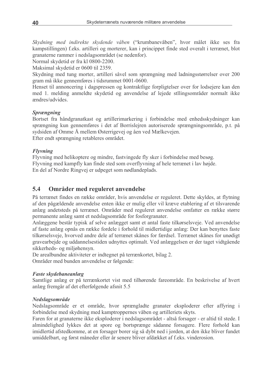Skydning med indirekte skydende våben ("krumbanevåben", hvor målet ikke ses fra kampstillingen) f.eks. artilleri og morterer, kan i princippet finde sted overalt i terrænet, blot granaterne rammer i nedslagsområdet (se nedenfor).

Normal skydetid er fra kl 0800-2200.

Maksimal skydetid er 0600 til 2359.

Skydning med tung morter, artilleri såvel som sprængning med ladningsstørrelser over 200 gram må ikke gennemføres i tidsrummet 0001-0600.

Henset til annoncering i dagspressen og kontraktlige forpligtelser over for lodsejere kan den med 1. melding anmeldte skydetid og anvendelse af lejede stilingsområder normalt ikke ændres/udvides

#### **Sprængning**

Bortset fra håndgranatkast og artillerimarkering i forbindelse med enhedsskydninger kan sprængning kun gennemføres i det af Borrislejren autoriserede sprængningsområde, p.t. på sydsiden af Omme Å mellem Østerrigevej og åen ved Mælkevejen. Efter endt sprængning retableres området.

**Flyvning** 

Flyvning med helikoptere og mindre, fastvingede fly sker i forbindelse med besøg. Flyvning med kampfly kan finde sted som overflyvning af hele terrænet i lav højde. En del af Nordre Ringvej er udpeget som nødlandeplads.

#### $5.4$ Områder med reguleret anvendelse

På terrænet findes en række områder, hvis anvendelse er reguleret. Dette skyldes, at flytning af den pågældende anvendelse enten ikke er mulig eller vil kræve etablering af et tilsvarende anlæg andetsteds på terrænet. Områder med reguleret anvendelse omfatter en række større permanente anlæg samt et nedslagsområde for fosforgranater.

Anlæggene består typisk af selve anlægget samt et antal faste tilkørselsveje. Ved anvendelse af faste anlæg opnås en række fordele i forhold til midlertidige anlæg: Der kan benyttes faste tilkørselsveje, hvorved andre dele af terrænet skånes for færdsel. Terrænet skånes for unødigt gravearbejde og uddannelsestiden udnyttes optimalt. Ved anlæggelsen er der taget vidtgående sikkerheds- og miljøhensyn.

De arealbundne aktiviteter er indtegnet på terrænkortet, bilag 2.

Områder med bunden anvendelse er følgende:

### **Faste skydebaneanlæg**

Samtlige anlæg er på terrænkortet vist med tilhørende fareområde. En beskrivelse af hvert anlæg fremgår af det efterfølgende afsnit 5.5

### Nedslagsområde

Nedslagsområde er et område, hvor sprængladte granater eksploderer efter affyring i forbindelse med skydning med kamptroppernes våben og artilleriets skyts.

Faren for at granaterne ikke eksploderer i nedslagsområdet - altså forsager - er altid til stede. I almindelighed lykkes det at spore og bortsprænge sådanne forsagere. Flere forhold kan imidlertid afstedkomme, at en forsager borer sig så dybt ned i jorden, at den ikke bliver fundet umiddelbart, og først måneder eller år senere bliver afdækket af f.eks. vinderosion.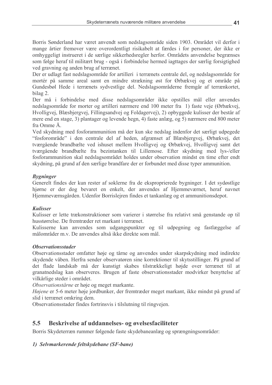Borris Sønderland har været anvendt som nedslagsområde siden 1903. Området vil derfor i mange årtier fremover være overordentligt risikabelt at færdes i for personer, der ikke er omhyggeligt instrueret i de særlige sikkerhedsregler herfor. Områdets anvendelse begrænses som følge heraf til militært brug - også i forbindelse hermed jagttages der særlig forsigtighed ved gravning og anden brug af terrænet.

Der er udlagt fast nedslagsområde for artilleri i terrænets centrale del, og nedslagsområde for mortér på samme areal samt en mindre strækning øst for Ørbækvej og et område på Gundesbøl Hede i terrænets sydvestlige del. Nedslagsområderne fremgår af terrænkortet, bilag 2.

Der må i forbindelse med disse nedslagsområder ikke opstilles mål eller anvendes nedslagsområde for morter og artilleri nærmere end 100 meter fra 1) faste veje (Ørbækvej, Hvolligvej, Blæsbjergvej, Fillingsandvej og Foldagervej), 2) opbyggede kulisser der består af mere end en stage, 3) plantager og levende hegn, 4) faste anlæg, og 5) nærmere end 800 meter fra Omme Å.

Ved skydning med fosforammunition må der kun ske nedslag indenfor det særligt udpegede "fosforområde" i den centrale del af heden, afgrænset af Blæsbjergvej, Ørbækvej, det tværgående brandbælte ved ishuset mellem Hvolligvej og Ørbækvej. Hvolligvej samt det tværgående brandbælte fra bezintanken til Lillemose. Efter skydning med lys-/eller fosforammunition skal nedslagsområdet holdes under observation mindst en time efter endt skydning, på grund af den særlige brandfare der er forbundet med disse typer ammunition.

# **Bygninger**

Generelt findes der kun rester af soklerne fra de eksproprierede bygninger. I det sydøstlige hjørne er der dog bevaret en enkelt, der anvendes af Hjemmeværnet, heraf navnet Hjemmeværnsgården. Udenfor Borrislejren findes et tankanlæg og et ammunitionsdepot.

# **Kulisser**

Kulisser er lette trækonstruktioner som varierer i størrelse fra relativt små genstande op til husstørrelse. De fremtræder ret markant i terrænet.

Kulisserne kan anvendes som udgangspunkter og til udpegning og fastlæggelse af målområder m v De anvendes altså ikke direkte som mål

# *Observationsstader*

Observationsstader omfatter høje og tårne og anvendes under skarpskydning med indirekte skydende våben. Herfra sender observatøren sine korrektioner til skytsstillinger. På grund af det flade landskab må der kunstigt skabes tilstrækkeligt højde over terrænet til at granatnedslag kan observeres. Brugen af faste observationsstader modvirker benyttelse af vilkårlige steder i området.

Observationstårne er høje og meget markante.

Højene er 5-6 meter høje jordbunker, der fremtræder meget markant, ikke mindst på grund af slid i terrænet omkring dem.

Observationsstader findes fortrinsvis i tilslutning til ringvejen.

#### $5.5$ Beskrivelse af uddannelses- og øvelsesfaciliteter

Borris Skydeterræn rummer følgende faste skydebaneanlæg og sprængningsområder:

# 1) Selvmarkerende feltskydebane (SF-bane)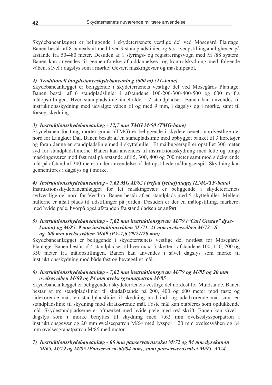Skydebaneanlægget er beliggende i skydeterrænets vestlige del ved Mosegård Plantage. Banen består af 8 baneafsnit med hver 3 standpladslinier og 9 skiveopstillingsmuligheder på afstande fra 50-480 meter. Desuden af 1 styrings- og registreringsvogn med M /88 system. Banen kan anvendes til gennemførelse af uddannelses- og kontrolskydning med følgende våben, såvel i dagslys som i mørke: Gevær, maskingevær og maskinpistol.

### 2) Traditionelt langdistanceskydebaneanlæg (600 m) (TL-bane)

Skydebaneanlægget er beliggende i skydeterrænets vestlige del ved Mosegårds Plantage. Banen består af 6 standpladslinier i afstandene 100-200-300-400-500 og 600 m fra målopstillingen. Hver standpladslinie indeholder 12 standpladser. Banen kan anvendes til instruktionsskydning med udvalgte våben til og med 9 mm, i dagslys og i mørke, samt til forsøgsskydning.

# 3) Instruktionsskydebaneanlæg - 12,7 mm TMG M/50 (TMG-bane)

Skydebanen for tung morter-granat (TMG) er beliggende i skydeterrænets nordvestlige del nord for Langkær Dal. Banen består af en standpladslinie med opbygget banket til 3 køretøjer og foran denne en standpladslinie med 4 skyttehuller. Et målbugserspil er opstillet 300 meter syd for standpladslinierne. Banen kan anvendes til instruktionsskydning med lette og tunge maskingeværer mod fast mål på afstande af 85, 300, 400 og 700 meter samt mod sidekørende mål på afstand af 300 meter under anvendelse af det opstillede målbugserspil. Skydning kan gennemføres i dagslys og i mørke.

### 4) Instruktionsskydebaneanlæg - 7,62 MG M/62 i trefod (feltaffutage) (LMG/TF-bane)

Instruktionsskydebaneanlægget for let maskingevær er beliggende i skydeterrænets sydvestlige del nord for Vestbro. Banen består af en standplads med 5 skyttehuller. Mellem hullerne er afsat plads til ildstillinger på jorden. Desuden er der en målopstilling, markeret med hvide pæle, hvorpå også afstanden fra standpladsen er anført.

#### 5) Instruktionsskydebaneanlæg - 7,62 mm instruktionsgevær M/79 ("Carl Gustav" dysekanon) og  $M/85$ , 9 mm instruktionsvåben  $M/71$ , 21 mm øvelsesvåben  $M/72$  - S og 200 mm øvelsesvåben M/69 (PV-7,62/9/21/20 mm)

Skydebaneanlægget er beliggende i skydeterrænets vestlige del nordøst for Mosegårds Plantage. Banen består af 4 standpladser til hver max. 5 skytter i afstandene 100, 150, 200 og 350 meter fra målopstillingen. Banen kan anvendes i såvel dagslys som mørke til instruktionsskydning mod både fast og bevægeligt mål.

### 6) Instruktionsskydebaneanlæg - 7,62 mm instruktionsgevær M/79 og M/85 og 20 mm øvelsesvåben M/69 og 84 mm øvelsesgranatpatron M/85

Skydebaneanlægget er beliggende i skydeterrænets vestlige del nordøst for Muldsande. Banen består af tre standpladslinier til skudafstande på 200, 400 og 600 meter mod faste og sidekørende mål, en standpladslinie til skydning mod ind- og udadkørende mål samt en standpladslinie til skydning mod skråtkørende mål. Faste mål kan etableres som opdukkende mål. Skydestandpladserne er afmærket med hvide pæle med rød skrift. Banen kan såvel i dagslys som i mørke benyttes til skydning med 7,62 mm øvelseslyssporpatron i instruktionsgevær og 20 mm øvelsespatron M/64 med lysspor i 20 mm øvelsesvåben og 84 mm øvelsesgranatpatron M/85 med motor.

### 7) Instruktionsskydebaneanlæg - 66 mm panserværnsraket M/72 og 84 mm dysekanon M/65, M/79 og M/85 (Panserværn-66/84 mm), samt panserværnsraket M/95, AT-4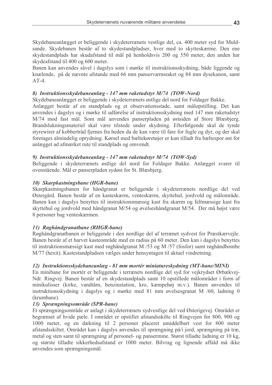Skydebaneanlægget er beliggende i skydeterrænets vestlige del, ca. 400 meter syd for Muldsande. Skydebanen består af to skydestandpladser, hver med to skytteskærme. Den ene skydestandplads har skudafstand til mål på henholdsvis 200 og 550 meter, den anden har skydeafstand til 400 og 600 meter.

Banen kan anvendes såvel i dagslys som i mørke til instruktionsskydning, både liggende og knælende, på de nævnte afstande med 66 mm panserværnsraket og 84 mm dysekanon, samt  $AT-4$ 

### 8) Instruktionsskydebaneanlæg - 147 mm raketudstyr M/74 (TOW-Nord)

Skydebaneanlægget er beliggende i skydeterrænets østlige del nord for Foldager Bakke.

Anlægget består af en standplads og et observationsstade, samt målopstilling. Det kan anvendes i dagslys og i mørke til udførelse af instruktionsskydning med 147 mm raketudstyr M/74 mod fast mål. Som mål anvendes panserpladen på østsiden af Store Blæsbjerg. Brandslukningsmateriel skal være tilstede under skydning. Efterfølgende skal de tynde styrewirer af kobbertråd fjernes fra heden da de kan være til fare for fugle og dyr, og der skal foretages almindelig oprydning. Kørsel med bæltekøretøjer er kun tilladt fra bæltespor øst for anlægget ad afmærket rute til standplads og omvendt.

### 9) Instruktionsskydebaneanlæg - 147 mm raketudstyr M/74 (TOW-Syd)

Beliggende i skydeterrænets østlige del nord for Foldager Bakke. Anlægget svarer til ovenstående. Mål er panserpladen sydøst for St. Blæsbjerg.

### 10) Skarpkastningsbane (HGR-bane)

Skarpkastningsbanen for håndgranat er beliggende i skydeterrænets nordlige del ved Østergård. Banen består af en kasteskærm, venteskærm, skyttehul, jordvold og målområde. Banen kan i dagslys benyttes til instruktionsmæssig kast fra skærm og feltmæssige kast fra skyttehul og jordvold med håndgranat M/54 og øvelseshåndgranat M/54. Der må højst være 8 personer bag venteskærmen.

### 11) Røghåndgranatbane (RHGR-bane)

Røghåndgranatbanen er beliggende i den nordlige del af terrænet sydvest for Præstkærvejle. Banen består af et harvet kasteområde med en radius på 60 meter. Den kan i dagslys benyttes til instruktionsmæssigt kast med røghåndgranat M /53 og M /57 (fosfor) samt røghåndbombe M/77 (hexit). Kastestandpladsen vælges under hensyntagen til aktuel vindretning.

# 12) Instruktionsskydebaneanlæg - 81 mm mortér miniatureskydning (MT-bane/MINI)

En minibane for mortér er beliggende i terrænets nordlige del syd for vejkrydset Ørbækvej-Ndr. Ringvej. Banen består af en skydestandplads samt 10 opstillede målområder i form af minikulisser (kirke, vandtårn, benzinstation, kro, kæmpehøj m.v.). Banen anvendes til instruktionsskydning i dagslys og i mørke med 81 mm øvelsesgranat M /60, ladning 0 (krumbane).

### 13) Sprængningsområde (SPR-bane)

Et sprængningsområde er anlagt i skydeterrænets sydvestlige del ved Østerigevej. Området er begrænset af hvide pæle. I området er opstillet afstandsskilte til Ringvejen for 800, 900 og 1000 meter, og en dækning til 2 personer placeret umiddelbart vest for 800 meter afstandsskiltet. Området kan i dagslys anvendes til sprængning på/i jord, sprængning på træ, metal og sten samt til sprængning af personel- og pansermine. Størst tilladte ladning er 10 kg, og største tilladte sikkerhedsafstand er 1000 meter. Bilvrag og lignende affald må ikke anvendes som sprængningsmål.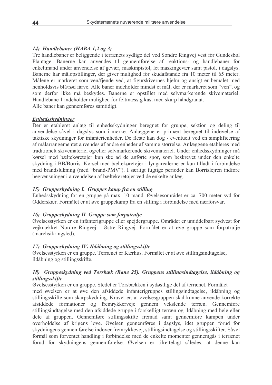# 14) Handlebaner (HABA 1,2 og 3)

Tre handlebaner er beliggende i terrænets sydlige del ved Søndre Ringvej vest for Gundesbøl Plantage. Banerne kan anvendes til gennemførelse af reaktions- og handlebaner for enkeltmand under anvendelse af gevær, maskinpistol, let maskingevær samt pistol, i dagslys. Banerne har målopstillinger, der giver mulighed for skudafstande fra 10 meter til 65 meter. Målene er markeret som ven/fjende ved, at figurskivernes hjelm og ansigt er bemalet med henholdsvis blå/rød farve. Alle baner indeholder mindst ét mål, der er markeret som "ven", og som derfor ikke må beskydes. Banerne er opstillet med selvmarkerende skivemateriel. Handlebane 1 indeholder mulighed for feltmæssig kast med skarp håndgranat. Alle baner kan gennemføres samtidigt.

# **Enhedsskydninger**

Der er etableret anlæg til enhedsskydninger beregnet for gruppe, sektion og deling til anvendelse såvel i dagslys som i mørke. Anlæggene er primært beregnet til indøvelse af taktiske skydninger for infanterienheder. De fleste kan dog - eventuelt ved en simplificering af målarrangementet anvendes af andre enheder af samme størrelse. Anlæggene etableres med traditionelt skivemateriel og/eller selvmarkerende skivemateriel. Under enhedsskydninger må kørsel med bæltekøretøjer kun ske ad de anførte spor, som beskrevet under den enkelte skydning i BB/Borris. Kørsel med bæltekøretøjer i lyngarealerne er kun tilladt i forbindelse med brandslukning (med "brand-PMV"). I særligt fugtige perioder kan Borrislejren indføre begrænsninger i anvendelsen af bæltekøretøjer ved de enkelte anlæg.

# 15) Gruppeskydning I. Gruppes kamp fra en stilling

Enhedsskydning for en gruppe på max. 10 mand. Øvelsesområdet er ca. 700 meter syd for Odderskær. Formålet er at øve gruppekamp fra en stilling i forbindelse med nærforsvar.

# 16) Gruppeskydning II. Gruppe som forpatrulje

Øvelsesstyrken er en infanterigruppe eller spejdergruppe. Området er umiddelbart sydvest for vejknækket Nordre Ringvej - Østre Ringvej. Formålet er at øve gruppe som forpatrulje (marchsikringsled).

# 17) Gruppeskydning IV. Ildåbning og stillingsskifte

Øvelsesstyrken er en gruppe. Terrænet er Kærhus. Formålet er at øve stillingsindtagelse, ildåbning og stillingsskifte.

### 18) Gruppeskydning ved Torsbæk (Bane 25). Gruppens stillingsindtagelse, ildåbning og stillingsskifte.

Øvelsesstyrken er en gruppe. Stedet er Torsbækken i sydøstlige del af terrænet. Formålet med øvelsen er at øve den afsiddede infanterigruppes stillingsindtagelse, ildåbning og stillingsskifte som skarpskydning. Kravet er, at øvelsesgruppen skal kunne anvende korrekte afsiddede formationer og fremrykkerveje gennem vekslende terræn. Gennemføre stillingsindtagelse med den afsiddede gruppe i forskelligt terræn og ildåbning med hele eller dele af gruppen. Gennemføre stillingsskifte fremad samt gennemføre kampen under overholdelse af krigens love. Øvelsen gennemføres i dagslys, idet gruppen forud for skydningens gennemførelse indøver fremrykkevej, stillingsindtagelse og stillingsskifter. Såvel formål som forventet handling i forbindelse med de enkelte momenter gennemgås i terrænet forud for skydningens gennemførelse. Øvelsen er tilrettelagt således, at denne kan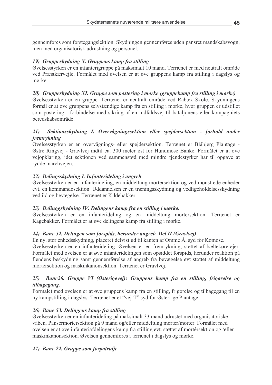gennemføres som førstegangslektion. Skydningen gennemføres uden pansret mandskabsvogn, men med organisatorisk udrustning og personel.

# 19) Gruppeskydning X. Gruppens kamp fra stilling

Øvelsesstyrken er en infanterigruppe på maksimalt 10 mand. Terrænet er med neutralt område ved Præstkærvejle. Formålet med øvelsen er at øve gruppens kamp fra stilling i dagslys og mørke

# 20) Gruppeskydning XI. Gruppe som postering i mørke (gruppekamp fra stilling i mørke)

Øvelsesstyrken er en gruppe. Terrænet er neutralt område ved Rabæk Skole. Skydningens formål er at øve gruppens selvstændige kamp fra en stilling i mørke, hvor gruppen er udstillet som postering i forbindelse med sikring af en indfaldsvej til bataljonens eller kompagniets beredskabsområde

#### Sektionsskydning I. Overvågningssektion eller spejdersektion - forhold under  $21)$ fremrykning

Øvelsesstyrken er en overvågnings- eller spejdersektion. Terrænet er Blåbjerg Plantage -Østre Ringvej - Gravlvej indtil ca. 300 meter øst for Hundmose Banke. Formålet er at øve vejopklaring, idet sektionen ved sammenstød med mindre fjendestyrker har til opgave at rydde marchvejen.

# 22) Delingsskydning I. Infanterideling i angreb

Øvelsesstyrken er en infanterideling, en middeltung mortersektion og ved mønstrede enheder evt. en kommandosektion. Uddannelsen er en træningsskydning og vedligeholdelsesskydning ved ild og bevægelse. Terrænet er Kildebakker.

### 23) Delinggskydning IV. Delingens kamp fra en stilling i mørke.

Øvelsesstyrken er en infanterideling og en middeltung mortersektion. Terrænet er Kagebakker. Formålet er at øve delingens kamp fra stilling i mørke.

# 24) Bane 52. Delingen som forspids, herunder angreb. Del II (Gravlvej)

En ny, stor enhedsskydning, placeret delvist ud til kanten af Omme Å, syd for Komose.

Øvelsesstyrken er en infanterideling. Øvelsen er en fremrykning, støttet af bæltekøretøjer. Formålet med øvelsen er at øve infanteridelingen som opsiddet forspids, herunder reaktion på fjendens beskydning samt gennemførelse af angreb fra bevægelse evt støttet af middeltung mortersektion og maskinkanonsektion. Terrænet er Gravlvej.

#### Bane26. Gruppe VI (Østerigevej): Gruppens kamp fra en stilling, frigørelse og  $25)$ tilbagegang.

Formålet med øvelsen er at øve gruppens kamp fra en stilling, frigørelse og tilbagegang til en ny kampstilling i dagslys. Terrænet er et "vej-T" syd for Østerrige Plantage.

# 26) Bane 53. Delingens kamp fra stilling

Øvelsesstyrken er en infanterideling på maksimalt 33 mand udrustet med organisatoriske våben. Pansermortersektion på 9 mand og/eller middeltung morter/morter. Formålet med øvelsen er at øve infanteriafdelingens kamp fra stilling evt. støttet af mortérsektion og /eller maskinkanonsektion. Øvelsen gennemføres i terrænet i dagslys og mørke.

# 27) Bane 22. Gruppe som forpatrulje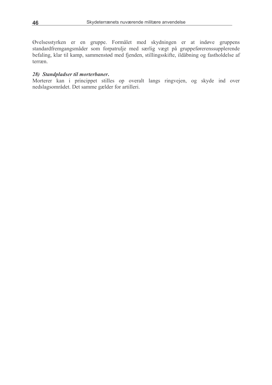Øvelsesstyrken er en gruppe. Formålet med skydningen er at indøve gruppens standardfremgangsmåder som forpatrulje med særlig vægt på gruppeførerenssupplerende befaling, klar til kamp, sammenstød med fjenden, stillingsskifte, ildåbning og fastholdelse af terræn.

#### 28) Standpladser til morterbaner.

Morterer kan i princippet stilles op overalt langs ringvejen, og skyde ind over nedslagsområdet. Det samme gælder for artilleri.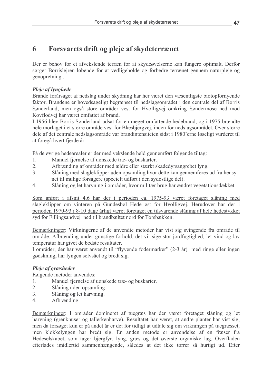#### 6 Forsvarets drift og pleje af skydeterrænet

Der er behov for et afvekslende terræn for at skydeøvelserne kan fungere optimalt. Derfor sørger Borrislejren løbende for at vedligeholde og forbedre terrænet gennem naturpleje og genopretning.

# Pleje af lynghede

Brande forårsaget af nedslag under skydning har her været den væsentligste biotopfornyende faktor. Brandene er hovedsageligt begrænset til nedslagsområdet i den centrale del af Borris Sønderland, men også store områder vest for Hvolligvej omkring Søndermose ned mod Kovflodvej har været omfattet af brand.

I 1956 blev Borris Sønderland udsat for en meget omfattende hedebrand, og i 1975 brændte hele morlaget i et større område vest for Blæsbjergvej, inden for nedslagsområdet. Over større dele af det centrale nedslagsområde var brandintensiteten sidst i 1980'erne løseligt vurderet til at foregå hvert fjerde år.

På de øvrige hedearealer er der med vekslende held gennemført følgende tiltag:

- Manuel fjernelse af uønskede træ- og buskarter.  $\mathbf{1}$
- $2<sub>1</sub>$ Afbrænding af områder med ældre eller stærkt skadedyrsangrebet lyng.
- $3<sub>1</sub>$ Slåning med slagleklipper uden opsamling hvor dette kan gennemføres ud fra hensynet til mulige forsagere (specielt udført i den sydøstlige del).
- $\overline{4}$ Slåning og let harvning i områder, hvor militær brug har ændret vegetationsdækket.

Som anført i afsnit 4.6 har der i perioden ca. 1975-93 været foretaget slåning med slagleklipper om vinteren på Gundesbøl Hede øst for Hvolligvej. Herudover har der i perioden 1970-93 i 8-10 dage årligt været foretaget en tilsvarende slåning af hele hedestykket syd for Fillingsandvej ned til brandbæltet nord for Torsbækken.

Bemærkninger: Virkningerne af de anvendte metoder har vist sig svingende fra område til område. Afbrænding under gunstige forhold, det vil sige stor jordfugtighed, let vind og lav temperatur har givet de bedste resultater.

I områder, der har været anvendt til "flyvende fodermarker" (2-3 år) med ringe eller ingen gødskning, har lyngen selvsået og bredt sig.

### Pleje af græsheder

Følgende metoder anvendes:

- $\mathbf{1}$ Manuel fjernelse af uønskede træ- og buskarter.
- $2.$ Slåning uden opsamling
- Slåning og let harvning.  $\mathcal{E}$
- $\overline{4}$ Afbrænding.

Bemærkninger: I områder domineret af tuegræs har der været foretaget slåning og let harvning (grenknuser og tallerkenharve). Resultatet har været, at andre planter har vist sig, men da forsøget kun er på andet år er det for tidligt at udtale sig om virkningen på tuegræsset, men klokkelyngen har bredt sig. En anden metode er anvendelse af en fræser fra Hedeselskabet, som tager bjergfyr, lyng, græs og det øverste organiske lag. Overfladen efterlades imidlertid sammenhængende, således at det ikke tørrer så hurtigt ud. Efter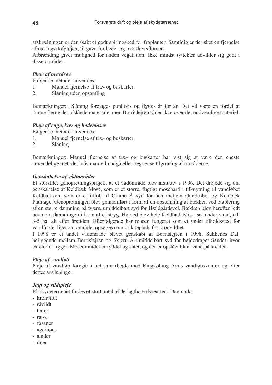afskrælningen er der skabt et godt spiringsbed for frøplanter. Samtidig er der sket en fjernelse af næringsstofpuljen, til gavn for hede- og overdrevsfloraen.

Afbrænding giver mulighed for anden vegetation. Ikke mindst tyttebær udvikler sig godt i disse områder

### Pleje af overdrev

Følgende metoder anvendes:

- Manuel fjernelse af træ- og buskarter.  $1:$
- $\overline{2}$ Slåning uden opsamling

Bemærkninger: Slåning foretages punktvis og flyttes år for år. Det vil være en fordel at kunne fjerne det afslåede materiale, men Borrislejren råder ikke over det nødvendige materiel.

### Pleje af enge, kær og hedemoser

Følgende metoder anvendes:

- Manuel fjernelse af træ- og buskarter.  $\mathbb{1}$ .
- $2.$ Slåning.

Bemærkninger: Manuel fjernelse af træ- og buskarter har vist sig at være den eneste anvendelige metode, hvis man vil undgå eller begrænse tilgroning af områderne.

### Genskabelse af vådområder

Et storstilet genopretningsprojekt af et vådområde blev afsluttet i 1996. Det drejede sig om genskabelse af Keldbæk Mose, som er et større, fugtigt moseparti i tilknytning til vandløbet Keldbækken, som er et tilløb til Omme Å syd for åen mellem Gundesbøl og Keldbæk Plantage. Genopretningen blev gennemført i form af en opstemning af bækken ved etablering af en større dæmning på tværs, umiddelbart syd for Hældgårdsvej. Bækken blev herefter ledt uden om dæmningen i form af et stryg. Herved blev hele Keldbæk Mose sat under vand, ialt 3-5 ha, alt efter årstiden. Efterfølgende har mosen fungeret som et yndet tilholdssted for vandfugle, ligesom området opsøges som drikkeplads for kronvildtet.

I 1998 er et andet vådområde blevet genskabt af Borrislejren i 1998, Sukkenes Dal, beliggende mellem Borrislejren og Skjern Å umiddelbart syd for højdedraget Sandet, hvor cafeteriet ligger. Moseområdet er ryddet og slået, og der er opstået blankvand på arealet.

### Pleje af vandløb

Pleje af vandløb foregår i tæt samarbejde med Ringkøbing Amts vandløbskontor og efter dettes anvisninger.

### Jagt og vildtpleje

På skydeterrænet findes et stort antal af de jagtbare dyrearter i Danmark:

- kronvildt
- råvildt
- harer
- ræve
- fasaner
- agerhøns
- ænder
- duer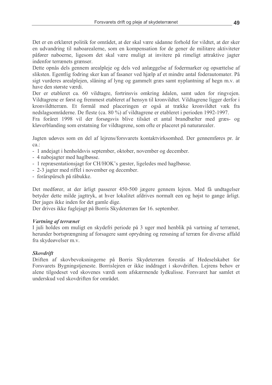Det er en erklæret politik for området, at der skal være sådanne forhold for vildtet, at der sker en udvandring til naboarealerne, som en kompensation for de gener de militære aktiviteter påfører naboerne, ligesom det skal være muligt at invitere på rimeligt attraktive jagter indenfor terrænets grænser.

Dette opnås dels gennem arealpleje og dels ved anlæggelse af fodermarker og opsættelse af sliksten. Egentlig fodring sker kun af fasaner ved hjælp af et mindre antal foderautomater. På sigt vurderes arealplejen, slåning af lyng og gammelt græs samt nyplantning af hegn m.v. at have den største værdi.

Der er etableret ca. 60 vildtagre, fortrinsvis omkring ådalen, samt uden for ringvejen. Vildtagrene er først og fremmest etableret af hensyn til kronvildtet. Vildtagrene ligger derfor i kronvildtterræn. Et formål med placeringen er også at trække kronvildtet væk fra nedslagsområderne. De fleste (ca. 80 %) af vildtagrene er etableret i perioden 1992-1997.

Fra foråret 1998 vil der forsøgsvis blive tilsået et antal brandbælter med græs- og kløverblanding som erstatning for vildtagrene, som ofte er placeret på naturarealer.

Jagten udøves som en del af leirens/forsvarets kontaktvirksomhed. Der gennemføres pr. år ca.:

- 1 andejagt i henholdsvis september, oktober, november og december.
- 4 nabojagter med haglbøsse.
- 1 repræsentationsjagt for CH/HOK's gæster, ligeledes med haglbøsse.
- 2-3 jagter med riffel i november og december.
- forårspürsch på råbukke.

Det medfører, at der årligt passerer 450-500 jægere gennem lejren. Med få undtagelser betyder dette milde jagttryk, at hver lokalitet afdrives normalt een og højst to gange årligt. Der jages ikke inden for det gamle dige.

Der drives ikke fuglejagt på Borris Skydeterræn før 16. september.

### **Vartning af terrænet**

I juli holdes om muligt en skydefri periode på 3 uger med henblik på vartning af terrænet, herunder bortsprængning af forsagere samt oprydning og rensning af terræn for diverse affald fra skydeøvelser m.v.

### **Skovdrift**

Driften af skovbevoksningerne på Borris Skydeterræn forestås af Hedeselskabet for Forsvarets Bygningstjeneste. Borrislejren er ikke inddraget i skovdriften. Lejrens behov er alene tilgodeset ved skovenes værdi som afskærmende lydkulisse. Forsvaret har samlet et underskud ved skovdriften for området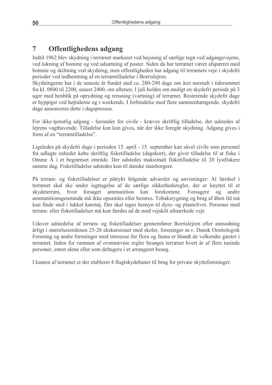#### $\overline{7}$ **Offentlighedens adgang**

Indtil 1962 blev skydning i terrænet markeret ved hejsning af særlige tegn ved adgangsvejene, ved lukning af bomme og ved udsætning af poster. Siden da har terrænet været afspærret med bomme og skiltning ved skydning, men offentligheden har adgang til terrænets veje i skydefri perioder ved indhentning af en terræntilladelse i Borrislejren.

Skydningerne har i de seneste år fundet sted ca. 280-290 dage om året normalt i tidsrummet fra kl. 0800 til 2200, senest 2400, om aftenen. I juli holdes om muligt en skydefri periode på 3 uger med henblik på oprydning og rensning (vartning) af terrænet. Resterende skydefri dage er hyppigst ved højtiderne og i weekends. I forbindelse med flere sammenhængende, skydefri dage annonceres dette i dagspressen.

For ikke-tjenstlig adgang - herunder for civile - kræves skriftlig tilladelse, der udstedes af lejrens vagthavende. Tilladelse kan kun gives, når der ikke foregår skydning. Adgang gives i form af en "terræntilladelse".

Ligeledes på skydefri dage i perioden 15. april - 15. september kan såvel civile som personel fra udlagte enheder købe skriftlig fisketilladelse (dagskort), der giver tilladelse til at fiske i Omme Å i et begrænset område. Der udstedes maksimalt fisketilladelse til 20 lystfiskere samme dag. Fisketilladelse udstedes kun til danske statsborgere.

På terræn- og fisketilladelser er påtrykt følgende advarsler og anvisninger: Al færdsel i terrænet skal ske under jagttagelse af de særlige sikkerhedsregler, der er knyttet til et skydeterræn, hvor forsaget ammunition kan forekomme. Forsagere og andre ammunitionsgenstande må ikke opsamles eller berøres. Tobaksrygning og brug af åben ild må kun finde sted i lukket køretøj. Der skal tages hensyn til dyre- og plantelivet. Personer med terræn- eller fisketilladelser må kun færdes ad de med vejskilt afmærkede veje

Udover udstedelse af terræn- og fisketilladelser gennemfører Borrislejren efter anmodning årligt i størrelsesordenen 25-28 ekskursioner med skoler, foreninger m.v. Dansk Ornitologisk Forening og andre foreninger med interesse for flora og fauna er blandt de velkendte gæster i terrænet. Inden for rammen af ovennævnte regler besøges terrænet hvert år af flere tusinde personer, enten alene eller som deltagere i et arrangeret besøg.

I kanten af terrænet er der etableret 4 flugtskydebaner til brug for private skytteforeninger.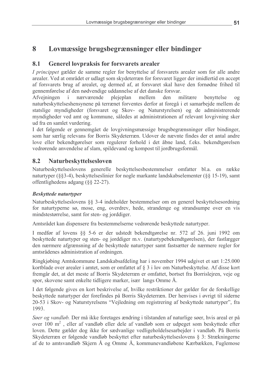#### $\mathbf{R}$ Lovmæssige brugsbegrænsninger eller bindinger

#### 8.1 **Generel lovpraksis for forsvarets arealer**

I princippet gælder de samme regler for benyttelse af forsvarets arealer som for alle andre arealer. Ved at området er udlagt som skydeterræn for forsvaret ligger der imidlertid en accept af forsvarets brug af arealet, og dermed af, at forsvaret skal have den fornødne frihed til gennemførelse af den nødvendige uddannelse af det danske forsvar.

Afvejningen  $\mathbf{i}$ nærværende plejeplan mellem den militære benyttelse  $0<sup>q</sup>$ naturbeskyttelseshensynene på terrænet forventes derfor at foregå i et samarbejde mellem de statslige myndigheder (forsvaret og Skov- og Naturstyrelsen) og de administrerende myndigheder ved amt og kommune, således at administrationen af relevant lovgivning sker ud fra en samlet vurdering.

I det følgende er gennemgået de lovgivningsmæssige brugsbegrænsninger eller bindinger, som har særlig relevans for Borris Skydeterræn. Udover de nævnte findes der et antal andre love eller bekendtgørelser som regulerer forhold i det åbne land, f.eks. bekendtgørelsen vedrørende anvendelse af slam, spildevand og kompost til jordbrugsformål.

#### 8.2 **Naturbeskyttelsesloven**

Naturbeskyttelseslovens generelle beskyttelsesbestemmelser omfatter bl.a. en række naturtyper (§§3-4), beskyttelseslinier for nogle markante landskabselementer (§§ 15-19), samt offentlighedens adgang  $(\S$ § 22-27).

# **Beskyttede naturtyper**

Naturbeskyttelseslovens §§ 3-4 indeholder bestemmelser om en generel beskyttelsesordning for naturtyperne sø, mose, eng, overdrev, hede, strandenge og strandsumpe over en vis mindstestørrelse, samt for sten- og jorddiger.

Amtsrådet kan dispensere fra bestemmelserne vedrørende beskyttede naturtyper.

I medfør af lovens 88 5-6 er der udstedt bekendtgørelse nr. 572 af 26. juni 1992 om beskyttede naturtyper og sten- og jorddiger m.v. (naturtypebekendtgørelsen), der fastlægger den nærmere afgrænsning af de beskyttede naturtyper samt fastsætter de nærmere regler for amtsrådenes administration af ordningen.

Ringkjøbing Amtskommune Landskabsafdeling har i november 1994 udgivet et sæt 1:25.000 kortblade over arealer i amtet, som er omfattet af § 3 i lov om Naturbeskyttelse. Af disse kort fremgår det, at det meste af Borris Skydeterræn er omfattet, bortset fra Borrislejren, veje og spor, skovene samt enkelte tidligere marker, især langs Omme Å.

I det følgende gives en kort beskrivelse af, hvilke restriktioner der gælder for de forskellige beskyttede naturtyper der forefindes på Borris Skydeterræn. Der henvises i øvrigt til siderne 20-53 i Skov- og Naturstyrelsens "Vejledning om registrering af beskyttede naturtyper", fra 1993.

Søer og vandløb. Der må ikke foretages ændring i tilstanden af naturlige søer, hvis areal er på over 100 m<sup>2</sup>, eller af vandløb eller dele af vandløb som er udpeget som beskyttede efter loven. Dette gælder dog ikke for sædvanlige vedligeholdelsesarbejder i vandløb. På Borris Skydeterræn er følgende vandløb beskyttet efter naturbeskyttelseslovens § 3: Strækningerne af de to amtsvandløb Skjern Å og Omme Å, kommunevandløbene Kærbækken, Fuglemose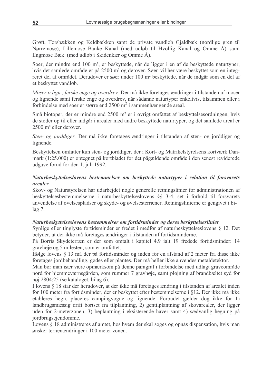Grøft, Torsbækken og Keldbækken samt de private vandløb Gjaldbæk (nordlige gren til Nørremose), Lillemose Banke Kanal (med udløb til Hvollig Kanal og Omme Å) samt Engmose Bæk (med udløb i Skidenkær og Omme Å).

Søer, der mindre end 100 m<sup>2</sup>, er beskyttede, når de ligger i en af de beskyttede naturtyper, hvis det samlede område er på 2500 m<sup>2</sup> og derover. Søen vil her være beskyttet som en integreret del af området. Derudover er søer under 100 m<sup>2</sup> beskyttede, når de indgår som en del af et beskyttet vandløb.

Moser o.lign., ferske enge og overdrev. Der må ikke foretages ændringer i tilstanden af moser og lignende samt ferske enge og overdrev, når sådanne naturtyper enkeltvis, tilsammen eller i forbindelse med søer er større end  $2500 \text{ m}^2$  i sammenhængende areal.

Små biotoper, der er mindre end 2500 m<sup>2</sup> er i øvrigt omfattet af beskyttelsesordningen, hvis de støder op til eller indgår i arealer med andre beskyttede naturtyper, og det samlede areal er 2500 m<sup>2</sup> eller derover.

Sten- og jorddiger. Der må ikke foretages ændringer i tilstanden af sten- og jorddiger og lignende.

Beskyttelsen omfatter kun sten- og jorddiger, der i Kort- og Matrikelstyrelsens kortværk Danmark (1:25.000) er optegnet på kortbladet for det pågældende område i den senest reviderede udgave forud for den 1. juli 1992.

### Naturbeskyttelseslovens bestemmelser om beskyttede naturtyper i relation til forsvarets arealer

Skov- og Naturstyrelsen har udarbejdet nogle generelle retningslinier for administrationen af beskyttelsesbestemmelserne i naturbeskyttelseslovens §§ 3-4, set i forhold til forsvarets anvendelse af øvelsespladser og skyde- og øvelsesterræner. Retningslinierne er gengivet i bi $lag 7.$ 

### Naturbeskyttelseslovens bestemmelser om fortidsminder og deres beskyttelseslinier

Synlige eller tinglyste fortidsminder er fredet i medfør af naturbeskyttelseslovens § 12. Det betyder, at der ikke må foretages ændringer i tilstanden af fortidsminderne.

På Borris Skydeterræn er der som omtalt i kapitel 4.9 ialt 19 fredede fortidsminder: 14 gravhøje og 5 milesten, som er omfattet.

Ifølge lovens § 13 må der på fortidsminder og inden for en afstand af 2 meter fra disse ikke foretages jordbehandling, gødes eller plantes. Der må heller ikke anvendes metaldetektor.

Man bør man især være opmærksom på denne paragraf i forbindelse med udlagt graveområde nord for hjemmeværnsgården, som rummer 7 gravhøje, samt pløjning af brandbæltet syd for høj 2804:25 (se kataloget, bilag 6).

I lovens § 18 står der herudover, at der ikke må foretages ændring i tilstanden af arealet inden for 100 meter fra fortidsminder, der er beskyttet efter bestemmelserne i §12. Der ikke må ikke etableres hegn, placeres campingvogne og lignende. Forbudet gælder dog ikke for 1) landbrugsmæssig drift bortset fra tilplantning, 2) gentilplantning af skovarealer, der ligger uden for 2-meterzonen, 3) beplantning i eksisterende haver samt 4) sædvanlig hegning på jordbrugsejendomme.

Lovens § 18 administreres af amtet, hos hvem der skal søges og opnås dispensation, hvis man ønsker terrænændringer i 100 meter zonen.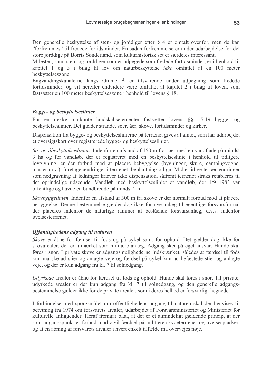Den generelle beskyttelse af sten- og jorddiger efter § 4 er omtalt ovenfor, men de kan "forfremmes" til fredede fortidsminder. En sådan forfremmelse er under udarbejdelse for det store jorddige på Borris Sønderland, som kulturhistorisk set er særdeles interessant.

Milesten, samt sten- og jorddiger som er udpegede som fredede fortidsminder, er i henhold til kapitel 1 og 3 i bilag til lov om naturbeskyttelse *ikke* omfattet af en 100 meter beskyttelseszone.

Engvandingskanalerne langs Omme Å er tilsvarende under udpegning som fredede fortidsminder, og vil herefter endvidere være omfattet af kapitel 2 i bilag til loven, som fastsætter en 100 meter beskyttelseszone i henhold til lovens § 18.

### Bygge- og beskyttelseslinier

For en række markante landskabselementer fastsætter lovens §§ 15-19 bygge- og beskyttelseslinier. Det gælder strande, søer, åer, skove, fortidsminder og kirker.

Dispensation fra bygge- og beskyttelseslinierne på terrænet gives af amtet, som har udarbejdet et oversigtskort over registrerede bygge- og beskyttelseslinier.

Sø- og åbeskyttelseslinien. Indenfor en afstand af 150 m fra søer med en vandflade på mindst 3 ha og for vandløb, der er registreret med en beskyttelseslinie i henhold til tidligere lovgivning, er der forbud mod at placere bebyggelse (bygninger, skure, campingvogne, master m.v.), foretage ændringer i terrænet, beplantning o.lign. Midlertidige terrænændringer som nedgravning af ledninger kræver ikke dispensation, såfremt terrænet straks retableres til det oprindelige udseende. Vandløb med beskyttelseslinier er vandløb, der 1/9 1983 var offentlige og havde en bundbredde på mindst 2 m.

*Skovbyggelinien*. Indenfor en afstand af 300 m fra skove er der normalt forbud mod at placere bebyggelse. Denne bestemmelse gælder dog ikke for nye anlæg til egentlige forsvarsformål der placeres indenfor de naturlige rammer af bestående forsvarsanlæg, d.v.s. indenfor *e*velsesterrænet

### Offentlighedens adgang til naturen

Skove er åbne for færdsel til fods og på cykel samt for ophold. Det gælder dog ikke for skovarealer, der er afmærket som militære anlæg. Adgang sker på eget ansvar. Hunde skal føres i snor. I private skove er adgangsmulighederne indskrænket, således at færdsel til fods kun må ske ad stier og anlagte veje og færdsel på cykel kun ad befæstede stier og anlagte veje, og der er kun adgang fra kl. 7 til solnedgang.

*Udyrkede* arealer er åbne for færdsel til fods og ophold. Hunde skal føres i snor. Til private, udyrkede arealer er der kun adgang fra kl. 7 til solnedgang, og den generelle adgangsbestemmelse gælder ikke for de private arealer, som i deres helhed er forsvarligt hegnede.

I forbindelse med spørgsmålet om offentlighedens adgang til naturen skal der henvises til beretning fra 1974 om forsvarets arealer, udarbejdet af Forsvarsministeriet og Ministeriet for kulturelle anliggender. Heraf fremgår bl.a., at det er et almindeligt gældende princip, at der som udgangspunkt er forbud mod civil færdsel på militære skydeterræner og øvelsespladser, og at en åbning af forsvarets arealer i hvert enkelt tilfælde må overvejes nøje.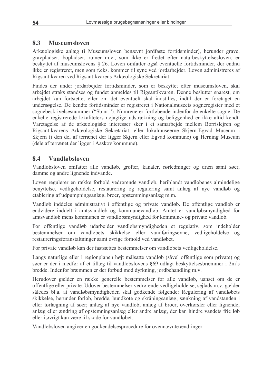#### 8.3 **Museumsloven**

Arkæologiske anlæg (i Museumsloven benævnt jordfaste fortidsminder), herunder grave, gravpladser, bopladser, ruiner m.v., som ikke er fredet efter naturbeskyttelsesloven, er beskyttet af museumslovens § 26. Loven omfatter også eventuelle fortidsminder, der endnu ikke er registreret, men som f.eks. kommer til syne ved jordarbejder. Loven administreres af Rigsantikvaren ved Rigsantikvarens Arkæologiske Sekretariat.

Findes der under jordarbejder fortidsminder, som er beskyttet efter museumsloven, skal arbejdet straks standses og fundet anmeldes til Rigsantikvaren. Denne beslutter snarest, om arbeidet kan fortsætte, eller om det eventuelt skal indstilles, indtil der er foretaget en undersøgelse. De kendte fortidsminder er registreret i Nationalmuseets sogneregister med et sognebeskrivelsesnummer ("Sb.nr."). Numrene er fortløbende indenfor de enkelte sogne. De enkelte registrerede lokaliteters nøjagtige udstrækning og beliggenhed er ikke altid kendt. Varetagelse af de arkæologiske interesser sker i et samarbejde mellem Borrisleiren og Rigsantikvarens Arkæologiske Sekretariat, eller lokalmuseerne Skjern-Egvad Museum i Skjern (i den del af terrænet der ligger Skjern eller Egyad kommune) og Herning Museum (dele af terrænet der ligger i Aaskov kommune).

#### 8.4 **Vandløbsloven**

Vandløbsloven omfatter alle vandløb, grøfter, kanaler, rørledninger og dræn samt søer, damme og andre lignende indvande.

Loven regulerer en række forhold vedrørende vandløb, heriblandt vandløbenes almindelige benyttelse, vedligeholdelse, restaurering og regulering samt anlæg af nye vandløb og etablering af udpumpningsanlæg, broer, opstemmingsanlæg m.m.

Vandløb inddeles administrativt i offentlige og private vandløb. De offentlige vandløb er endvidere inddelt i amtsvandløb og kommunevandløb. Amtet er vandløbsmyndighed for amtsvandløb mens kommunen er vandløbsmyndighed for kommune- og private vandløb.

For offentlige vandløb udarbejder vandløbsmyndigheden et regulativ, som indeholder bestemmelser om vandløbets skikkelse eller vandføringsevne, vedligeholdelse og restaureringsforanstaltninger samt øvrige forhold ved vandløbet.

For private vandløb kan der fastsættes bestemmelser om vandløbets vedligeholdelse.

Langs naturlige eller i regionplanen højt målsatte vandløb (såvel offentlige som private) og søer er der i medfør af et tillæg til vandløbslovens §69 udlagt beskyttelsesbræmmer i 2m's bredde. Indenfor bræmmen er der forbud mod dyrkning, jordbehandling m.v.

Herudover gælder en række generelle bestemmelser for alle vandløb, uanset om de er offentlige eller private. Udover bestemmelser vedrørende vedligeholdelse, sejlads m.v. gælder således bl.a. at vandløbsmyndigheden skal godkende følgende: Regulering af vandløbets skikkelse, herunder forløb, bredde, bundkote og skråningsanlæg; sænkning af vandstanden i eller tørlægning af søer; anlæg af nye vandløb; anlæg af broer, overkørsler eller lignende; anlæg eller ændring af opstemningsanlæg eller andre anlæg, der kan hindre vandets frie løb eller i øvrigt kan være til skade for vandløbet.

Vandløbsloven angiver en godkendelsesprocedure for ovennævnte ændringer.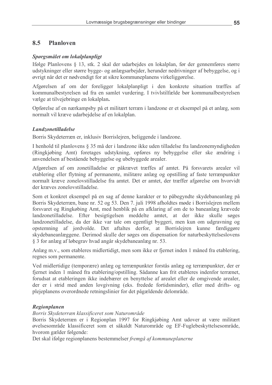#### 8.5 **Planloven**

#### Spørgsmålet om lokalplanpligt

Ifølge Planlovens § 13, stk. 2 skal der udarbejdes en lokalplan, før der gennemføres større udstykninger eller større bygge- og anlægsarbejder, herunder nedrivninger af bebyggelse, og i øvrigt når det er nødvendigt for at sikre kommuneplanens virkeliggørelse.

Afgørelsen af om der foreligger lokalplanpligt i den konkrete situation træffes af kommunalbestyrelsen ud fra en samlet vurdering. I tvivlstilfælde bør kommunalbestyrelsen vælge at tilvejebringe en lokalplan.

Opførelse af en nærkampsby på et militært terræn i landzone er et eksempel på et anlæg, som normalt vil kræve udarbejdelse af en lokalplan.

#### **Landzonetilladelse**

Borris Skydeterræn er, inklusiv Borrislejren, beliggende i landzone.

I henhold til planlovens § 35 må der i landzone ikke uden tilladelse fra landzonemyndigheden (Ringkjøbing Amt) foretages udstykning, opføres ny bebyggelse eller ske ændring i anvendelsen af bestående bebyggelse og ubebyggede arealer.

Afgørelsen af om zonetilladelse er påkrævet træffes af amtet. På forsvarets arealer vil etablering eller flytning af permanente, militære anlæg og opstilling af faste terrænpunkter normalt kræve zonelovstilladelse fra amtet. Det er amtet, der træffer afgørelse om hvorvidt der kræves zonelovstilladelse.

Som et konkret eksempel på en sag af denne karakter er to påbegyndte skydebaneanlæg på Borris Skydeterræn, bane nr. 52 og 53. Den 7. juli 1998 afholdtes møde i Borrislejren mellem forsvaret og Ringkøbing Amt, med henblik på en afklaring af om de to baneanlæg krævede landzonetilladelse. Efter besigtigelsen meddelte amtet, at der ikke skulle søges landzonetilladelse, da der ikke var tale om egentligt byggeri, men kun om udgravning og opstemning af jordvolde. Det aftaltes derfor, at Borrislejren kunne færdiggøre skydebaneanlæggene. Derimod skulle der søges om dispensation for naturbeskyttelseslovens § 3 for anlæg af løbegrav hvad angår skydebaneanlæg nr. 53.

Anlæg m.v., som etableres midlertidigt, men som ikke er fjernet inden 1 måned fra etablering, regnes som permanente.

Ved midlertidige (temporære) anlæg og terrænpunkter forstås anlæg og terrænpunkter, der er fjernet inden 1 måned fra etablering/opstilling. Sådanne kan frit etableres indenfor terrænet, forudsat at etableringen ikke indebærer en benyttelse af arealet eller de omgivende arealer, der er i strid med anden lovgivning (eks. fredede fortidsminder), eller med drifts- og plejeplanens overordnede retningslinier for det pågældende delområde.

### Regionplanen

Borris Skydeterræn klassificeret som Naturområde

Borris Skydeterræn er i Regionplan 1997 for Ringkjøbing Amt udover at være militært øvelsesområde klassificeret som et såkaldt Naturområde og EF-Fuglebeskyttelsesområde, hvorom gælder følgende:

Det skal ifølge regionplanens bestemmelser fremgå af kommuneplanerne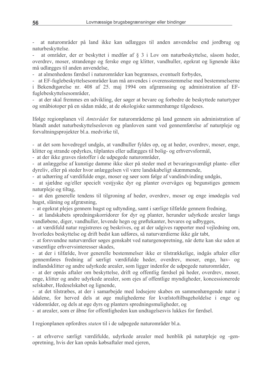at naturområder på land ikke kan udlægges til anden anvendelse end jordbrug og naturbeskyttelse.

at områder, der er beskyttet i medfør af § 3 i Lov om naturbeskyttelse, såsom heder, overdrev, moser, strandenge og ferske enge og klitter, vandhuller, egekrat og lignende ikke må udlægges til anden anvendelse.

- at almenhedens færdsel i naturområder kan begrænses, eventuelt forbydes,

- at EF-fuglebeskyttelsesområder kun må anvendes i overensstemmelse med bestemmelserne i Bekendtgørelse nr. 408 af 25. maj 1994 om afgrænsning og administration af EFfuglebeskyttelsesområder,

at der skal fremmes en udvikling, der søger at bevare og forbedre de beskyttede naturtyper og småbiotoper på en sådan måde, at de økologiske sammenhænge tilgodeses.

Ifølge regionplanen vil Amtsrådet for naturområderne på land gennem sin administration af blandt andet naturbeskyttelsesloven og planloven samt ved gennemførelse af naturpleje og forvaltningsprojekter bl.a. medvirke til,

- at det som hovedregel undgås, at vandhuller fyldes op, og at heder, overdrey, moser, enge, klitter og strande opdyrkes, tilplantes eller udlægges til bolig- og erhvervsformål,

- at der ikke graves råstoffer i de udpegede naturområder,

- at anlæggelse af kunstige damme ikke sker på steder med et bevaringsværdigt plante- eller dyreliv, eller på steder hvor anlæggelsen vil være landskabeligt skæmmende,

- at udtørring af værdifulde enge, moser og søer som følge af vandindvinding undgås,

at sjældne og/eller specielt vestjyske dyr og planter overvåges og begunstiges gennem  $\sim$ naturpleie og tiltag.

- at den generelle tendens til tilgroning af heder, overdrev, moser og enge imødegås ved hugst, slåning og afgræsning,

- at egekrat plejes gennem hugst og udtynding, samt i særlige tilfælde gennem fredning,

at landskabets spredningskorridorer for dyr og planter, herunder udyrkede arealer langs vandløbene, diger, vandhuller, levende hegn og grøftekanter, bevares og udbygges,

- at værdifuld natur registreres og beskrives, og at der udgives rapporter med vejledning om, hvorledes beskyttelse og drift bedst kan udføres, så naturværdierne ikke går tabt,

- at forsvundne naturværdier søges genskabt ved naturgenopretning, når dette kan ske uden at væsentlige erhvervsinteresser skades,

at der i tilfælde, hvor generelle bestemmelser ikke er tilstrækkelige, indgås aftaler eller gennemføres fredning af særligt værdifulde heder, overdrev, moser, enge, hav- og indlandsklitter og andre udyrkede arealer, som ligger indenfor de udpegede naturområder,

- at der opnås aftaler om beskyttelse, drift og offentlig færdsel på heder, overdrev, moser, enge, klitter og andre udyrkede arealer, som ejes af offentlige myndigheder, koncessionerede selskaber, Hedeselskabet og lignende,

at det tilstræbes, at der i samarbejde med lodsejere skabes en sammenhængende natur i ådalene, for herved dels at øge mulighederne for kvælstoftilbageholdelse i enge og vådområder, og dels at øge dyrs og planters spredningsmuligheder, og

- at arealer, som er åbne for offentligheden kun undtagelsesvis lukkes for færdsel.

I regionplanen opfordres staten til i de udpegede naturområder bl.a.

- at erhverve særligt værdifulde, udyrkede arealer med henblik på naturpleje og -genopretning, hvis der kan opnås købsaftaler med ejeren,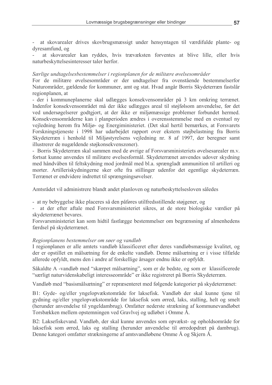at skovarealer drives skovbrugsmæssigt under hensyntagen til værdifulde plante- og dyresamfund, og

at skovarealer kan ryddes, hvis trævæksten forventes at blive lille, eller hvis naturbeskyttelsesinteresser taler herfor.

#### Særlige undtagelsesbestemmelser i regionplanen for de militære øvelsesområder

For de militære øvelsesområder er der undtagelser fra ovenstående bestemmelserfor Naturområder, gældende for kommuner, amt og stat. Hvad angår Borris Skydeterræn fastslår regionplanen, at

- der i kommuneplanerne skal udlægges konsekvensområder på 3 km omkring terrænet. Indenfor konsekvensområdet må der ikke udlægges areal til støjfølsom anvendelse, før det ved undersøgelserer godtgjort, at der ikke er miljømæssige problemer forbundet hermed. Konsekvensområderne kan i planperioden ændres i overensstemmelse med en eventuel ny veiledning herom fra Miljø- og Energiministeriet. (Det skal hertil bemærkes, at Forsvarets Forskningstjeneste i 1998 har udarbejdet rapport over ekstern støjbelastning fra Borris Skydeterræn i henhold til Miljøstyrelsens veiledning nr. 8 af 1997, der beregner samt illustrerer de nugældende støjkonsekvenszoner).

- Borris Skydeterræn skal sammen med de øvrige af Forsvarsministeriets øvelsesarealer m.v. fortsat kunne anvendes til militære øvelsesformål. Skydeterrænet anvendes udover skydning med håndvåben til feltskydning mod jordmål med bl.a. sprængladt ammunition til artilleri og morter. Artilleriskydningerne sker ofte fra stillinger udenfor det egentlige skydeterræn. Terrænet er endvidere indrettet til sprængningsøvelser.

Amtsrådet vil administrere blandt andet planloven og naturbeskyttelsesloven således

- at ny bebyggelse ikke placeres så den påføres utilfredsstillende støjgener, og

at der efter aftale med Forsvarsministeriet sikres, at de store biologiske værdier på skydeterrænet bevares.

Forsvarsministeriet kan som hidtil fastlægge bestemmelser om begrænsning af almenhedens færdsel på skydeterrænet.

#### Regionplanens bestemmelser om søer og vandløb

I regionplanen er alle amtets vandløb klassificeret efter deres vandløbsmæssige kvalitet, og der er opstillet en målsætning for de enkelte vandløb. Denne målsætning er i visse tilfælde allerede opfyldt, mens den i andre af forskellige årsager endnu ikke er opfyldt.

Såkaldte A-vandløb med "skærpet målsætning", som er de bedste, og som er klassificerede "særligt naturvidenskabeligt interesseområde" er ikke registreret på Borris Skydeterræn.

Vandløb med "basismålsætning" er repræsenteret med følgende kategorier på skydeterrænet:

B1: Gyde- og/eller yngelopvækstområde for laksefisk. Vandløb der skal kunne tjene til gydning og/eller yngelopvækstområde for laksefisk som ørred, laks, stalling, helt og smelt (herunder anvendelse til yngeldambrug). Omfatter nederste strækning af kommunevandløbet Torsbækken mellem opstemningen ved Gravlvej og udløbet i Omme Å.

B2: Laksefiskevand. Vandløb, der skal kunne anvendes som opvækst- og opholdsområde for laksefisk som ørred, laks og stalling (herunder anvendelse til ørredopdræt på dambrug). Denne kategori omfatter strækningerne af amtsvandløbene Omme Å og Skjern Å.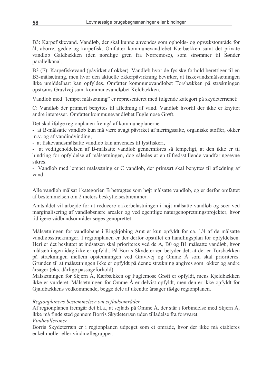B3: Karpefiskevand. Vandløb, der skal kunne anvendes som opholds- og opvækstområde for ål, aborre, gedde og karpefisk. Omfatter kommunevandløbet Kærbækken samt det private vandløb Galdbækken (den nordlige gren fra Nørremose), som strømmer til Sønder parallelkanal.

B3 (F): Karpefiskevand (påvirket af okker). Vandløb hvor de fysiske forhold berettiger til en B3-målsætning, men hvor den aktuelle okkerpåvirkning bevirker, at fiskevandsmålsætningen ikke umiddelbart kan opfyldes. Omfatter kommunevandløbet Torsbækken på strækningen opstrøms Gravlvej samt kommunevandløbet Keldbækken.

Vandløb med "lempet målsætning" er repræsenteret med følgende kategori på skydeterrænet:

C: Vandløb der primært benyttes til afledning af vand. Vandløb hvortil der ikke er knyttet andre interesser. Omfatter kommunevandløbet Fuglemose Grøft.

Det skal ifølge regionplanen fremgå af kommuneplanerne

- at B-målsatte vandløb kun må være svagt påvirket af næringssalte, organiske stoffer, okker m.v. og af vandindvinding.

- at fiskevandsmålsatte vandløb kan anvendes til lystfiskeri,

at vedligeholdelsen af B-målsatte vandløb gennemføres så lempeligt, at den ikke er til  $\mathcal{L}_{\mathcal{A}}$ hindring for opfyldelse af målsætningen, dog således at en tilfredsstillende vandføringsevne sikres.

- Vandløb med lempet målsætning er C vandløb, der primært skal benyttes til afledning af vand

Alle vandløb målsat i kategorien B betragtes som højt målsatte vandløb, og er derfor omfattet af bestemmelsen om 2 meters beskyttelsesbræmmer.

Amtsrådet vil arbejde for at reducere okkerbelastningen i højt målsatte vandløb og søer ved marginalisering af vandløbsnære arealer og ved egentlige naturgenopretningsprojekter, hvor tidligere vådbundsområder søges genoprettet.

Målsætningen for vandløbene i Ringkjøbing Amt er kun opfyldt for ca. 1/4 af de målsatte vandløbsstrækninger. I regionplanen er der derfor opstillet en handlingsplan for opfyldelsen. Heri er det besluttet at indsatsen skal prioriteres ved de A, B0 og B1 målsatte vandløb, hvor målsætningen idag ikke er opfyldt. På Borris Skydeterræn betyder det, at det er Torsbækken på strækningen mellem opstemningen ved Gravlvej og Omme Å som skal prioriteres. Grunden til at målsætningen ikke er opfyldt på denne strækning angives som okker og andre årsager (eks. dårlige passageforhold).

Målsætningen for Skjern Å, Kærbækken og Fuglemose Grøft er opfyldt, mens Kjeldbækken ikke er vurderet. Målsætningen for Omme Å er delvist opfyldt, men den er ikke opfyldt for Gjaldbækkens vedkommende, begge dele af ukendte årsager ifølge regionplanen.

### Regionplanens bestemmelser om sejladsområder

Af regionplanen fremgår det bl.a., at sejlads på Omme Å, der står i forbindelse med Skjern Å, ikke må finde sted gennem Borris Skydeterræn uden tilladelse fra forsvaret.

### Vindmøllezoner

Borris Skydeterræn er i regionplanen udpeget som et område, hvor der ikke må etableres enkeltmøller eller vindmøllegrupper.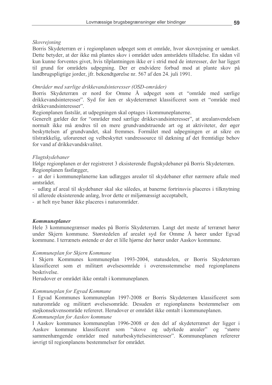#### Skovrejsning

Borris Skydeterræn er i regionplanen udpeget som et område, hvor skovrejsning er uønsket. Dette betyder, at der ikke må plantes skov i området uden amtsrådets tilladelse. En sådan vil kun kunne forventes givet, hvis tilplantningen ikke er i strid med de interesser, der har ligget til grund for områdets udpegning. Der er endvidere forbud mod at plante skov på landbrugspligtige jorder, jfr. bekendtgørelse nr. 567 af den 24. juli 1991.

#### Områder med særlige drikkevandsinteresser (OSD-områder)

Borris Skydeterræn er nord for Omme Å udpeget som et "område med særlige drikkevandsinteresser". Syd for åen er skydeterrænet klassificeret som et "område med drikkevandsinteresser".

Regionplanen fastslår, at udpegningen skal optages i kommuneplanerne.

Generelt gælder der for "områder med særlige drikkevandsinteresser", at arealanvendelsen normalt ikke må ændres til en mere grundvandstruende art og at aktiviteter, der øger beskyttelsen af grundvandet, skal fremmes. Formålet med udpegningen er at sikre en tilstrækkelig, uforurenet og velbeskyttet vandressource til dækning af det fremtidige behov for vand af drikkevandskvalitet.

#### Flugtskydebaner

Ifølge regionplanen er der registreret 3 eksisterende flugtskydebaner på Borris Skydeterræn. Regionplanen fastlægger,

- at der i kommuneplanerne kan udlægges arealer til skydebaner efter nærmere aftale med amtsrådet.

- udlæg af areal til skydebaner skal ske således, at banerne fortrinsvis placeres i tilknytning til allerede eksisterende anlæg, hvor dette er miljømæssigt acceptabelt,

- at helt nye baner ikke placeres i naturområder.

#### Kommuneplaner

Hele 3 kommunegrænser mødes på Borris Skydeterræn. Langt det meste af terrænet hører under Skjern kommune. Størstedelen af arealet syd for Omme Å hører under Egyad kommune. I terrænets østende er der et lille hjørne der hører under Aaskov kommune.

#### Kommuneplan for Skjern Kommune

I Skjern Kommunes kommuneplan 1993-2004, statusdelen, er Borris Skydeterræn klassificeret som et militært øvelsesområde i overensstemmelse med regionplanens beskrivelse.

Herudover er området ikke omtalt i kommuneplanen.

#### Kommuneplan for Egvad Kommune

I Egyad Kommunes kommuneplan 1997-2008 er Borris Skydeterræn klassificeret som naturområde og militært øvelsesområde. Desuden er regionplanens bestemmelser om støjkonsekvensområde refereret. Herudover er området ikke omtalt i kommuneplanen.

#### Kommuneplan for Aaskov kommune

I Aaskov kommunes kommuneplan 1996-2008 er den del af skydeterrænet der ligger i Aaskov kommune klassificeret som "skove og udyrkede arealer"  $0<sup>q</sup>$ "større" sammenhængende områder med naturbeskyttelsesinteresser". Kommuneplanen refererer iøvrigt til regionplanens bestemmelser for området.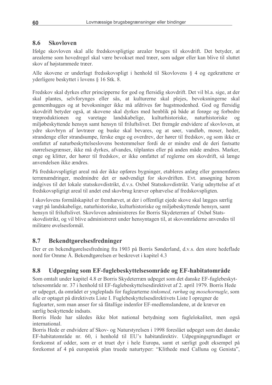#### 8.6 **Skovloven**

Ifølge skovloven skal alle fredskovspligtige arealer bruges til skovdrift. Det betyder, at arealerne som hovedregel skal være bevokset med træer, som udgør eller kan blive til sluttet skov af højstammede træer.

Alle skovene er underlagt fredsskovspligt i henhold til Skovlovens § 4 og egekrattene er vderligere beskyttet i lovens § 16 Stk. 8.

Fredskov skal dyrkes efter principperne for god og flersidig skovdrift. Det vil bl.a. sige, at der skal plantes, selvforvnges eller sås, at kulturerne skal plejes, bevoksningerne skal gennemhugges og at bevoksninger ikke må afdrives før hugstmodenhed. God og flersidig skovdrift betyder også, at skovene skal dyrkes med henblik på både at forøge og forbedre træproduktionen  $0<sup>g</sup>$ varetage landskabelige, kulturhistoriske. naturhistoriske  $0<sub>q</sub>$ miljøbeskyttende hensyn samt hensyn til friluftslivet. Det fremgår endvidere af skovloven, at ydre skovbryn af løvtræer og buske skal bevares, og at søer, vandløb, moser, heder, strandenge eller strandsumpe, ferske enge og overdrev, der hører til fredskov, og som ikke er omfattet af naturbeskyttelseslovens bestemmelser fordi de er mindre end de deri fastsatte størrelsesgrænser, ikke må dyrkes, afvandes, tilplantes eller på anden måde ændres. Marker, enge og klitter, der hører til fredskov, er ikke omfattet af reglerne om skovdrift, så længe anvendelsen ikke ændres

På fredskovspligtigt areal må der ikke opføres bygninger, etableres anlæg eller gennemføres terrænændringer, medmindre det er nødvendigt for skovdriften. Evt. ansøgning herom indgives til det lokale statsskovdistrikt, d.v.s. Oxbøl Statsskovdistrikt. Varig udnyttelse af et fredskovspligtigt areal til andet end skovbrug kræver ophævelse af fredskovspligten.

I skovlovens formålskapitel er fremhævet, at der i offentligt ejede skove skal lægges særlig vægt på landskabelige, naturhistoriske, kulturhistoriske og miljøbeskyttende hensyn, samt hensyn til friluftslivet. Skovloven administreres for Borris Skydeterræn af Oxbøl Statsskovdistrikt, og vil blive administreret under hensyntagen til, at skovområderne anvendes til militære øvelsesformål.

#### 8.7 **Bekendtgørelsesfredninger**

Der er en bekendtgørelsesfredning fra 1903 på Borris Sønderland, d.v.s. den store hedeflade nord for Omme Å. Bekendtgørelsen er beskrevet i kapitel 4.3

#### 8.8 Udpegning som EF-fuglebeskyttelsesområde og EF-habitatområde

Som omtalt under kapitel 4.8 er Borris Skydeterræn udpeget som det danske EF-fuglebeskyttelsesområde nr. 37 i henhold til EF-fuglebeskyttelsesdirektivet af 2. april 1979. Borris Hede er udpeget, da området er yngleplads for fuglearterne tinksmed, rørhøg og mosehornugle, som alle er optaget på direktivets Liste I. Fuglebeskyttelsesdirektivets Liste I opregner de fuglearter, som man anser for så fåtallige indenfor EF-medlemslandene, at de kræver en særlig beskyttende indsats.

Borris Hede har således ikke blot national betydning som fuglelokalitet, men også international

Borris Hede er endvidere af Skov- og Naturstyrelsen i 1998 foreslået udpeget som det danske EF-habitatområde nr. 60, i henhold til EU's habitatdirektiv. Udpegningsgrundlaget er forekomst af odder, som er et truet dyr i hele Europa, samt et særligt godt eksempel på forekomst af 4 på europæisk plan truede naturtyper: "Klithede med Calluna og Genista",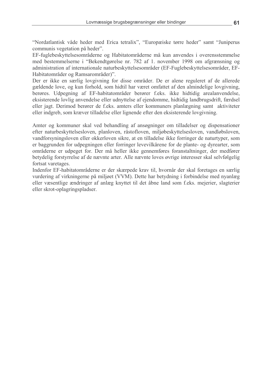"Nordatlantisk våde heder med Erica tetralix", "Europæiske tørre heder" samt "Juniperus communis vegetation på heder".

EF-fuglebeskyttelsesområderne og Habitatområderne må kun anvendes i overensstemmelse med bestemmelserne i "Bekendtgørelse nr. 782 af 1. november 1998 om afgrænsning og administration af internationale naturbeskyttelsesområder (EF-Fuglebeskyttelsesområder, EF-Habitatområder og Ramsarområder)".

Der er ikke en særlig lovgivning for disse områder. De er alene reguleret af de allerede gældende love, og kun forhold, som hidtil har været omfattet af den almindelige lovgivning, berøres. Udpegning af EF-habitatområder berører f.eks. ikke hidtidig arealanvendelse, eksisterende lovlig anvendelse eller udnyttelse af ejendomme, hidtidig landbrugsdrift, færdsel eller jagt. Derimod berører de f.eks. amters eller kommuners planlægning samt aktiviteter eller indgreb, som kræver tilladelse eller lignende efter den eksisterende lovgivning.

Amter og kommuner skal ved behandling af ansøgninger om tilladelser og dispensationer efter naturbeskyttelsesloven, planloven, råstofloven, miljøbeskyttelsesloven, vandløbsloven, vandforsyningsloven eller okkerloven sikre, at en tilladelse ikke forringer de naturtyper, som er baggrunden for udpegningen eller forringer levevilkårene for de plante- og dyrearter, som områderne er udpeget for. Der må heller ikke gennemføres foranstaltninger, der medfører betydelig forstyrrelse af de nævnte arter. Alle nævnte loves øvrige interesser skal selvfølgelig fortsat varetages.

Indenfor EF-habitatområderne er der skærpede krav til, hvornår der skal foretages en særlig vurdering af virkningerne på miljøet (VVM). Dette har betydning i forbindelse med nyanlæg eller væsentlige ændringer af anlæg knyttet til det åbne land som f.eks. mejerier, slagterier eller skrot-oplagringspladser.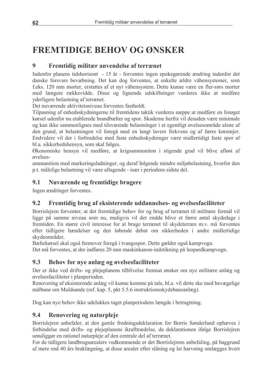# **FREMTIDIGE BEHOV OG ØNSKER**

#### $\boldsymbol{9}$ Fremtidig militær anvendelse af terrænet

Indenfor planens tidshorisont - 15 år - forventes ingen epokegørende ændring indenfor det danske forsvars bevæbning. Det kan dog forventes, at enkelte ældre våbensystemer, som f.eks. 120 mm morter, erstattes af et nyt våbensystem. Dette kunne være en fler-rørs morter med længere rækkevidde. Disse og lignende udskiftninger vurderes ikke at medføre yderligere belastning af terrænet.

Det nuværende aktivitetsniveau forventes fastholdt.

Tilpasning af enhedsskydningerne til fremtidens taktik vurderes næppe at medføre en forøget kørsel udenfor nu etablerede brandbælter og spor. Skaderne herfra vil desuden være minimale og kan ikke sammenlignes med tilsvarende belastninger i et egentligt øvelsesområde alene af den grund, at belastningen vil foregå med en langt lavere frekvens og af færre køretøjer. Endvidere vil der i forbindelse med faste enhedsskydninger være midlertidigt faste spor af bl.a. sikkerhedshensyn, som skal følges.

Økonomiske hensyn vil medføre, at krigsammuniton i stigende grad vil blive afløst af øvelses-

ammunition med markeringsladninger, og deraf følgende mindre miljøbelastning, hvorfor den p.t. målelige belastning vil være aftagende - især i periodens sidste del.

#### 9.1 Nuværende og fremtidige brugere

Ingen ændringer forventes.

#### $9.2$ Fremtidig brug af eksisterende uddannelses- og øvelsesfaciliteter

Borrislejren forventer, at det fremtidige behov for og brug af terrænet til militære formål vil ligge på samme niveau som nu, muligvis vil der endda blive et færre antal skydedage i fremtiden. En større civil interesse for at bruge terrænet til skydeterræn m.v. må forventes efter tidligere hændelser og den løbende debat om sikkerheden i andre midlertidige skydeområder.

Bæltekørsel skal også fremover foregå i tvangsspor. Dette gælder også kampvogn.

Det må forventes, at der indføres 20 mm maskinkanon-indstikning på leopardkampvogn.

#### 9.3 Behov for nye anlæg og øvelsesfaciliteter

Der er ikke ved drifts- og plejeplanens tilblivelse fremsat ønsker om nye militære anlæg og øvelsesfaciliteter i planperioden.

Renovering af eksisterende anlæg vil kunne komme på tale, bl.a. vil dette ske med bevægelige målbane om Muldsande (ref. kap. 5, pkt 5.5.6 instruktionsskydebaneanlæg).

Dog kan nye behov ikke udelukkes taget planperiodens længde i betragtning.

#### $9.4$ Renovering og naturpleje

Borrisleiren anbefaler, at den gamle fredningsdeklaration for Borris Sønderland ophæves i forbindelse med drifts- og plejeplanens ikrafttrædelse, da deklarationen ifølge Borrislejren umuliggør en rationel naturpleje af den centrale del af terrænet.

For de tidligere landbrugsarealers vedkommende er det Borrislejrens anbefaling, på baggrund af mere end 40 års braklægning, at disse arealer efter slåning og let harvning omlægges hvert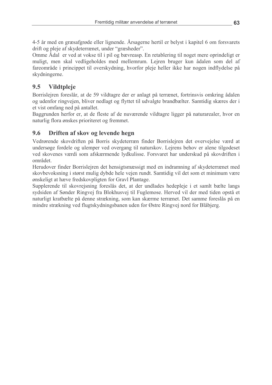4-5 år med en græsafgrøde eller lignende. Årsagerne hertil er belyst i kapitel 6 om forsvarets drift og pleje af skydeterrænet, under "græsheder".

Omme Ådal er ved at vokse til i pil og bævreasp. En retablering til noget mere oprindeligt er muligt, men skal vedligeholdes med mellemrum. Lejren bruger kun ådalen som del af fareområde i princippet til overskydning, hvorfor pleje heller ikke har nogen indflydelse på skydningerne.

#### 9.5 Vildtpleje

Borrislejren foreslår, at de 59 vildtagre der er anlagt på terrænet, fortrinsvis omkring ådalen og udenfor ringvejen, bliver nedlagt og flyttet til udvalgte brandbælter. Samtidig skæres der i et vist omfang ned på antallet.

Baggrunden herfor er, at de fleste af de nuværende vildtagre ligger på naturarealer, hvor en naturlig flora ønskes prioriteret og fremmet.

#### $9.6$ Driften af skov og levende hegn

Vedrørende skovdriften på Borris skydeterræn finder Borrislejren det overvejelse værd at undersøge fordele og ulemper ved overgang til naturskov. Lejrens behov er alene tilgodeset ved skovenes værdi som afskærmende lydkulisse. Forsvaret har underskud på skovdriften i området

Herudover finder Borrislejren det hensigtsmæssigt med en indramning af skydeterrænet med skovbevoksning i størst mulig dybde hele vejen rundt. Samtidig vil det som et minimum være ønskeligt at hæve fredskovpligten for Gravl Plantage.

Supplerende til skovrejsning foreslås det, at der undlades hedepleje i et samlt bælte langs sydsiden af Sønder Ringvej fra Blokhusvej til Fuglemose. Herved vil der med tiden opstå et naturligt kratbælte på denne strækning, som kan skærme terrænet. Det samme foreslås på en mindre strækning ved flugtskydningsbanen uden for Østre Ringvej nord for Blåbjerg.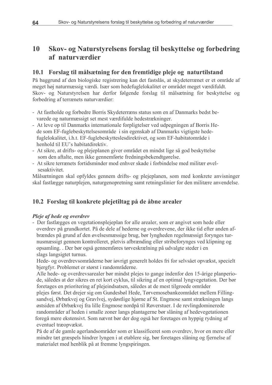#### 10 Skov- og Naturstyrelsens forslag til beskyttelse og forbedring af naturværdier

# 10.1 Forslag til målsætning for den fremtidige pleje og naturtilstand

På baggrund af den biologiske registrering kan det fastslås, at skydeterrænet er et område af meget høj naturmæssig værdi. Især som hedefuglelokalitet er området meget værdifuldt. Skov- og Naturstyrelsen har derfor følgende forslag til målsætning for beskyttelse og forbedring af terrænets naturværdier:

- At fastholde og forbedre Borris Skydeterræns status som en af Danmarks bedst bevarede og naturmæssigt set mest værdifulde hedestrækninger.
- At leve op til Danmarks internationale forpligtelser ved udpegningen af Borris Hede som EF-fuglebeskyttelsesområde i sin egenskab af Danmarks vigtigste hedefuglelokalitet, i.h.t. EF-fuglebeskytteslesdirektivet, og som EF-habitatområde i henhold til EU's habitatdirektiv.
- At sikre, at drifts- og plejeplanen giver området en mindst lige så god beskyttelse som den aftalte, men ikke gennemførte fredningsbekendtgørelse.
- At sikre terrænets fortidsminder mod enhver skade i forbindelse med militær øvelsesaktivitet.

Målsætningen skal opfyldes gennem drifts- og plejeplanen, som med konkrete anvisninger skal fastlægge naturplejen, naturgenopretning samt retningslinier for den militære anvendelse.

# 10.2 Forslag til konkrete plejetiltag på de åbne arealer

### Pleje af hede og overdrev

- Der fastlægges en vegetationsplejeplan for alle arealer, som er angivet som hede eller overdrev på grundkortet. På de dele af hederne og overdrevene, der ikke tid efter anden afbrændes på grund af den øvelsesmæssige brug, bør lyngheden regelmæssigt forynges turnusmæssigt gennem kontrolleret, pletvis afbrænding eller stribeforynges ved klipning og opsamling. Der bør også gennemføres tørveskrælning på udvalgte steder i en slags langsigtet turnus.

Hede- og overdrevsområderne bør i vrigt generelt holdes fri for selvsået opvækst, specielt bjergfyr. Problemet er størst i randområderne.

Alle hede- og overdrevsarealer bør mindst plejes to gange indenfor den 15-årige planperiode, således at der sikres en ret kort cyklus, til sikring af en optimal lyngvegetation. Der bør foretages en prioritering af plejeindsatsen, således at de mest tilgroede områder

plejes først. Det drejer sig om Gundesbøl Hede, Tørvemosebankeområdet mellem Fillingsandvej, Ørbækvej og Gravlvej, sydøstlige hjørne af St. Engmose samt strækningen langs østsiden af Ørbækvej fra lille Engmose nordpå til Røverstuer. I de revlingdominerede randområder af heden i smalle zoner langs plantagerne bør slåning af hedevegetationen foregå mere ekstensivt. Som nævnt bør der dog også her foretages en hyppig rydning af eventuel træopvækst.

På de af de gamle agerlandsområder som er klassificeret som overdrev, hvor en mere eller mindre tæt græspels hindrer lyngen i at etablere sig, bør foretages slåning og fjernelse af materialet med henblik på at fremme lyngspiringen.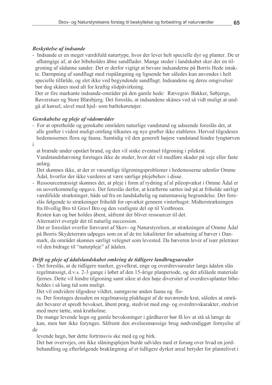#### **Beskyttelse af indsande**

- Indsande er en meget værdifuld naturtype, hvor der lever helt specielle dyr og planter. De er afhængige af, at der bibeholdes åbne sandflader. Mange steder i landskabet sker der en tilgroning af sådanne sander. Det er derfor vigtigt at bevare indsanderne på Borris Hede intakte. Dæmpning af sandflugt med rispålægning og lignende bør således kun anvendes i helt specielle tilfælde, og slet ikke ved begyndende sandflugt. Indsandene og deres omgivelser bør dog skånes mod alt for kraftig slidpåvirkning.

Der er fire markante indsande-områder på den gamle hede: Rævegrav Bakker, Søbjerge, Røverstuer og Store Blæsbjerg. Det foreslås, at indsandene skånes ved så vidt muligt at undgå al kørsel, såvel med hjul- som bæltekøretøjer.

### Genskabelse og pleje af vådområder

- For at opretholde og genskabe områdets naturlige vandstand og udseende foreslås det, at alle grøfter i videst muligt omfang tilkastes og nye grøfter ikke etableres. Herved tilgodeses hedemosernes flora og fauna. Samtidig vil den generelt højere vandstand hindre lyngtørven i

at brænde under opstået brand, og den vil sinke eventuel tilgroning i pilekrat. Vandstandshævning foretages ikke de steder, hvor det vil medføre skader på veje eller faste anlæg.

Det skønnes ikke, at der er væsentlige tilgroningsproblemer i hedemoserne udenfor Omme Ådal, hvorfor der ikke vurderes at være særlige plejebehov i disse.

- Ressourcemæssigt skønnes det, at pleje i form af rydning af al pileopvækst i Omme Ådal er en uoverkommelig opgave. Det foreslås derfor, at kræfterne sættes ind på at friholde særligt værdifulde strækninger, både ud fra en landskabelig og naturmæssig begrundelse. Der foreslås følgende to strækninger friholdt for opvækst gennem vinterhugst: Midterstrækningen fra Hvollig Bro til Gravl Bro og den vestligste del op til Vestbroen.

Resten kan og bør holdes åbent, såfremt der bliver ressourcer til det.

Alternativt overgår det til naturlig succession.

Det er foreslået overfor forsvaret af Skov- og Naturstyrelsen, at strækningen af Omme Ådal på Borris Skydeterræn udpeges som en af de tre lokaliteter for udsætning af bæver i Danmark, da området skønnes særligt velegnet som levested. Da bæveren lever af især piletræer vil den bidrage til "naturpleje" af ådalen.

### Drift og pleje af ådalslandskabet omkring de tidligere landbrugsarealer

- Det foreslås, at de tidligere marker, gyvelkrat, enge og overdrevsarealer langs ådalen slås regelmæssigt, d.v.s. 2-3 gange i løbet af den 15-årige planperiode, og det afslåede materiale fjernes. Dette vil hindre tilgroning samt sikre at den høje diversitet af overdrevsplanter bibeholdes i så lang tid som muligt.

Det vil endvidere tilgodese vildtet, samtgavne anden fauna og flo-

ra. Der foretages desuden en regelmæssig plukhugst af de nuværende krat, således at området bevarer et spredt bevokset, åbent præg, stedvist med eng- og overdrevskarakter, stedvist med mere tætte, små kratholme.

De mange levende hegn og gamle bevoksninger i gårdhaver bør få lov at stå så længe de kan, men bør ikke forynges. Såfremt den øvelsesmæssige brug nødvendiggør fornyelse af de

levende hegn, bør dette fortrinsvis ske med eg og birk.

Det bør overvejes, om ikke slåningsplejen burde udvides med et forsøg over hvad en jordbehandling og efterfølgende braklægning af et tidligere dyrket areal betyder for plantelivet i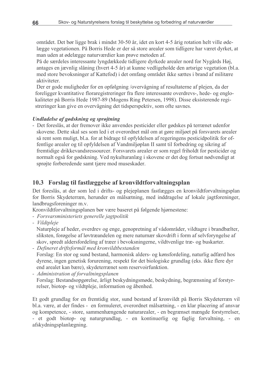området. Det bør ligge brak i mindst 30-50 år, idet en kort 4-5 årig rotation helt ville ødelægge vegetationen. På Borris Hede er der så store arealer som tidligere har været dyrket, at man uden at ødelægge naturværdier kan prøve metoden af.

På de særdeles interessante lyngdækkede tidligere dyrkede arealer nord for Nygårds Høj, antages en jævnlig slåning (hvert 4-5 år) at kunne vedligeholde den artsrige vegetation (bl.a. med store bevoksninger af Kattefod) i det omfang området ikke sættes i brand af militære aktiviteter

Der er gode muligheder for en opfølgning /overvågning af resultaterne af plejen, da der foreligger kvantitative floraregistreringer fra flere interessante overdrevs-, hede- og englokaliteter på Borris Hede 1987-89 (Mogens Ring Petersen, 1998). Disse eksisterende registreringer kan give en overvågning det tidsperspektiv, som ofte savnes.

#### Undladelse af gødskning og sprøjtning

- Det foreslås, at der fremover ikke anvendes pesticider eller gødskes på terrænet udenfor skovene. Dette skal ses som led i et overordnet mål om at gøre miljøet på forsvarets arealer så rent som muligt, bl.a. for at bidrage til opfyldelsen af regeringens pesticidpolitik for offentlige arealer og til opfyldelsen af Vandmiljøplan II samt til forbedring og sikring af fremtidige drikkevandsressourcer. Forsvarets arealer er som regel friholdt for pesticider og normalt også for gødskning. Ved nykulturanlæg i skovene er det dog fortsat nødvendigt at sprøjte forberedende samt tjære mod museskader.

# 10.3 Forslag til fastlæggelse af kronvildtforvaltningsplan

Det foreslås, at der som led i drifts- og plejeplanen fastlægges en kronvildtforvaltningsplan for Borris Skydeterræn, herunder en målsætning, med inddragelse af lokale jagtforeninger, landbrugsforeninger m.v.

Kronvildtforvaltningsplanen bør være baseret på følgende hjørnestene:

- Forsvarsministeriets generelle jagtpolitik
- Vildtpleje

Naturpleje af heder, overdrev og enge, genopretning af vådområder, vildtagre i brandbælter, sliksten, forøgelse af løvtræandelen og mere naturnær skovdrift i form af selvforyngelse af skov, spredt aldersfordeling af træer i bevoksningerne, vildtvenlige træ- og buskarter.

- Defineret driftsformål med kronvildtbestanden

Forslag: En stor og sund bestand, harmonisk alders- og kønsfordeling, naturlig adfærd hos dyrene, ingen genetisk forurening, respekt for det biologiske grundlag (eks. ikke flere dyr end arealet kan bære), skydeterrænet som reservoirfunktion.

- Administration af forvaltningsplanen Forslag: Bestandsopgørelse, årligt beskydningsmøde, beskydning, begrænsning af forstyrrelser, biotop- og vildtpleje, information og åbenhed.

Et godt grundlag for en fremtidig stor, sund bestand af kronvildt på Borris Skydeterræn vil bl.a. være, at der findes - en formuleret, overordnet målsætning, - en klar placering af ansvar og kompetence, - store, sammenhængende naturarealer, - en begrænset mængde forstyrrelser, - et godt biotop- og naturgrundlag, - en kontinuerlig og faglig forvaltning, - en afskydningsplanlægning.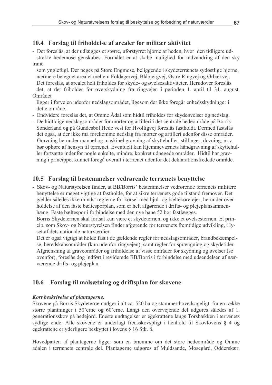# 10.4 Forslag til friholdelse af arealer for militær aktivitet

- Det foreslås, at der udlægges et større, uforstyrret hjørne af heden, hvor den tidligere udstrakte hedemose genskabes. Formålet er at skabe mulighed for indvandring af den sky trane

som ynglefugl. Der peges på Store Engmose, beliggende i skydeterrænets sydøstlige hjørne, nærmere betegnet arealet mellem Foldagervej, Blåbjergvej, Østre Ringvej og Ørbækvej. Det foreslås, at arealet helt friholdes for skyde- og øvelsesaktiviteter. Herudover foreslås det, at det friholdes for overskydning fra ringvejen i perioden 1. april til 31. august. Området

ligger i forvejen udenfor nedslagsområdet, ligesom der ikke foregår enhedsskydninger i dette område.

- Endvidere foreslås det, at Omme Ådal som hidtil friholdes for skydeøvelser og nedslag.
- De hidtidige nedslagsområder for morter og artilleri i det centrale hedeområde på Borris Sønderland og på Gundesbøl Hede vest for Hyolligvej foreslås fastholdt. Dermed fastslås det også, at der ikke må forekomme nedslag fra morter og artilleri udenfor disse områder.
- Gravning herunder manuel og maskinel gravning af skyttehuller, stillinger, dozning, m.v. bør ophøre af hensyn til terrænet. Eventuelt kan Hjemmeværnets håndgravning af skyttehuller fortsætte indenfor nogle enkelte, mindre, konkret udpegede områder. Hidtil har gravning i princippet kunnet foregå overalt i terrænet udenfor det deklarationsfredede område.

# 10.5 Forslag til bestemmelser vedrørende terrænets benyttelse

- Skov- og Naturstyrelsen finder, at BB/Borris' bestemmelser vedrørende terrænets militære benyttelse er meget vigtige at fastholde, for at sikre terrænets gode tilstand fremover. Det gælder således ikke mindst reglerne for kørsel med hjul- og bæltekøretøjer, herunder overholdelse af den faste bæltesporplan, som er helt afgørende i drifts- og plejeplansammenhæng. Faste bæltespor i forbindelse med den nye bane 52 bør fastlægges.

Borris Skydeterræn skal fortsat kun være et skydeterræn, og ikke et øvelsesterræn. Et princip, som Skov- og Naturstyrelsen finder afgørende for terrænets fremtidige udvikling, i lyset af dets nationale naturværdier.

Det er også vigtigt at holde fast i de gældende regler for nedslagsområder, brandbekæmpelse, beredskabsområder (kun udenfor ringvejen), samt regler for sprængning og skydetider. Afgrænsning af graveområder og friholdelse af visse områder for skydning og øvelser (se ovenfor), foreslås dog indført i reviderede BB/Borris i forbindelse med udsendelsen af nærværende drifts- og plejeplan.

#### 10.6 Forslag til målsætning og driftsplan for skovene

### Kort beskrivelse af plantagerne.

Skovene på Borris Skydeterræn udgør i alt ca. 520 ha og stammer hovedsageligt fra en række større plantninger i 50'erne og 60'erne. Langt den overvejende del udgøres således af 1. generationsskov på hedejord. Eneste undtagelser er egekrattene langs Torsbækken i terrænets sydlige ende. Alle skovene er underlagt fredsskovspligt i henhold til Skovlovens § 4 og egekrattene er yderligere beskyttet i lovens § 16 Stk. 8.

Hovedparten af plantagerne ligger som en bræmme om det store hedeområde og Omme ådalen i terrænets centrale del. Plantagerne udgøres af Muldsande, Mosegård, Odderskær,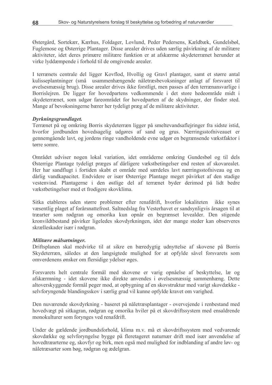Østergård, Sortekær, Kærhus, Foldager, Lovlund, Peder Pedersens, Kældbæk, Gundelsbøl, Fuglemose og Østerrige Plantager. Disse arealer drives uden særlig påvirkning af de militære aktiviteter, idet deres primære militære funktion er at afskærme skydeterrænet herunder at virke lyddæmpende i forhold til de omgivende arealer.

I terrænets centrale del ligger Kovflod, Hvollig og Gravl plantager, samt et større antal kulisseplantninger (små usammenhængende nåletræsbevoksninger anlagt af forsvaret til øvelsesmæssig brug). Disse arealer drives ikke forstligt, men passes af den terrænansvarlige i Borrislejren. De ligger for hovedpartens vedkommende i det store hedeområde midt i skydeterrænet, som udgør fareområdet for hovedparten af de skydninger, der finder sted. Mange af bevoksningerne bærer her tydeligt præg af de militære aktiviteter.

#### Dyrkningsgrundlaget.

Terrænet på og omkring Borris skydeterræn ligger på smeltevandsaflejringer fra sidste istid, hvorfor jordbunden hovedsagelig udgøres af sand og grus. Nærringsstofniveauet er gennemgående lavt, og jordens ringe vandholdende evne udgør en begrænsende vækstfaktor i tørre somre.

Området udviser nogen lokal variation, idet områderne omkring Gundesbøl og til dels Østerrige Plantage tydeligt præges af dårligere vækstbetingelser end resten af skovarealet. Her har sandflugt i fortiden skabt et område med særdeles lavt nærringsstofniveau og en dårlig vandkapacitet. Endvidere er især Østerrige Plantage meget påvirket af den stadige vestenvind. Plantagerne i den østlige del af terrænet byder derimod på lidt bedre vækstbetingelser med et frodigere skovklima.

Sitka etableres uden større problemer efter renafdrift, hvorfor lokaliteten ikke synes væsentlig plaget af forårsnattefrost. Saltnedslag fra Vesterhavet er sandsynligvis årsagen til at træarter som rødgran og omorika kun opnår en begrænset levealder. Den stigende kronvildtbestand påvirker ligeledes skovdyrkningen, idet der mange steder kan observeres skrælleskader især i rødgran.

#### Militære målsætninger.

Driftsplanen skal medvirke til at sikre en bæredygtig udnyttelse af skovene på Borris Skydeterræn, således at den langsigtede mulighed for at opfylde såvel forsvarets som omverdenens ønsker om flersidige ydelser øges.

Forsvarets helt centrale formål med skovene er varig opnåelse af beskyttelse, læ og afskærmning - idet skovene ikke direkte anvendes i øvelsesmæssig sammenhæng. Dette altoverskyggende formål peger mod, at opbygning af en skovstruktur med varigt skovdække selvforyngende blandingsskov i særlig grad vil kunne opfylde kravet om varighed.

Den nuværende skovdyrkning - baseret på nåletræsplantager - overvejende i renbestand med hovedvægt på sitkagran, rødgran og omorika hviler på et skovdriftssystem med ensaldrende monokulturer som forynges ved renafdrift.

Under de gældende jordbundsforhold, klima m.v. må et skovdriftssystem med vedvarende skovdække og selvforyngelse bygge på fleretageret naturnær drift med især anvendelse af hovedtræarterne eg, skovfyr og birk, men også med mulighed for indblanding af andre løv- og nåletræsarter som bøg, rødgran og ædelgran.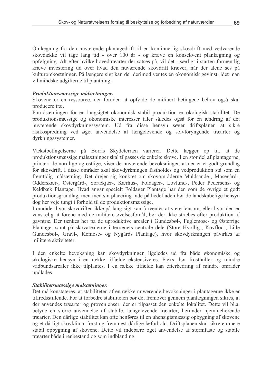Omlægning fra den nuværende plantagedrift til en kontinuerlig skovdrift med vedvarende skovdække vil tage lang tid - over 100 år - og kræve en konsekvent planlægning og opfølgning. Alt efter hvilke hovedtræarter der satses på, vil det - særligt i starten formentlig kræve investering ud over hvad den nuværende skovdrift kræver, når der alene ses på kulturomkostninger. På længere sigt kan der derimod ventes en økonomisk gevinst, idet man vil mindske udgifterne til plantning.

#### Produktionsmæssige målsætninger.

Skovene er en ressource, der foruden at opfylde de militært betingede behov også skal producere træ.

Forudsætningen for en langsigtet økonomisk stabil produktion er økologisk stabilitet. De produktionsmæssige og økonomiske interesser taler således også for en ændring af det nuværende skovdyrkningssystem. Ud fra disse hensyn søger driftsplanen at sikre risikospredning ved øget anvendelse af længelevende og selvforyngende træarter og dyrkningssystemer.

Vækstbetingelserne på Borris Skydeterræn varierer. Dette lægger op til, at de produktionsmæssige målsætninger skal tilpasses de enkelte skove. I en stor del af plantagerne, primært de nordlige og østlige, viser de nuværende bevoksninger, at der er et godt grundlag for skovdrift. I disse områder skal skovdyrkningen fastholdes og vedproduktion stå som en fremtidig målsætning. Det drejer sig konkret om skovområderne Muldsande-, Mosegård-, Odderskær-, Østergård-, Sortekjær-, Kærhus-, Foldager-, Lovlund-, Peder Pedersens- og Keldbæk Plantage. Hvad angår specielt Foldager Plantage har den som de øvrige et godt produktionsgrundlag, men med sin placering inde på hedefladen bør de landskabelige hensyn dog her veje tungt i forhold til de produktionsmæssige.

I områder hvor skovdriften ikke på lang sigt kan forventes at være lønsom, eller hvor den er vanskelig at forene med de militære øvelsesfomål, bør der ikke stræbes efter produktion af gavntræ. Der tænkes her på de uproduktive arealer i Gundesbøl-, Fuglemose- og Østerrige Plantage, samt på skovarealerne i terrænets centrale dele (Store Hvollig-, Kovflod-, Lille Gundesbøl-, Gravl-, Komose- og Nygårds Plantage), hvor skovdyrkningen påvirkes af militære aktiviteter

I den enkelte bevoksning kan skovdyrkningen ligeledes ud fra både økonomiske og økologiske hensyn i en række tilfælde ekstensiveres. F.eks. bør frosthuller og mindre vådbundsarealer ikke tilplantes. I en række tilfælde kan efterbedring af mindre områder undlades.

#### Stabilitetsmæssige målsætninger.

Det må konstateres, at stabiliteten af en række nuværende bevoksninger i plantagerne ikke er tilfredsstillende. For at forbedre stabiliteten bør det fremover gennem planlægningen sikres, at der anvendes træarter og provenienser, der er tilpasset den enkelte lokalitet. Dette vil bl.a. betyde en større anvendelse af stabile, længelevende træarter, herunder hjemmehørende træarter. Den dårlige stabilitet kan ofte henføres til en uhensigtsmæssig opbygning af skovene og et dårligt skovklima, først og fremmest dårlige læforhold. Driftsplanen skal sikre en mere stabil opbygning af skovene. Dette vil indebære øget anvendelse af stormfaste og stabile træarter både i renbestand og som indblanding.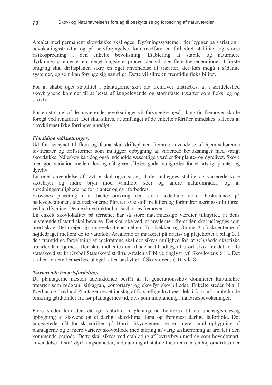Arealet med permanent skovdække skal øges. Dyrkningssystemer, der bygger på variation i bevoksningsstruktur og på selvforvngelse, kan medføre en forbedret stabilitet og større risikospredning i den enkelte bevoksning. Etablering af stabile og naturnære dyrkningssystemer er en meget langsigtet proces, der vil tage flere trægenerationer. I første omgang skal driftsplanen sikre en øget anvendelse af træarter, der kan indgå i sådanne systemer, og som kan forvnge sig naturligt. Dette vil sikre en fremtidig fleksibilitet.

For at skabe øget stabilitet i plantagerne skal det fremover tilstræbes, at i særdeleshed skovbrvnene kommer til at bestå af længelevende og stormfaste træarter som f.eks. eg og skovfyr.

For en stor del af de nuværende bevoksninger vil forvngelse også i lang tid fremover skulle foregå ved renafdrift. Det skal sikres, at omfanget af de enkelte afdrifter mindskes, således at skovklimaet ikke forringes unødigt.

#### Flersidige målsætninger.

Ud fra hensynet til flora og fauna skal driftsplanen fremme anvendelse af hjemmehørende løvtræarter og driftsformer som muliggør opbygning af varierede bevoksninger med varigt skovdække. Nåleskov kan dog også indeholde væsentlige værdier for plante- og dyrelivet. Skove med god variation mellem løv og nål giver således gode muligheder for et artsrigt plante- og dvreliv.

En øget anvendelse af løvtræ skal også sikre, at der anlægges stabile og varierede ydre skovbryn og indre bryn mod vandløb, søer og andre naturområder, og at spredningsmulighederne for planter og dyr forbedres.

Skovenes placering i et bælte omkring den store hedeflade virker beskyttende på hedevegetationen, idet trækronerne filtrerer kvælstof fra luften og forhindrer næringsstoftilførsel ved jordfygning. Denne skovstruktur bør fastholdes fremover.

En enkelt skovlokalitet på terrænet har så store naturmæssige værdier tilknyttet, at dens nuværende tilstand skal bevares. Det skal ske ved, at arealerne i fremtiden skal udlægges som urørt skov. Det drejer sig om egekrattene mellem Torsbækken og Omme Å på skrænterne af højdedraget mellem de to vandløb. Arealerne er markeret på drifts- og plejekortet i bilag 3. I den fremtidige forvaltning af egekrattene skal der sikres mulighed for, at selvsåede eksotiske træarter kan fjernes. Der skal indhentes en tilladelse til udlæg af urørt skov fra det lokale statsskovdistrikt (Oxbøl Statsskovdistrikt). Aftalen vil blive tinglyst jvf. Skovlovens § 18. Det skal endvidere bemærkes, at egekrat er beskyttet af Skovlovens § 16 stk. 8.

#### Nuværende træartsfordeling.

Da plantagerne næsten udelukkende består af 1. generationsskov dominerer kultursikre træarter som rødgran, sitkagran, contortafyr og skovfyr skovbilledet. Enkelte steder bl.a. I Kærhus og Lovlund Plantager ses et indslag af forskellige løvtræer dels i form af gamle lunde omkring gårdtomter fra før plantagernes tid, dels som indblanding i nåletræsbevoksninger.

Flere steder kan den dårlige stabilitet i plantagerne henføres til en uhensigtsmæssig opbygning af skovene og et dårligt skovklima, først og fremmest dårlige læforhold. Det langsigtede mål for skovdriften på Borris Skydeteræn er en mere stabil opbygning af plantagerne og et mere varieret skovbillede med sikring af varig afskærmning af arealet i den kommende periode. Dette skal sikres ved etablering af løvtræbryn med eg som hovedtræart, anvendelse af små dyrkningsenheder, indblanding af stabile træarter med en høj omdriftsalder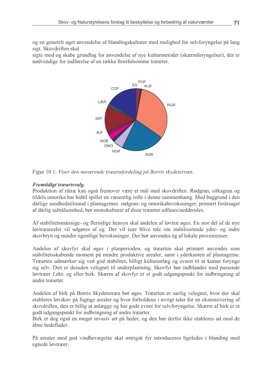og en generelt øget anvendelse af blandingskulturer med mulighed for selvforyngelse på lang sigt. Skovdriften skal

sigte mod og skabe grundlag for anvendelse af nye kulturmetoder (skærmforyngelser), der er nødvendige for indførelse af en række frostfølsomme træarter.



Figur 10.1: Viser den nuværende træartsfordeling på Borris skydeterræn.

#### Fremtidigt træartsvalg.

Produktion af råtræ kan også fremover være et mål med skovdriften. Rødgran, sitkagran og tildels omorika har hidtil spillet en væsentlig rolle i denne sammenhæng. Med baggrund i den dårlige sundhedstilstand i plantagernes rødgran- og omorikabevoksninger, primært forårsaget af dårlig salttålsomhed, bør monokulturer af disse træarter udfases/neddrosles.

Af stabilitetsmæssige- og flersidige hensyn skal andelen af løytræ øges. En stor del af de nye løvtræarealer vil udgøres af eg. Der vil især blive tale om stabiliserende vdre- og indre skovbryn og mindre egentlige bevoksninger. Der bør anvendes eg af lokale provenienser.

Andelen af skovfyr skal øges i planperioden, og træarten skal primært anvendes som stabilitetsskabende moment på mindre produktive arealer, samt i yderkanten af plantagerne. Træarten udmærker sig ved god stabilitet, billigt kulturanlæg og evnen til at kunne forynge sig selv. Den er desuden velegnet til underplantning. Skovfyr bør indblandes med passende løvtræer f.eks. eg eller birk. Skærm af skovfyr er et godt udgangspunkt for indbringning af andre træarter.

Andelen af birk på Borris Skydeterræn bør øges. Træarten er særlig velegnet, hvor der skal etableres løvskov på fugtige arealer og hvor forholdene i øvrigt taler for en ekstensivering af skovdriften, den er billig at anlægge og har gode evner for selvforyngelse. Skærm af birk er et godt udgangspunkt for indbringning af andre træarter.

Birk er dog også en meget invasiv art på heder, og den bør derfor ikke etableres ud mod de åbne hedeflader

På arealer med god vindbevægelse skal østrigsk fyr introduceres ligeledes i blanding med egnede løvtræer.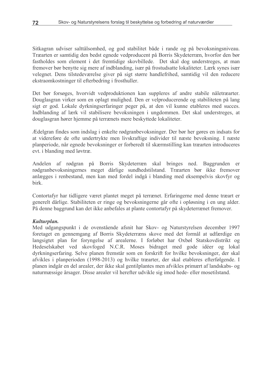Sitkagran udviser salttålsomhed, og god stabilitet både i rande og på bevoksningsniveau. Træarten er samtidig den bedst egnede vedproducent på Borris Skydeterræn, hvorfor den bør fastholdes som element i det fremtidige skovbillede. Det skal dog understreges, at man fremover bør benytte sig mere af indblanding, især på frostudsatte lokaliteter. Lærk synes især velegnet. Dens tilstedeværelse giver på sigt større handlefrihed, samtidig vil den reducere ekstraomkostninger til efterbedring i frosthuller.

Det bør forsøges, hvorvidt vedproduktionen kan suppleres af andre stabile nåletræarter. Douglasgran virker som en oplagt mulighed. Den er velproducerende og stabiliteten på lang sigt er god. Lokale dyrkningserfaringer peger på, at den vil kunne etableres med succes. Indblanding af lærk vil stabilisere bevoksningen i ungdommen. Det skal understreges, at douglasgran hører hiemme på terrænets mere beskyttede lokaliteter.

Ædelgran findes som indslag i enkelte rødgranbevoksninger. Der bør her gøres en indsats for at videreføre de ofte undertrykte men livskraftige individer til næste bevoksning. I næste planperiode, når egnede bevoksninger er forberedt til skærmstilling kan træarten introduceres evt. i blanding med løvtræ.

Andelen af rødgran på Borris Skydeterræn skal bringes ned. Baggrunden er rødgranbevoksningernes meget dårlige sundhedstilstand. Træarten bør ikke fremover anlægges i renbestand, men kan med fordel indgå i blanding med eksempelvis skovfyr og birk.

Contortafyr har tidligere været plantet meget på terrænet. Erfaringerne med denne træart er generelt dårlige. Stabiliteten er ringe og bevoksningerne går ofte i opløsning i en ung alder. På denne baggrund kan det ikke anbefales at plante contortafyr på skydeterrænet fremover.

#### Kulturplan.

Med udgangspunkt i de ovenstående afsnit har Skov- og Naturstyrelsen december 1997 foretaget en gennemgang af Borris Skydeterræns skove med det formål at udfærdige en langsigtet plan for foryngelse af arealerne. I forløbet har Oxbøl Statskovdistrikt og Hedeselskabet ved skovfoged N.C.R. Moses bidraget med gode idéer og lokal dyrkningserfaring. Selve planen fremstår som en forskrift for hvilke bevoksninger, der skal afvikles i planperioden (1998-2013) og hvilke træarter, der skal etableres efterfølgende. I planen indgår en del arealer, der ikke skal gentilplantes men afvikles primært af landskabs- og naturmæssige årsager. Disse arealer vil herefter udvikle sig imod hede- eller mosetilstand.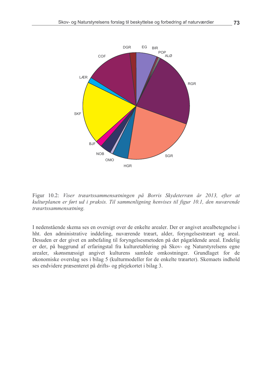

Figur 10.2: Viser træartssammensætningen på Borris Skydeterræn år 2013, efter at kulturplanen er ført ud i praksis. Til sammenligning henvises til figur 10.1, den nuværende træartssammensætning.

I nedenstående skema ses en oversigt over de enkelte arealer. Der er angivet arealbetegnelse i hht. den administrative inddeling, nuværende træart, alder, foryngelsestræart og areal. Desuden er der givet en anbefaling til foryngelsesmetoden på det pågældende areal. Endelig er der, på baggrund af erfaringstal fra kulturetablering på Skov- og Naturstyrelsens egne arealer, skønsmæssigt angivet kulturens samlede omkostninger. Grundlaget for de økonomiske overslag ses i bilag 5 (kulturmodeller for de enkelte træarter). Skemaets indhold ses endvidere præsenteret på drifts- og plejekortet i bilag 3.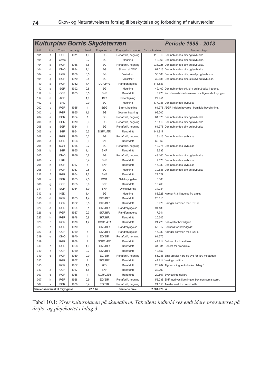|                                 | <b>Kulturplan Borris Skydeterræn</b><br>Periode 1998 - 2013 |            |         |                |                |                     |                |                                                        |
|---------------------------------|-------------------------------------------------------------|------------|---------|----------------|----------------|---------------------|----------------|--------------------------------------------------------|
| Afd.                            | Litra                                                       | Træart     | Argang  | Areal          | Forynges med   | Foryngelsesmetode   | Ca. omkostning | Bemærkninger.                                          |
| 101                             | f                                                           | COF        | 1971    | 1,9            | EG             | Renafdrift, hegning | 116.613        | Der indblandes birk og løvbuske                        |
| 104                             | a                                                           | Græs       |         | 0,7            | EG             | Hegning             |                | 42.963 Der indblandes birk og løvbuske.                |
| 104                             | b                                                           | <b>RGR</b> | 1968    | 3,8            | EG             | Renafdrift, hegning |                | 233.225 Der indblandes birk og løvbuske.               |
| 104                             | d                                                           | <b>OMO</b> | 1984    | 1,1            | EG             | Skærm af OMO        |                | 67.513 Der indblandes birk og løvbuske.                |
| 104                             | e                                                           | <b>HGR</b> | 1968    | 0,5            | EG             | Vækstrør            | 30.688         | Der indblandes birk, skovfyr og løvbuske.              |
| 104                             | g                                                           | <b>RGR</b> | 1970    | 0,5            | EG             | Vækstrør            |                | 30.688 Der indblandes birk, skovfyr og løvbuske.       |
| 110                             | a                                                           | <b>RGR</b> | 1952    | 4,4            | <b>DGR/HYL</b> | Randforyngelse      | 113.533        |                                                        |
| 112                             | a                                                           | <b>SGR</b> | 1992    | 0,8            | EG             | Hegning             |                | 49.100 Der indblandes skf, birk og løvbuske I egene.   |
| 112                             | b                                                           | COF        | 1963    | 0,5            | <b>SKF</b>     | Renafdrift          |                | 8.970 Kun den ustabile bræmme i sydlige ende forynges. |
| 117                             | n                                                           | AGE        |         | 1,9            | <b>BIR</b>     | Rillepløjning       | 27.951         |                                                        |
| 402                             | C                                                           | <b>BRL</b> |         | 2,9            | EG             | Hegning             |                | 177.988 Der indblandes løvbuske                        |
| 202                             | C                                                           | <b>RGR</b> | 1965    | 1              | <b>BØG</b>     | Særm, hegning       |                | 61.375 ÆGR indslag bevares i fremtidig bevoksning.     |
| 202                             | C                                                           | <b>RGR</b> | 1965    | 1,6            | EG             | Skærm, hegning      | 98.200         |                                                        |
| 204                             | a                                                           | <b>SGR</b> | 1964    | 1              | EG             | Renafdrift, hegning |                | 61.375 Der indblandes birk og løvbuske                 |
| 204                             | h                                                           | <b>SGR</b> | 1970    | 0,3            | EG             | Renafdrift, hegning |                | 18.413 Der indblandes birk og løvbuske                 |
| 205                             | a                                                           | <b>SGR</b> | 1964    | 1              | EG             | Renafdrift, hegning |                | 61.375 Der indblandes birk og løvbuske                 |
| 205                             | a                                                           | <b>SGR</b> | 1964    | 5,5            | <b>DGR/LÆR</b> | Renafdrift          | 141.917        |                                                        |
| 208                             | a                                                           | <b>RGR</b> | 1966    | 0,3            | EG             | Renafdrift, hegning |                | 18.413 Der indblandes løybuske                         |
| 208                             | a                                                           | <b>RGR</b> | 1966    | 3,9            | <b>SKF</b>     | Renafdrift          | 69.962         |                                                        |
| 208                             | b                                                           | <b>SGR</b> | 1965    | 0,2            | EG             | Renafdrift, hegning |                | 12.275 Der indblandes løvbuske                         |
| 208                             | b                                                           | <b>SGR</b> | 1965    | 1,1            | <b>SKF</b>     | Renafdrift          | 19.733         |                                                        |
| 205                             | C                                                           | OMO        | 1966    | 0,8            | EG             | Renafdrift, hegning |                | 49.100 Der indblandes birk og løvbuske                 |
| 208                             | k                                                           | <b>UKU</b> |         | 0,4            | <b>SKF</b>     | Renafdrift          |                | 7.176 Der indblandes løybuske                          |
| 208                             | h                                                           | <b>RGR</b> | 1967    | 1              | <b>SKF</b>     | Renafdrift          |                | 17.939 Der indblandes løvbuske                         |
| 208                             | $\mathbf{I}$                                                | <b>HGR</b> | 1967    | 0,5            | EG             | Hegning             |                | 30.688 Der indblandes birk og løvbuske                 |
| 216                             | f                                                           | <b>RGR</b> | 1964    | 1,2            | <b>SKF</b>     | Renafdrift          | 21.527         |                                                        |
| 302                             | е                                                           | <b>SGR</b> | 1963    | 2,5            | <b>SGR</b>     | Selvforyngelse      | 5.000          |                                                        |
| 306                             | g                                                           | COF        | 1955    | 0,6            | <b>SKF</b>     | Renafdrift          | 10.763         |                                                        |
| 311                             | f                                                           | <b>SGR</b> | 1984    | 1,9            | <b>SKF</b>     | Omkultivering       | 34.084         |                                                        |
| 313                             | a                                                           | <b>HED</b> |         | 1,4            | EG             | Hegning             |                | 85.925 Kræver § 3 tilladelse fra amtet                 |
| 318                             | d                                                           | <b>RGR</b> | 1963    | 1,4            | <b>SKF/BIR</b> | Renafdrift          | 25.115         |                                                        |
| 318                             | b                                                           | <b>HGR</b> | 1962    | 0,5            | <b>SKF/BIR</b> | Renafdrift          | 8.970          | Hænger sammen med 318 d.                               |
| 326                             | a                                                           | <b>RGR</b> | 1964    | 5,1            | <b>SKF/BIR</b> | Randforyngelse      | 91.489         |                                                        |
| 326                             | e                                                           | <b>RGR</b> | 1967    | 0,3            | <b>SKF/BIR</b> | Randforyngelse      | 7.741          |                                                        |
| 325                             | h                                                           | <b>RGR</b> | 1978    | 0,8            | <b>SKF/BIR</b> | Renafdrift          | 20.642         |                                                        |
| 323                             | C                                                           | <b>RGR</b> | 1970    | 1,2            | <b>SGR/LÆR</b> | Renafdrift          |                | 24.728 Del syd for hovedgrøft.                         |
| 323                             | C                                                           | <b>RGR</b> | 1970    | 3              | <b>SKF/BIR</b> | Randforyngelse      |                | 53.817 Del nord for hovedgrøft                         |
| 323                             | d                                                           | COF        | 1969    | 1              | <b>SKF/BIR</b> | Randforyngelse      |                | 17.939 Hænger sammen med 323 c.                        |
| 319                             | e                                                           | <b>OMO</b> | 1970    | 1              | EG/BIR         | Renafdrift, hegning | 61.375         |                                                        |
| 319                             | C                                                           | <b>RGR</b> | 1968    | $\overline{2}$ | SGR/LÆR        | Renafdrift          |                | 41.214 Del vest for brandlinie                         |
| 319                             | C                                                           | <b>RGR</b> | 1968    | 1,9            | SKF/BIR        | Renafdrift          |                | 34.084 Del øst for brandlinie                          |
| 319                             | $\mathsf f$                                                 | COF        | 1969    | 0,7            | SKF/BIR        | Renafdrift          | 12.557         |                                                        |
| 319                             | g                                                           | <b>RGR</b> | 1969    | 0,9            | EG/BIR         | Renafdrift, hegning |                | 55.238 Små arealer nord og syd for litra medtages.     |
| 313                             | C                                                           | <b>RGR</b> | 1967    | $\overline{c}$ | SKF/BIR        | Renafdrift          |                | 41.214 Vestlige dellitra.                              |
| 313                             | С                                                           | <b>RGR</b> | 1967    | 1,6            | ØFY            | Renafdrift          |                | 28.702 Afgrænsning se kulturkort bilag 3.              |
| 313                             | e                                                           | COF        | 1967    | 1,8            | <b>SKF</b>     | Renafdrift          | 32.290         |                                                        |
| 307                             | d                                                           | <b>RGR</b> | 1968    | $\mathbf{1}$   | SGR/LÆR        | Renafdrift          |                | 20.607 Sydvestlige dellitra                            |
| 307                             | h                                                           | <b>RGR</b> | 1968    | 0,9            | EG/BIR         | Renafdrift, hegning |                | 55.238 SKF mod vestlige ringvej bevares som skærm.     |
| 307                             | k                                                           | <b>SGR</b> | 1980    | 0,4            | EG/BIR         | Renafdrift, hegning |                | 24.550 Arealer vest for brandbælte                     |
| Samlet skovareal til foryngelse |                                                             |            | 72,7 ha |                | Samlede omk.   | 2.381.976 kr        |                |                                                        |

Tabel 10.1: Viser kulturplanen på skemaform. Tabellens indhold ses endvidere præsenteret på drifts- og plejekortet i bilag 3.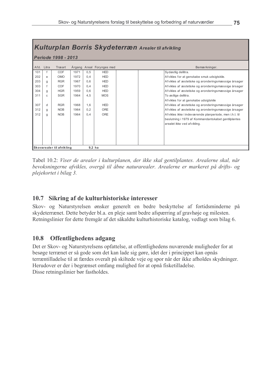| Kulturplan Borris Skydeterræn Arealer til afvikling |    |            |      |     |                           |                                                         |  |  |  |
|-----------------------------------------------------|----|------------|------|-----|---------------------------|---------------------------------------------------------|--|--|--|
| Periode 1998 - 2013                                 |    |            |      |     |                           |                                                         |  |  |  |
| Afd. Litra                                          |    | Træart     |      |     | Årgang Areal Forynges med | Bemærkninger.                                           |  |  |  |
| 101                                                 |    | COF        | 1971 | 0.5 | <b>HED</b>                | Sydøstlig dellitra.                                     |  |  |  |
| 202                                                 | e  | <b>OMO</b> | 1972 | 0.4 | <b>HED</b>                | Afvikles for at genskabe smuk udsigtskile.              |  |  |  |
| 203                                                 | q  | <b>RGR</b> | 1967 | 0.6 | <b>HED</b>                | Afvikles af æstetiske og aronderingsmæssige årsager     |  |  |  |
| 303                                                 |    | <b>COF</b> | 1970 | 0.4 | <b>HED</b>                | Afvikles af æstetiske og aronderingsmæssige årsager     |  |  |  |
| 304                                                 | q  | <b>HGR</b> | 1959 | 0.6 | <b>HED</b>                | Afvikles af æstetiske og aronderingsmæssige årsager     |  |  |  |
| 311                                                 | C. | <b>SGR</b> | 1964 | 4.5 | <b>MOS</b>                | To østlige dellitra.                                    |  |  |  |
|                                                     |    |            |      |     |                           | Afvikles for at genskabe udsigtskile                    |  |  |  |
| 307                                                 | d  | <b>RGR</b> | 1968 | 1.6 | <b>HED</b>                | Afvikles af æstetiske og aronderingsmæssige årsager     |  |  |  |
| 312                                                 | q  | <b>NOB</b> | 1964 | 0.2 | <b>ORE</b>                | Afvikles af æstetiske og aronderingsmæssige årsager     |  |  |  |
| 312                                                 | a  | <b>NOB</b> | 1964 | 0.4 | ORE                       | Afvikles ikke i indeværende planperiode, men i.h.t. til |  |  |  |
|                                                     |    |            |      |     |                           | beslutning i 1979 af Kommandantskabet gentilplantes     |  |  |  |
|                                                     |    |            |      |     |                           | arealet ikke ved afvikling.                             |  |  |  |
|                                                     |    |            |      |     |                           |                                                         |  |  |  |
|                                                     |    |            |      |     |                           |                                                         |  |  |  |
|                                                     |    |            |      |     |                           |                                                         |  |  |  |
|                                                     |    |            |      |     |                           |                                                         |  |  |  |
| Skovarealer til afvikling<br>$9,2$ ha               |    |            |      |     |                           |                                                         |  |  |  |

Tabel 10.2: Viser de arealer i kulturplanen, der ikke skal gentilplantes. Arealerne skal, når bevoksningerne afvikles, overgå til åbne naturarealer. Arealerne er markeret på drifts- og plejekortet i bilag 3.

# 10.7 Sikring af de kulturhistoriske interesser

Skov- og Naturstyrelsen ønsker generelt en bedre beskyttelse af fortidsminderne på skydeterrænet. Dette betyder bl.a. en pleje samt bedre afspærring af gravhøje og milesten. Retningslinier for dette fremgår af det såkaldte kulturhistoriske katalog, vedlagt som bilag 6.

#### 10.8 Offentlighedens adgang

Det er Skov- og Naturstyrelsens opfattelse, at offentlighedens nuværende muligheder for at besøge terrænet er så gode som det kan lade sig gøre, idet der i princippet kan opnås terræntilladelse til at færdes overalt på skiltede veje og spor når der ikke afholdes skydninger. Herudover er der i begrænset omfang mulighed for at opnå fisketilladelse. Disse retningslinier bør fastholdes.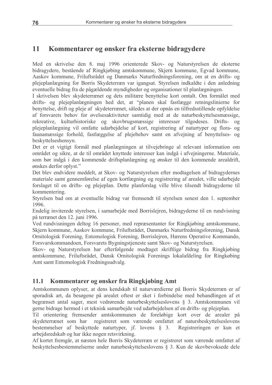#### 11 Kommentarer og ønsker fra eksterne bidragydere

Med en skrivelse den 8. maj 1996 orienterede Skov- og Naturstyrelsen de eksterne bidragydere, bestående af Ringkjøbing amtskommune, Skjern kommune, Egyad kommune, Aaskov kommune, Friluftsrådet og Danmarks Naturfredningsforening, om at en drifts- og plejeplanlægning for Borris Skydeterræn var igangsat. Styrelsen indkaldte i den anledning eventuelle bidrag fra de pågældende myndigheder og organisationer til planlægningen.

I skrivelsen blev skydeterrænet og dets militære benyttelse kort omtalt. Om formålet med drifts- og plejeplanlægningen hed det, at "planen skal fastlægge retningslinierne for benyttelse, drift og pleje af skydeterrænet, således at der opnås en tilfredsstillende opfyldelse af forsvarets behov for øvelsesaktiviteter samtidig med at de naturbeskyttelsesmæssige, rekreative, kulturhistoriske og skovbrugsmæssige interesser tilgodeses. Drifts- $0<sup>0</sup>$ pleieplanlægning vil omfatte udarbejdelse af kort, registrering af naturtyper og flora- og faunamæssige forhold, fastlæggelse af plejebehov samt en afvejning af benyttelses- og beskyttelseshensyn.

Det er et vigtigt formål med planlægningen at tilvejebringe al relevant information om området og sikre, at de til området knyttede interesser kan indgå i afvejningerne. Materiale, som bør indgå i den kommende driftsplanlægning og ønsker til den kommende arealdrift, ønskes derfor oplyst."

Det blev endvidere meddelt, at Skov- og Naturstyrelsen efter modtagelsen af bidragydernes materiale samt gennemførelse af egen kortlægning og registrering af arealet, ville udarbejde forslaget til en drifts- og plejeplan. Dette planforslag ville blive tilsendt bidragyderne til kommentering.

Styrelsen bad om at eventuelle bidrag var fremsendt til styrelsen senest den 1. september 1996.

Endelig inviterede styrelsen, i samarbejde med Borrislejren, bidragyderne til en rundvisning på terrænet den 12. juni 1996.

Ved rundvisningen deltog 16 personer, med repræsentanter for Ringkjøbing amtskommune, Skjern kommune, Aaskov kommune, Friluftsrådet, Danmarks Naturfredningsforening, Dansk Ornitologisk Forening, Entomologisk Forening, Borrislejren, Hærens Operative Kommando, Forsvarskommandoen, Forsvarets Bygningstjeneste samt Skov- og Naturstyrelsen.

Skov- og Naturstyrelsen har efterfølgende modtaget skriftlige bidrag fra Ringkjøbing amtskommune, Friluftsrådet, Dansk Ornitologisk Forenings lokalafdeling for Ringkøbing Amt samt Entomologisk Fredningsudvalg.

#### 11.1 Kommentarer og ønsker fra Ringkjøbing Amt

Amtskommunen oplyser, at dens kendskab til naturværdierne på Borris Skydeterræn er af sporadisk art, da besøgene på arealet oftest er sket i forbindelse med behandlingen af et begrænset antal sager, mest vedrørende naturbeskyttelseslovens § 3. Amtskommunen vil gerne bidrage hermed i et teknisk samarbejde ved udarbejdelsen af en drifts- og plejeplan.

Til orientering fremsender amtskommunen de foreløbige kort over de arealer på registreret som værende omfattet af natursbeskyttelseslovens skydeterrænet som har bestemmelser af beskyttede naturtyper, if. lovens  $\delta$  3. Registreringen er kun et arbejdsredskab og har ikke nogen retsvirkning.

Af kortet fremgår, at næsten hele Borris Skydeterræn er registreret som værende omfattet af beskyttelsesbestemmelserne under naturbeskyttelseslovens § 3. Kun de skovbevoksede dele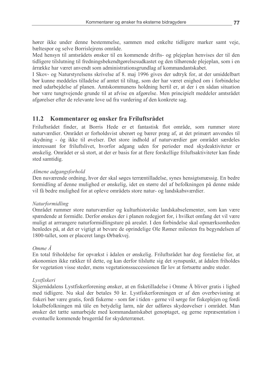hører ikke under denne bestemmelse, sammen med enkelte tidligere marker samt veje, bæltespor og selve Borrislejrens område.

Med hensyn til amtsrådets ønsker til en kommende drifts- og plejeplan henvises der til den tidligere tilslutning til fredningsbekendtgørelsesudkastet og den tilhørende plejeplan, som i en årrække har været anvendt som administrationsgrundlag af kommandantskabet.

I Skov- og Naturstyrelsens skrivelse af 8. maj 1996 gives der udtryk for, at der umiddelbart bør kunne meddeles tilladelse af amtet til tiltag, som der har været enighed om i forbindelse med udarbejdelse af planen. Amtskommunens holdning hertil er, at der i en sådan situation bør være tungtvejende grunde til at afvise en afgørelse. Men principielt meddeler amtsrådet afgørelser efter de relevante love ud fra vurdering af den konkrete sag.

#### $11.2$ Kommentarer og ønsker fra Friluftsrådet

Friluftsrådet finder, at Borris Hede er et fantastisk flot område, som rummer store naturværdier. Området er forholdsvist uberørt og bærer præg af, at det primært anvendes til skydning - óg ikke til øvelser. Det store indhold af naturværdier gør området særdeles interessant for friluftslivet, hvorfor adgang uden for perioder med skydeaktiviteter er ønskelig. Området er så stort, at der er basis for at flere forskellige friluftsaktiviteter kan finde sted samtidig.

#### Almene adgangsforhold

Den nuværende ordning, hvor der skal søges terræntilladelse, synes hensigtsmæssig. En bedre formidling af denne mulighed er ønskelig, idet en større del af befolkningen på denne måde vil få bedre mulighed for at opleve områdets store natur- og landskabsværdier.

#### Naturformidling

Området rummer store naturværdier og kulturhistoriske landskabselementer, som kan være spændende at formidle. Derfor ønskes der i planen redegjort for, i hvilket omfang det vil være muligt at arrrangere naturformidlingsture på arealet. I den forbindelse skal opmærksomheden henledes på, at det er vigtigt at bevare de oprindelige Ole Rømer milesten fra begyndelsen af 1800-tallet, som er placeret langs Ørbækvej.

#### $Omme\AA$

En total friholdelse for opvækst i ådalen er ønskelig. Friluftsrådet har dog forståelse for, at økonomien ikke rækker til dette, og kan derfor tilslutte sig det synspunkt, at ådalen friholdes for vegetation visse steder, mens vegetations successionen får lov at fortsætte andre steder.

#### Lystfiskeri

Skjernådalens Lystfiskerforening ønsker, at en fisketilladelse i Omme Å bliver gratis i lighed med tidligere. Nu skal der betales 50 kr. Lystfiskerforeningen er af den overbevisning at fiskeri bør være gratis, fordi fiskerne - som før i tiden - gerne vil sørge for fiskeplejen og fordi lokalbefolkningen må tåle en betydelig larm, når der udføres skydeøvelser i området. Man ønsker det tætte samarbejde med kommandantskabet genoptaget, og gerne repræsentation i eventuelle kommende brugerråd for skydeterrænet.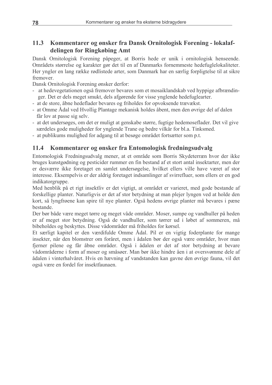#### $11.3$ Kommentarer og ønsker fra Dansk Ornitologisk Forening - lokalafdelingen for Ringkøbing Amt

Dansk Ornitologisk Forening påpeger, at Borris hede er unik i ornitologisk henseende. Områdets størrelse og karakter gør det til en af Danmarks fornemmeste hedefuglelokaliteter. Her yngler en lang række rødlistede arter, som Danmark har en særlig forpligtelse til at sikre fremover.

Dansk Ornitologisk Forening ønsker derfor:

- at hedevegetationen også fremover bevares som et mosaiklandskab ved hyppige afbrændinger. Det er dels meget smukt, dels afgørende for visse ynglende hedefuglearter.
- at de store, åbne hedeflader bevares og friholdes for opvoksende trævækst.
- at Omme Ådal ved Hvollig Plantage mekanisk holdes åbent, men den øvrige del af dalen får lov at passe sig selv.
- at det undersøges, om det er muligt at genskabe større, fugtige hedemoseflader. Det vil give særdeles gode muligheder for ynglende Trane og bedre vilkår for bl.a. Tinksmed.
- at publikums mulighed for adgang til at besøge området fortsætter som p.t.

#### 11.4 Kommentarer og ønsker fra Entomologisk fredningsudvalg

Entomologisk Fredningsudvalg mener, at et område som Borris Skydeterræn hvor der ikke bruges kunstgødning og pesticider rummer en fin bestand af et stort antal insektarter, men der er desværre ikke foretaget en samlet undersøgelse, hvilket ellers ville have været af stor interesse. Eksempelvis er der aldrig foretaget indsamlinger af svirrefluer, som ellers er en god indikatorgruppe.

Med henblik på et rigt insektliv er det vigtigt, at området er varieret, med gode bestande af forskellige planter. Naturligvis er det af stor betydning at man plejer lyngen ved at holde den kort, så lyngfrøene kan spire til nye planter. Også hedens øvrige planter må bevares i pæne bestande.

Der bør både være meget tørre og meget våde områder. Moser, sumpe og vandhuller på heden er af meget stor betydning. Også de vandhuller, som tørrer ud i løbet af sommeren, må bibeholdes og beskyttes. Disse vådområder må friholdes for kørsel.

Et særligt kapitel er den værdifulde Omme Ådal. Pil er en vigtig foderplante for mange insekter, når den blomstrer om foråret, men i ådalen bør der også være områder, hvor man fjerner pilene og får åbne områder. Også i ådalen er det af stor betydning at bevare vådområderne i form af moser og småsøer. Man bør ikke hindre åen i at oversvømme dele af ådalen i vinterhalvåret. Hvis en hævning af vandstanden kan gavne den øvrige fauna, vil det også være en fordel for insektfaunaen.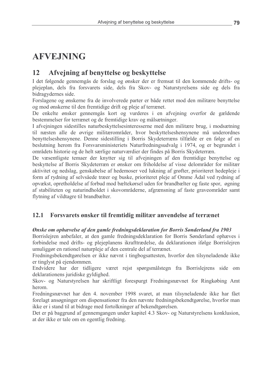# **AFVEJNING**

#### 12 Afvejning af benyttelse og beskyttelse

I det følgende gennemgås de forslag og ønsker der er fremsat til den kommende drifts- og plejeplan, dels fra forsvarets side, dels fra Skov- og Naturstyrelsens side og dels fra bidragy dernes side.

Forslagene og ønskerne fra de involverede parter er både rettet mod den militære benyttelse og mod ønskerne til den fremtidige drift og pleje af terrænet.

De enkelte ønsker gennemgås kort og vurderes i en afvejning overfor de gældende bestemmelser for terrænet og de fremtidige krav og målsætninger.

I afvejningen sidestilles naturbeskyttelsesinteresserne med den militære brug, i modsætning til næsten alle de øvrige militærområder, hvor beskyttelseshensynene må underordnes benyttelseshensynene. Denne sidestilling i Borris Skydeterræns tilfælde er en følge af en beslutning herom fra Forsvarsministeriets Naturfredningsudvalg i 1974, og er begrundet i områdets historie og de helt særlige naturværdier der findes på Borris Skydeterræn.

De væsentligste temaer der knytter sig til afvejningen af den fremtidige benyttelse og beskyttelse af Borris Skydeterræn er ønsker om friholdelse af visse delområder for militær aktivitet og nedslag, genskabelse af hedemoser ved lukning af grøfter, prioriteret hedepleje i form af rydning af selvsåede træer og buske, prioriteret pleje af Omme Ådal ved rydning af opvækst, opretholdelse af forbud mod bæltekørsel uden for brandbælter og faste spor, øgning af stabiliteten og naturindholdet i skovområderne, afgrænsning af faste graveområder samt flytning af vildtagre til brandbælter.

#### 12.1 Forsvarets ønsker til fremtidig militær anvendelse af terrænet

### Ønske om ophævelse af den gamle fredningsdeklaration for Borris Sønderland fra 1903

Borrislejren anbefaler, at den gamle fredningsdeklaration for Borris Sønderland ophæves i forbindelse med drifts- og plejeplanens ikrafttrædelse, da deklarationen ifølge Borrislejren umuliggør en rationel naturpleje af den centrale del af terrænet.

Fredningsbekendtgørelsen er ikke nævnt i tingbogsattesten, hvorfor den tilsyneladende ikke er tinglyst på ejendommen.

Endvidere har der tidligere været rejst spørgsmålstegn fra Borrislejrens side om deklarationens juridiske gyldighed.

Skov- og Naturstyrelsen har skriftligt forespurgt Fredningsnævnet for Ringkøbing Amt herom.

Fredningsnævnet har den 4. november 1998 svaret, at man tilsyneladende ikke har fået forelagt ansøgninger om dispensationer fra den nævnte fredningsbekendtgørelse, hvorfor man ikke er i stand til at bidrage med fortolkninger af bekendtgørelsen.

Det er på baggrund af gennemgangen under kapitel 4.3 Skov- og Naturstyrelsens konklusion, at der ikke er tale om en egentlig fredning.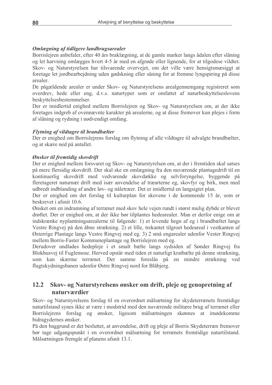## Omlægning af tidligere landbrugsarealer

Borrislejren anbefaler, efter 40 års braklægning, at de gamle marker langs ådalen efter slåning og let harvning omlægges hvert 4-5 år med en afgrøde eller lignende, for at tilgodese vildtet. Skov- og Naturstyrelsen har tilsvarende overvejet, om det ville være hensigtsmæsiggt at foretage let jordbearbejdning uden gødskning eller såning for at fremme lyngspiring på disse arealer.

De pågældende arealer er under Skov- og Naturstyrelsens arealgennemgang registreret som overdrey, hede eller eng. d.v.s. naturtyper som er omfattet af naturbeskyttelseslovens beskyttelsesbestemmelser.

Der er imidlertid enighed mellem Borrisleiren og Skov- og Naturstyrelsen om, at der ikke foretages indgreb af ovennævnte karakter på arealerne, og at disse fremover kun plejes i form af slåning og rydning i nødvendigt omfang.

### Flytning af vildtagre til brandbælter

Der er enighed om Borrisleirens forslag om flytning af alle vildtagre til udvalgte brandbælter. og at skære ned på antallet.

### Ønsker til fremtidig skovdrift

Der er enighed mellem forsvaret og Skov- og Naturstyrelsen om, at der i fremtiden skal satses på mere flersidig skovdrift. Der skal ske en omlægning fra den nuværende plantagedrift til en kontinuerlig skovdrift med vedvarende skovdække og selvforyngelse, byggende på fleretageret naturnær drift med især anvendelse af træarterne eg, skovfyr og birk, men med udbredt indblanding af andre løv- og nåletræer. Det er imidlertid en langsigtet plan.

Der er enighed om det forslag til kulturplan for skovene i de kommende 15 år, som er beskrevet i afsnit 10.6.

Ønsket om en indramning af terrænet med skov hele vejen rundt i størst mulig dybde er blevet drøftet. Der er enighed om, at der ikke bør tilplantes hedearealer. Man er derfor enige om at indskrænke nyplantningsarealerne til følgende: 1) et levende hegn af eg i brandbæltet langs Vestre Ringvej på den åbne strækning. 2) et lille, trekantet tilgroet hedeareal i vestkanten af Østerrige Plantage langs Vestre Ringvej med eg. 3) 2 små engarealer udenfor Vester Ringvej mellem Borris-Faster Kommuneplantage og Borrislejren med eg.

Derudover undlades hedepleje i et smalt bælte langs sydsiden af Sønder Ringvej fra Blokhusvej til Fuglemose. Herved opstår med tiden et naturligt kratbælte på denne strækning. som kan skærme terrænet. Det samme foreslås på en mindre strækning ved flugtskydningsbanen udenfor Østre Ringvej nord for Blåbjerg.

#### $12.2$ Skov- og Naturstyrelsens ønsker om drift, pleje og genopretning af naturværdier

Skov- og Naturstyrelsens forslag til en overordnet målsætning for skydeterrænets fremtidige naturtilstand synes ikke at være i modstrid med den nuværende militære brug af terrænet eller Borrislejrens forslag og ønsker, ligesom målsætningen skønnes at imødekomme bidragydernes ønsker.

På den baggrund er det besluttet, at anvendelse, drift og pleje af Borris Skydeterræn fremover bør tage udgangspunkt i en overordnet målsætning for terrænets fremtidige naturtilstand. Målsætningen fremgår af planens afsnit 13.1.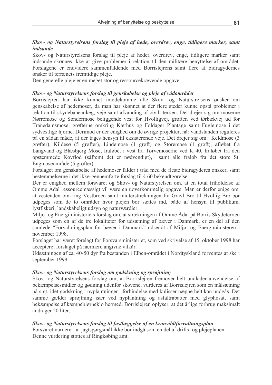#### Skov- og Naturstyrelsens forslag til pleje af hede, overdrev, enge, tidligere marker, samt *indsande*

Skov- og Naturstyrelsens forslag til pleje af heder, overdrev, enge, tidligere marker samt indsande skønnes ikke at give problemer i relation til den militære benyttelse af området. Forslagene er endvidere sammenfaldende med Borrislejrens samt flere af bidragydernes onsker til terrænets fremtidige pleje.

Den generelle pleje er en meget stor og ressourcekrævende opgave.

#### Skov- og Naturstyrelsens forslag til genskabelse og pleje af vådområder

Borrisleiren har ikke kunnet imødekomme alle Skov- og Naturstrelsens ønsker om genskabelse af hedemoser, da man har skønnet at der flere steder kunne opstå problemer i relation til skydebaneanlæg, veje samt afvanding af civilt terræn. Det drejer sig om moserne Nørremose og Søndermose beliggende vest for Hvolligvej, grøften ved Ørbækvej ud for Tranedamsmose, grøfterne omkring Kærhus og Foldager Plantage samt Fuglemose i det sydvestlige hjørne. Derimod er der enighed om de øvrige projekter, når vandstanden reguleres på en sådan måde, at der tages hensyn til eksisterende veje. Det drejer sig om: Keldmose (3 grøfter), Kildesø (5 grøfter), Lindemose (1 grøft) og Storemose (1 grøft), afløbet fra Langvand og Blæsbjerg Mose, fraløbet i vest fra Tørvemoserne ved K 40, fraløbet fra den opstemmede Kovflod (såfremt det er nødvendigt), samt alle fraløb fra det store St. Engmoseområde (5 grøfter).

Forslaget om genskabelse af hedemoser falder i tråd med de fleste bidragyderes ønsker, samt bestemmelserne i det ikke-gennemførte forslag til § 60 bekendtgørelse.

Der er enighed mellem forsvaret og Skov- og Naturstyrelsen om, at en total friholdelse af Omme Ådal ressourcemæssigt vil være en uoverkommelig opgave. Man er derfor enige om, at vestenden omkring Vestbroen samt midterstrækningen fra Gravl Bro til Hvollig Bro bør udpeges som de to områder hvor plejen bør sættes ind, både af hensyn til publikum, lystfiskeri, landskabeligt udsyn og naturværdier.

Miljø- og Energiministeriets forslag om, at strækningen af Omme Ådal på Borris Skydeterræn udpeges som en af de tre lokaliteter for udsætning af bæver i Danmark, er en del af den samlede "Forvaltningsplan for bæver i Danmark" udsendt af Miljø- og Energiministeren i november 1998.

Forslaget har været forelagt for Forsvarsministeriet, som ved skrivelse af 15. oktober 1998 har accepteret forslaget på nærmere angivne vilkår.

Udsætningen af ca. 40-50 dyr fra bestanden i Elben-området i Nordtyskland forventes at ske i september 1999.

#### Skov- og Naturstyrelsens forslag om gødskning og sprøjtning

Skov- og Naturstyrelsens forslag om, at Borrislejren fremover helt undlader anvendelse af bekæmpelsesmidler og gødning udenfor skovene, vurderes af Borrislejren som en målsætning på sigt, idet gødskning i nyplantninger i forbindelse med kulisser næppe helt kan undgås. Det samme gælder sprøjtning især ved nyplantning og asfaltrabatter med glyphosat, samt bekæmpelse af kæmpebjørneklo hermed. Borrislejren oplyser, at det årlige forbrug maksimalt andrager 20 liter.

#### Skov- og Naturstyrelsens forslag til fastlæggelse af en kronvildtforvaltningsplan

Forsvaret vurderer, at jagtspørgsmål ikke bør indgå som en del af drifts- og plejeplanen. Denne vurdering støttes af Ringkøbing amt.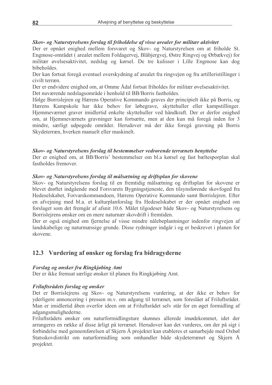#### Skov- og Naturstyrelsens forslag til friholdelse af visse arealer for militær aktivitet

Der er opnået enighed mellem forsvaret og Skov- og Naturstyrelsen om at friholde St. Engmose-området (arealet mellem Foldagervej, Blåbjergvej, Østre Ringvej og Ørbækvej) for militær øvelsesaktivitet, nedslag og kørsel. De tre kulisser i Lille Engmose kan dog bibeholdes.

Der kan fortsat foregå eventuel overskydning af arealet fra ringvejen og fra artilleristillinger i civilt terræn

Der er endvidere enighed om, at Omme Ådal fortsat friholdes for militær øvelsesaktivitet. Det nuværende nedslagsområde i henhold til BB/Borris fastholdes.

Ifølge Borrislejren og Hærens Operative Kommando graves der principielt ikke på Borris, og Hærens Kampskole har ikke behov for løbegrave, skyttehuller eller kampstillinger. Hjemmeværnet graver imidlertid enkelte skyttehuller ved håndkraft. Der er derfor enighed om, at Hjemmeværnets gravninger kan fortsætte, men at den kun må foregå inden for 3 mindre, særligt udpegede områder. Herudover må der ikke foregå gravning på Borris Skydeterræn, hverken manuelt eller maskinelt.

#### Skov- og Naturstyrelsens forslag til bestemmelser vedrørende terrænets benyttelse

Der er enighed om, at BB/Borris' bestemmelser om bl.a kørsel og fast bæltesporplan skal fastholdes fremover

#### Skov- og Naturstyrelsens forslag til målsætning og driftsplan for skovene

Skov- og Naturstyrelsens forslag til en fremtidig målsætning og driftsplan for skovene er blevet drøftet indgående med Forsvarets Bygningstjeneste, den tilsynsførende skovfoged fra Hedeselskabet, Forvarskommandoen, Hærens Operative Kommando samt Borrislejren. Efter en afvejning med bl.a. et kulturplanforslag fra Hedeselskabet er der opnået enighed om forslaget som det fremgår af afsnit 10.6. Målet tilgodeser både Skov- og Naturstyrelsens og Borrislejrens ønsker om en mere naturnær skovdrift i fremtiden.

Der er også enighed om fjernelse af visse mindre nålebeplantninger indenfor ringvejen af landskabelige og naturmæssige grunde. Disse rydninger indgår i og er beskrevet i planen for skovene

### 12.3 Vurdering af ønsker og forslag fra bidragyderne

#### Forslag og ønsker fra Ringkjøbing Amt

Der er ikke fremsat særlige ønsker til planen fra Ringkjøbing Amt.

#### Friluftsrådets forslag og ønsker

Det er Borrislejrens og Skov- og Naturstyrelsens vurdering, at der ikke er behov for yderligere annoncering i pressen m.v. om adgang til terrænet, som foreslået af Friluftsrådet. Man er imidlertid åben overfor ideen om at Friluftsrådet selv står for en øget formidling af adgangsmulighederne.

Friluftsrådets ønsker om naturformidlingsture skønnes allerede imødekommet, idet der arrangeres en række af disse årligt på terrænet. Herudover kan det vurderes, om der på sigt i forbindelse med gennemførelsen af Skjern Å projektet kan etableres et samarbejde med Oxbøl Statsskovdistrikt om naturformidling som omhandler både skydeterrænet og Skjern Å projektet.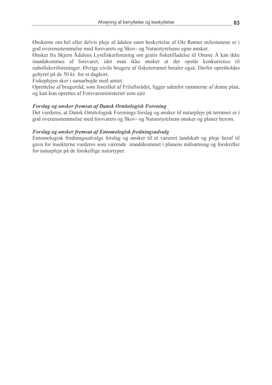Ønskerne om hel eller delvis pleje af ådalen samt beskyttelse af Ole Rømer milestenene er i god overensstemmelse med forsvarets og Skov- og Naturstyrelsens egne ønsker.

Ønsket fra Skjern Ådalens Lystfiskerforening om gratis fisketilladelse til Omme Å kan ikke imødekommes af forsvaret, idet man ikke ønsker at der opstår konkurrence til nabofiskeriforeninger. Øvrige civile brugere af fisketerrænet betaler også. Derfor opretholdes gebyret på de 50 kr. for et dagkort.

Fiskeplejen sker i samarbejde med amtet.

Oprettelse af brugerråd, som foreslået af Friluftsrådet, ligger udenfor rammerne af denne plan, og kan kun oprettes af Forsvarsministeriet som ejer.

#### **Forslag og ønsker fremsat af Dansk Ornitologisk Forening**

Det vurderes, at Dansk Ornitologisk Forenings forslag og ønsker til naturpleje på terrænet er i god overensstemmelse med forsvarets og Skov- og Naturstyrelsens ønsker og planer herom.

#### Forslag og ønsker fremsat af Entomologisk fredningsudvalg

Entomologisk fredningsudvalgs forslag og ønsker til et varieret landskab og pleje heraf til gavn for insekterne vurderes som værende imødekommet i planens målsætning og forskrifter for naturpleje på de forskellige naturtyper.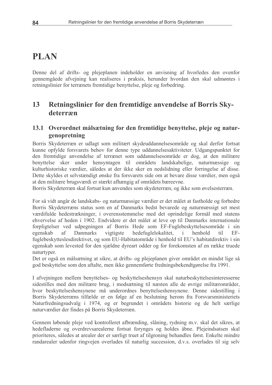# **PLAN**

Denne del af drifts- og plejeplanen indeholder en anvisning af hvorledes den ovenfor gennemgåede afvejning kan realiseres i praksis, herunder hvordan den skal udmøntes i retningslinier for terrænets fremtidige benyttelse, pleje og forbedring.

#### Retningslinier for den fremtidige anvendelse af Borris Sky-13 deterræn

# 13.1 Overordnet målsætning for den fremtidige benyttelse, pleje og naturgenopretning

Borris Skydeterræn er udlagt som militært skydeuddannelsesområde og skal derfor fortsat kunne opfylde forsvarets behov for denne type uddannelsesaktiviteter. Udgangspunktet for den fremtidige anvendelse af terrænet som uddannelsesområde er dog, at den militære benyttelse sker under hensyntagen til områdets landskabelige, naturmæssige og kulturhistoriske værdier, således at der ikke sker en nedslidning eller forringelse af disse. Dette skyldes et selvstændigt ønske fra forsvarets side om at bevare disse værdier, men også at den militære brugsværdi er stærkt afhængig af områdets bæreevne.

Borris Skydeterræn skal fortsat kun anvendes som skydeterræn, og ikke som øvelsesterræn.

For så vidt angår de landskabs- og naturmæssige værdier er det målet at fastholde og forbedre Borris Skydeterræns status som en af Danmarks bedst bevarede og naturmæssigt set mest værdifulde hedestrækninger, i overensstemmelse med det oprindelige formål med statens ehvervelse af heden i 1902. Endvidere er det målet at leve op til Danmarks internationale forpligtelser ved udpegningen af Borris Hede som EF-Fuglebeskyttelsesområde i sin egenskab af **Danmarks** vigtigste hedefuglelokalitet.  $\mathbf{i}$ henhold til  $EF$ fuglebeskytteslesdirektivet, og som EU-Habitatområde i henhold til EU's habitatdirektiv i sin egenskab som levested for den sjældne dyreart odder og for forekomsten af en række truede naturtyper.

Det er også en målsætning at sikre, at drifts- og plejeplanen giver området en mindst lige så god beskyttelse som den aftalte, men ikke gennemførte fredningsbekendtgørelse fra 1991.

I afvejningen mellem benyttelses- og beskyttelseshensyn skal naturbeskyttelsesinteresserne sidestilles med den militære brug, i modsætning til næsten alle de øvrige militærområder, hvor beskyttelseshensynene må underordnes benyttelseshensynene. Denne sidestilling i Borris Skydeterræns tilfælde er en følge af en beslutning herom fra Forsvarsministeriets Naturfredningsudvalg i 1974, og er begrundet i områdets historie og de helt særlige naturværdier der findes på Borris Skydeterræn.

Gennem løbende pleje ved kontrolleret afbrænding, slåning, rydning m.v. skal det sikres, at hedefladerne og overdrevsarealerne fortsat forvnges og holdes åbne. Plejeindsatsen skal prioriteres, således at arealer der er særligt truet af tilgroning behandles først. Enkelte mindre randarealer udenfor ringvejen overlades til naturlig succession, d.v.s. overlades til sig selv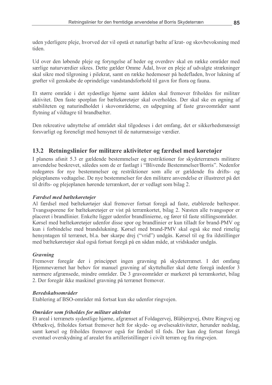uden yderligere pleje, hvorved der vil opstå et naturligt bælte af krat- og skovbevoksning med tiden

Ud over den løbende pleje og forvngelse af heder og overdrev skal en række områder med særlige naturværdier sikres. Dette gælder Omme Ådal, hvor en pleje af udvalgte strækninger skal sikre mod tilgroning i pilekrat, samt en række hedemoser på hedefladen, hvor lukning af grøfter vil genskabe de oprindelige vandstandsforhold til gavn for flora og fauna.

Et større område i det sydøstlige hjørne samt ådalen skal fremover friholdes for militær aktivitet. Den faste sporplan for bæltekøretøjer skal overholdes. Der skal ske en øgning af stabiliteten og naturindholdet i skovområderne, en udpegning af faste graveområder samt flytning af vildtagre til brandbælter.

Den rekreative udnyttelse af området skal tilgodeses i det omfang, det er sikkerhedsmæssigt forsvarligt og foreneligt med hensynet til de naturmæssige værdier.

## 13.2 Retningslinier for militære aktiviteter og færdsel med køretøjer

I planens afsnit 5.3 er gældende bestemmelser og restriktioner for skydeterrænets militære anvendelse beskrevet, således som de er fastlagt i "Blivende Bestemmelser/Borris". Nedenfor redegøres for nye bestemmelser og restriktioner som alle er gældende fra drifts- og plejeplanens vedtagelse. De nye bestemmelser for den militære anvendelse er illustreret på det til drifts- og plejeplanen hørende terrænkort, der er vedlagt som bilag 2.

#### Færdsel med bæltekøretøjer

Al færdsel med bæltekørtøjer skal fremover fortsat foregå ad faste, etablerede bæltespor. Tvangssporene for bæltekøretøjer er vist på terrænkortet, bilag 2. Næsten alle tvangsspor er placeret i brandlinier. Enkelte ligger udenfor brandlinierne, og fører til faste stillingsområder. Kørsel med bæltekøretøjer udenfor disse spor og brandlinier er kun tilladt for brand-PMV og kun i forbindelse med brandslukning. Kørsel med brand-PMV skal også ske med rimelig hensyntagen til terrænet, bl.a. bør skarpe drej ("vrid") undgås. Kørsel til og fra ildstillinger med bæltekøretøjer skal også fortsat foregå på en sådan måde, at vridskader undgås.

#### **Gravning**

Fremover foregår der i princippet ingen gravning på skydeterrænet. I det omfang Hjemmeværnet har behov for manuel gravning af skyttehuller skal dette foregå indenfor 3 nærmere afgrænsede, mindre områder. De 3 graveområder er markeret på terrænkortet, bilag 2. Der foregår ikke maskinel gravning på terrænet fremover.

#### **Beredskabsområder**

Etablering af BSO-områder må fortsat kun ske udenfor ringvejen.

### Områder som friholdes for militær aktivitet

Et areal i terrænets sydøstlige hjørne, afgrænset af Foldagervej, Blåbjergvej, Østre Ringvej og Ørbækvej, friholdes fortsat fremover helt for skyde- og øvelsesaktiviteter, herunder nedslag, samt kørsel og friholdes fremover også for færdsel til fods. Der kan dog fortsat foregå eventuel overskydning af arealet fra artilleristillinger i civilt terræn og fra ringvejen.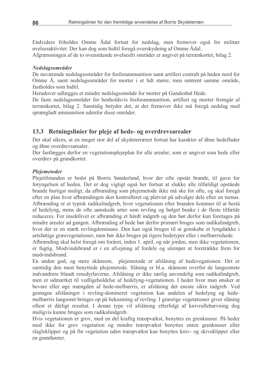Endvidere friholdes Omme Ådal fortsat for nedslag, men fremover også for militær øvelsesaktivitet. Der kan dog som hidtil foregå overskydning af Omme Ådal.

Afgrænsningen af de to ovenstående øvelsesfri områder er angivet på terrænkortet, bilag 2.

#### Nedslagsområder

De nuværende nedslagsområder for fosforammunition samt artilleri centralt på heden nord for Omme Å, samt nedslagsområder for morter i et lidt større, men omtrent samme område, fastholdes som hidtil.

Herudover udlægges et mindre nedslagsområde for morter på Gundesbøl Hede.

De faste nedslagsområder for henholdsvis fosforammunition, artilleri og morter fremgår af terrænkortet, bilag 2. Samtidig betyder det, at der fremover ikke må foregå nedslag med sprængladt ammunition udenfor disse områder.

## 13.3 Retningslinier for pleje af hede- og overdrevsarealer

Det skal sikres, at en meget stor del af skydeterrænet fortsat har karakter af åbne hedeflader og åbne overdrevsarealer.

Der fastlægges derfor en vegetationsplejeplan for alle arealer, som er angivet som hede eller overdrev på grundkortet.

#### Plejemetoder

Pleietilstanden er bedst på Borris Sønderland, hvor der ofte opstår brande, til gavn for forvngelsen af heden. Det er dog vigtigt også her fortsat at slukke alle tilfældigt opståede brande hurtigst muligt, da afbrænding som plejemetode ikke må ske for ofte, og skal foregå efter en plan hvor afbrændingen sker kontrolleret og pletvist på udvalgte dele efter en turnus. Afbrænding er et typisk radikalindgreb, hvor vegetationen efter branden kommer til at bestå af hedelyng, mens de ofte uønskede arter som revling og bølget bunke i de fleste tilfælde reduceres. For insektlivet er afbrænding et hårdt indgreb og den bør derfor kun foretages på mindre arealer ad gangen. Afbrænding af hede bør derfor primært bruges som radikalindgreb, hvor der er en stærk revlingdominans. Den kan også bruges til at genskabe et lyngdække i artsfattige græsvegetationer, men bør ikke bruges på rigere hedetyper eller i melbærrishede.

Afbrænding skal helst foregå om foråret, inden 1. april, og når jorden, men ikke vegetationen, er fugtig. Modvindsbrand er i en afvejning af fordele og ulemper at foretrække frem for medvindsbrand.

En anden god, og mere skånsom, plejemetode er afslåning af hedevegationen. Det er samtidig den mest benyttede plejemetode. Slåning er bl.a. skånsom overfor de langsomste indvandrere blandt rensdyrlaverne. Afslåning er ikke særlig anvendelig som radikalindgreb, men er udmærket til vedligeholdelse af hedelyng-vegetationen. I heder hvor man ønsker at bevare eller øge mængden af hede-melbærris, er afslåning det eneste sikre indgreb. Ved gentagne afslåninger i revling-domineret vegetation kan andelen af hedelyng og hedemelbærris langsomt bringes op på bekostning af revling. I græsrige vegetationer giver slåning oftest et dårligt resultat. I denne type vil afslåning efterfulgt af knivrulleharvning dog muligvis kunne bruges som radikalindgreb.

Hvis vegetationen er grov, med en del kraftig træopvækst, benyttes en grenknuser. På heder med ikke for grov vegetation og mindre træopvækst benyttes enten grenknuser eller slagleklipper og på fin vegetation uden træopvækst kan benyttes kniv- og skiveklipper eller en grønthøster.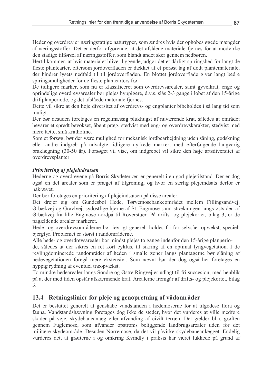Heder og overdrev er næringsfattige naturtyper, som ændres hvis der ophobes øgede mængder af næringsstoffer. Det er derfor afgørende, at det afslåede materiale fjernes for at modvirke den stadige tilførsel af næringsstoffer, som blandt andet sker gennem nedbøren.

Hertil kommer, at hvis materialet bliver liggende, udgør det et dårligt spiringsbed for langt de fleste plantearter, eftersom jordoverfladen er dækket af et porøst lag af dødt plantemateriale, der hindrer lysets nedfald til til jordoverfladen. En blottet jordoverflade giver langt bedre spiringsmuligheder for de fleste plantearters frø.

De tidligere marker, som nu er klassificeret som overdrevsarealer, samt gyvelkrat, enge og oprindelige overdrevsarealer bør plejes hyppigere, d.v.s. slås 2-3 gange i løbet af den 15-årige driftplanperiode, og det afslåede materiale fjernes.

Dette vil sikre at den høje diversitet af overdrevs- og engplanter bibeholdes i så lang tid som muligt.

Der bør desuden foretages en regelmæssig plukhugst af nuværende krat, således at området bevarer et spredt bevokset, åbent præg, stedvist med eng- og overdrevskarakter, stedvist med mere tætte, små kratholme.

Som et forsøg, bør der være mulighed for mekanisk jordbearbeidning uden såning, gødskning eller andre indgreb på udvalgte tidligere dyrkede marker, med efterfølgende langvarig braklægning (30-50 år). Forsøget vil vise, om indgrebet vil sikre den høje artsdiversitet af overdrevsplanter.

#### Prioritering af plejeindsatsen

Hederne og overdrevene på Borris Skydeterræn er generelt i en god plejetilstand. Der er dog også en del arealer som er præget af tilgroning, og hvor en særlig plejeindsats derfor er påkrævet.

Der bør foretages en prioritering af plejeindsatsen på disse arealer.

Det drejer sig om Gundesbøl Hede, Tørvemosebankeområdet mellem Fillingsandvej, Ørbækvej og Gravlvej, sydøstlige hjørne af St. Engmose samt strækningen langs østsiden af Ørbækvej fra lille Engmose nordpå til Røverstuer. På drifts- og plejekortet, bilag 3, er de pågældende arealer markeret.

Hede- og overdrevsområderne bør jøvrigt generelt holdes fri for selvsået opvækst, specielt bjergfyr. Problemet er størst i randområderne.

Alle hede- og overdrevsarealer bør mindst plejes to gange indenfor den 15-årige planperio-

de, således at der sikres en ret kort cyklus, til sikring af en optimal lyngvegetation. I de revlingdominerede randområder af heden i smalle zoner langs plantagerne bør slåning af hedevegetationen foregå mere ekstensivt. Som nævnt bør der dog også her foretages en hyppig rydning af eventuel træopvækst.

To mindre hedearealer langs Søndre og Østre Ringvej er udlagt til fri succesion, med henblik på at der med tiden opstår afskærmende krat. Arealerne fremgår af drifts- og plejekortet, bilag  $\overline{3}$ .

# 13.4 Retningslinier for pleje og genopretning af vådområder

Det er besluttet generelt at genskabe vandstanden i hedemoserne for at tilgodese flora og fauna. Vandstandshævning foretages dog ikke de steder, hvor det vurderes at ville medføre skader på veje, skydebaneanlæg eller afvanding af civilt terræn. Det gælder bl.a. grøften gennem Fuglemose, som afvander opstrøms beliggende landbrugsarealer uden for det militære skydeområde. Desuden Nørremose, da det vil påvirke skydebaneanlægget. Endelig vurderes det, at grøfterne i og omkring Kvindly i praksis har været lukkede på grund af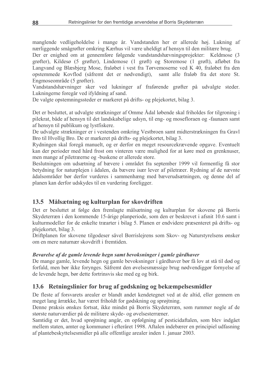manglende vedligeholdelse i mange år. Vandstanden her er allerede høj. Lukning af nærliggende smågrøfter omkring Kærhus vil være uheldigt af hensyn til den militære brug.

Der er enighed om at gennemføre følgende vandstandshævningsprojekter: Keldmose (3 grøfter), Kildesø (5 grøfter), Lindemose (1 grøft) og Storemose (1 grøft), afløbet fra Langvand og Blæsbjerg Mose, fraløbet i vest fra Tørvemoserne ved K 40, fraløbet fra den opstemmede Kovflod (såfremt det er nødvendigt), samt alle fraløb fra det store St. Engmoseområde (5 grøfter).

Vandstandshævninger sker ved lukninger af fraførende grøfter på udvalgte steder. Lukningerne foregår ved ifyldning af sand.

De valgte opstemningssteder er markeret på drifts- og plejekortet, bilag 3.

Det er besluttet, at udvalgte strækninger af Omme Ådal løbende skal friholdes for tilgroning i pilekrat, både af hensyn til det landskabelige udsyn, til eng- og mosefloraen og -faunaen samt af hensyn til publikum og lystfiskere.

De udvalgte strækninger er i vestenden omkring Vestbroen samt midterstrækningen fra Gravl Bro til Hvollig Bro. De er markeret på drifts- og plejekortet, bilag 3.

Rydningen skal foregå manuelt, og er derfor en meget resourcekrævende opgave. Eventuelt kan der perioder med hård frost om vinteren være mulighed for at køre med en grenknuser, men mange af piletræerne og -buskene er allerede store.

Beslutningen om udsætning af bævere i området fra september 1999 vil formentlig få stor betydning for naturplejen i ådalen, da bævere især lever af piletræer. Rydning af de nævnte ådalsområder bør derfor vurderes i sammenhæng med bæverudsætningen, og denne del af planen kan derfor udskydes til en vurdering foreligger.

# 13.5 Målsætning og kulturplan for skovdriften

Det er besluttet at følge den fremlagte målsætning og kulturplan for skovene på Borris Skydeterræn i den kommende 15-årige planperiode, som den er beskrevet i afsnit 10.6 samt i kulturmodeller for de enkelte træarter i bilag 5. Planen er endvidere præsenteret på drifts- og plejekortet, bilag 3.

Driftplanen for skovene tilgodeser såvel Borrislejrens som Skov- og Naturstyrelsens ønsker om en mere naturnær skovdrift i fremtiden.

#### Bevarelse af de gamle levende hegn samt bevoksninger i gamle gårdhaver

De mange gamle, levende hegn og gamle bevoksninger i gårdhaver bør få lov at stå til død og forfald, men bør ikke forynges. Såfremt den øvelsesmæssige brug nødvendiggør fornyelse af de levende hegn, bør dette fortrinsvis ske med eg og birk.

# 13.6 Retningslinier for brug af gødskning og bekæmpelsesmidler

De fleste af forsvarets arealer er blandt andet kendetegnet ved at de altid, eller gennem en meget lang årrække, har været friholdt for gødskning og sprøjtning.

Denne praksis ønskes fortsat, ikke mindst på Borris Skydeterræn, som rummer nogle af de største naturværdier på de militære skyde- og øvelsesterræner.

Samtidig er det, hvad sprøjtning angår, en opfølgning af pesticidaftalen, som blev indgået mellem staten, amter og kommuner i efteråret 1998. Aftalen indebærer en principiel udfasning af plantebeskyttelsesmidler på alle offentlige arealer inden 1. januar 2003.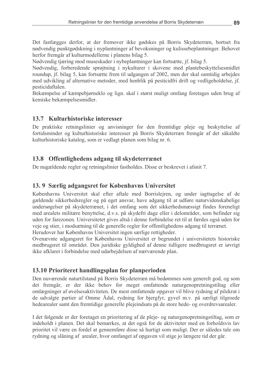Det fastlægges derfor, at der fremover ikke gødskes på Borris Skydeterræn, bortset fra nødvendig punktgødskning i nyplantninger af bevoksninger og kulissebeplantninger. Behovet herfor fremgår af kulturmodellerne i planens bilag 5.

Nødvendig tjæring mod museskader i nybeplantninger kan fortsætte, jf. bilag 5.

Nødvendig, forberedende sprøjtning i nykulturer i skovene med plantebeskyttelsesmidlet roundup, if, bilag 5, kan fortsætte frem til udgangen af 2002, men der skal samtidig arbejdes med udvikling af alternative metoder, med henblik på pesticidfri drift og vedligeholdelse, jf. pesticidaftalen.

Bekæmpelse af kæmpebjørneklo og lign, skal i størst muligt omfang foretages uden brug af kemiske bekæmpelsesmidler.

# 13.7 Kulturhistoriske interesser

De praktiske retningslinier og anvisninger for den fremtidige pleje og beskyttelse af fortidsminder og kulturhistoriske interesser på Borris Skydeterræn fremgår af det såkaldte kulturhistoriske katalog, som er vedlagt planen som bilag nr. 6.

# 13.8 Offentlighedens adgang til skydeterrænet

De nugældende regler og retningslinier fastholdes. Disse er beskrevet i afsnit 7.

# 13.9 Særlig adgangsret for Københavns Universitet

Københavns Universitet skal efter aftale med Borrislejren, og under jagttagelse af de gældende sikkerhedsregler og på eget ansvar, have adgang til at udføre naturvidenskabelige undersøgelser på skydeterrænet, i det omfang som det sikkerhedsmæssigt findes foreneligt med arealets militære benyttelse, d.v.s. på skydefri dage eller i delområder, som befinder sig uden for farezonen. Universitetet gives altså i denne forbindelse ret til at færdes også uden for veje og stier, i modsætning til de generelle regler for offentlighedens adgang til terrænet.

Herudover har Københavns Universitet ingen særlige rettigheder.

Ovenævnte adgangsret for Københavns Universitet er begrundet i universitetets historiske medbrugsret til området. Den juridiske gyldighed af denne tidligere medbrugsret er iøvrigt ikke afklaret i forbindelse med udarbejdelsen af nærværende plan.

# 13.10 Prioriteret handlingsplan for planperioden

Den nuværende naturtilstand på Borris Skydeterræn må bedømmes som generelt god, og som det fremgår, er der ikke behov for meget omfattende naturgenopretningstiltag eller omlægninger af øvelsesaktiviteten. De mest omfattende opgaver vil blive rydning af pilekrat i de udvalgte partier af Omme Ådal, rydning for bjergfyr, gyvel m.v. på særligt tilgroede hedearealer samt den fremtidige generelle plejeindsats på de store hede- og overdrevsarealer.

I det følgende er der foretaget en prioritering af de pleje- og naturgenopretningstiltag, som er indeholdt i planen. Det skal bemærkes, at det også for de aktiviteter med en forholdsvis lav prioritet vil være en fordel at gennemføre disse så hurtigt som muligt. Der er således tale om rydning og slåning af arealer, hvor omfanget af opgaven vil stige jo længere tid der går.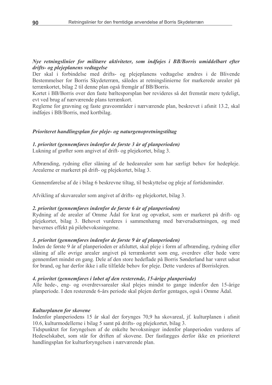#### Nye retningslinier for militære aktiviteter, som indføjes i BB/Borris umiddelbart efter drifts- og plejeplanens vedtagelse

Der skal i forbindelse med drifts- og plejeplanens vedtagelse ændres i de Blivende Bestemmelser for Borris Skydeterræn, således at retningslinierne for markerede arealer på terrænkortet, bilag 2 til denne plan også fremgår af BB/Borris.

Kortet i BB/Borris over den faste bæltesporsplan bør revideres så det fremstår mere tydeligt. evt ved brug af nærværende plans terrænkort.

Reglerne for gravning og faste graveområder i nærværende plan, beskrevet i afsnit 13.2, skal indføjes i BB/Borris, med kortbilag.

#### Prioriteret handlingsplan for pleje- og naturgenopretningstiltag

1. prioritet (gennemføres indenfor de første 3 år af planperioden) Lukning af grøfter som angivet af drift- og plejekortet, bilag 3.

Afbrænding, rydning eller slåning af de hedearealer som har særligt behov for hedepleje. Arealerne er markeret på drift- og plejekortet, bilag 3.

Gennemførelse af de i bilag 6 beskrevne tiltag, til beskyttelse og pleje af fortidsminder.

Afvikling af skovarealer som angivet af drifts- og plejekortet, bilag 3.

#### 2. prioritet (gennemføres indenfor de første 6 år af planperioden)

Rydning af de arealer af Omme Ådal for krat og opvækst, som er markeret på drift- og plejekortet, bilag 3. Behovet vurderes i sammenhæng med bæverudsætningen, og med bævernes effekt på pilebevoksningerne.

#### 3. prioritet (gennemføres indenfor de første 9 år af planperioden)

Inden de første 9 år af planperioden er afsluttet, skal pleje i form af afbrænding, rydning eller slåning af alle øvrige arealer angivet på terrænkortet som eng, overdrev eller hede være gennemført mindst en gang. Dele af den store hedeflade på Borris Sønderland har været udsat for brand, og har derfor ikke i alle tilfælde behov for pleje. Dette vurderes af Borrislejren.

#### 4. prioritet (gennemføres i løbet af den resterende, 15-årige planperiode)

Alle hede-, eng- og overdrevsarealer skal plejes mindst to gange indenfor den 15-årige planperiode. I den resterende 6-års periode skal plejen derfor gentages, også i Omme Ådal.

### Kulturplanen for skovene

Indenfor planperiodens 15 år skal der forynges 70,9 ha skovareal, jf. kulturplanen i afsnit 10.6, kulturmodellerne i bilag 5 samt på drifts- og plejekortet, bilag 3.

Tidspunktet for foryngelsen af de enkelte bevoksninger indenfor planperioden vurderes af Hedeselskabet, som står for driften af skovene. Der fastlægges derfor ikke en prioriteret handlingsplan for kulturforyngelsen i nærværende plan.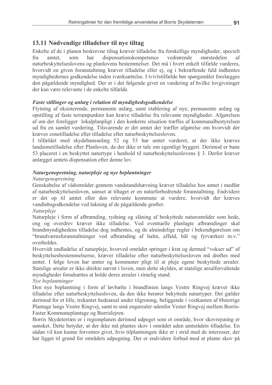# 13.11 Nødvendige tilladelser til nye tiltag

Enkelte af de i planen beskrevne tiltag kræver tilladelse fra forskellige myndigheder, specielt dispensationskompetence vedrørende størstedelen fra amtet. har som af naturbeskyttelseslovens og planlovens bestemmelser. Det må i hvert enkelt tilfælde vurderes. hvorvidt en given foranstaltning kræver tilladelse eller ej, og i bekræftende fald indhentes myndighedernes godkendelse inden iværksættelse. I tvivlstilfælde bør spørgsmålet forelægges den pågældende myndighed. Der er i det følgende givet en vurdering af hvilke lovgivninger der kan være relevante i de enkelte tilfælde.

#### Faste stillinger og anlæg i relation til myndighedsgodkendelse

Flytning af eksisterende, permanente anlæg, samt etablering af nye, permanente anlæg og opstilling af faste terrænpunkter kan kræve tilladelse fra relevante myndigheder. Afgørelsen af om der foreligger lokalplanpligt i den konkrete situation træffes af kommunalbestyrelsen ud fra en samlet vurdering. Tilsvarende er det amtet der træffer afgørelse om hvorvidt der kræves zonetilladelse eller tilladelse efter naturbeskyttelsesloven.

I tilfældet med skydebaneanlæg 52 og 53 har amtet vurderet, at der ikke kræves landzonetilladelse efter Planloven, da der ikke er tale om egentligt byggeri. Derimod er bane 53 placeret i en beskyttet naturtype i henhold til naturbeskyttelseslovens § 3. Derfor kræver anlægget amtets dispensation efter denne lov.

#### Naturgenopretning, naturpleje og nye beplantninger

#### Naturgenopretning

Genskabelse af vådområder gennem vandstandshævning kræver tilladelse hos amtet i medfør af naturbeskyttelsesloven, uanset at tiltaget er en naturforbedrende foranstaltning. Endvidere er det op til amtet eller den relevante kommune at vurdere, hvorvidt der kræves vandløbsgodkendelse ved lukning af de pågældende grøfter.

#### Naturpleje

Naturpleje i form af afbrænding, rydning og slåning af beskyttede naturområder som hede, eng og overdrev kræver ikke tilladelse. Ved eventuelle planlagte afbrændinger skal brandmyndighedens tilladelse dog indhentes, og de almindelige regler i bekendtgørelsen om "brandværnsforanstaltninger ved afbrænding af halm, affald, bål og fyrværkeri m.v." overholdes.

Hvorvidt undladelse af naturpleje, hvorved området springer i krat og dermed "vokser ud" af beskyttelsesbestemmelserne, kræver tilladelse efter naturbeskyttelsesloven må drøftes med amtet. I følge loven har amter og kommuner pligt til at pleje egene beskyttede arealer. Statslige arealer er ikke direkte nævnt i loven, men dette skyldes, at statslige arealforvaltende myndigheder forudsættes at holde deres arealer i rimelig stand.

#### Nye beplantninger

Den nye beplantning i form af løvbælte i brandlinien langs Vestre Ringvej kræver ikke tilladelse efter naturbeskyttelsesloven, da den ikke berører bekyttede naturtyper. Det gælder derimod for et lille, trekantet hedeareal under tilgroning, beliggende i vestkanten af Østerrige Plantage langs Vestre Ringvej, samt to små engarealer udenfor Vester Ringvej mellem Borris-Faster Kommuneplantage og Borrislejren.

Borris Skydeterræn er i regionplanen derimod udpeget som et område, hvor skovrejsning er uønsket. Dette betyder, at der ikke må plantes skov i området uden amtsrådets tilladelse. En sådan vil kun kunne forventes givet, hvis tilplantningen ikke er i strid med de interesser, der har ligget til grund for områdets udpegning. Der er endvidere forbud mod at plante skov på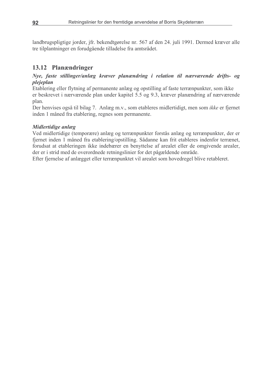landbrugspligtige jorder, jfr. bekendtgørelse nr. 567 af den 24. juli 1991. Dermed kræver alle tre tilplantninger en forudgående tilladelse fra amtsrådet.

# 13.12 Planændringer

#### Nye, faste stillinger/anlæg kræver planændring i relation til nærværende drifts- og plejeplan

Etablering eller flytning af permanente anlæg og opstilling af faste terrænpunkter, som ikke er beskrevet i nærværende plan under kapitel 5.5 og 9.3, kræver planændring af nærværende plan.

Der henvises også til bilag 7. Anlæg m.v., som etableres midlertidigt, men som ikke er fiernet inden 1 måned fra etablering, regnes som permanente.

#### Midlertidige anlæg

Ved midlertidige (temporære) anlæg og terrænpunkter forstås anlæg og terrænpunkter, der er fjernet inden 1 måned fra etablering/opstilling. Sådanne kan frit etableres indenfor terrænet, forudsat at etableringen ikke indebærer en benyttelse af arealet eller de omgivende arealer, der er i strid med de overordnede retningslinier for det pågældende område.

Efter fjernelse af anlægget eller terrænpunktet vil arealet som hovedregel blive retableret.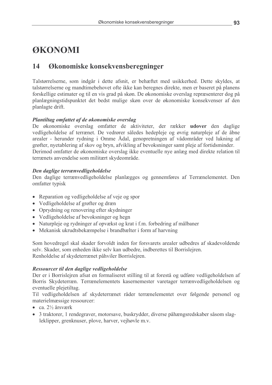# ØKONOMI

#### 14 Økonomiske konsekvensberegninger

Talstørrelserne, som indgår i dette afsnit, er behæftet med usikkerhed. Dette skyldes, at talstørrelserne og mandtimebehovet ofte ikke kan beregnes direkte, men er baseret på planens forskellige estimater og til en vis grad på skøn. De økonomiske overslag repræsenterer dog på planlægningstidspunktet det bedst mulige skøn over de økonomiske konsekvenser af den planlagte drift.

#### Plantiltag omfattet af de økonomiske overslag

De økonomiske overslag omfatter de aktiviteter, der rækker udover den daglige vedligeholdelse af terrænet. De vedrører således hedepleje og øvrig naturpleje af de åbne arealer - herunder rydning i Omme Ådal, genopretningen af vådområder ved lukning af grøfter, nyetablering af skov og bryn, afvikling af bevoksninger samt pleje af fortidsminder. Derimod omfatter de økonomiske overslag ikke eventuelle nye anlæg med direkte relation til terrænets anvendelse som militært skydeområde.

#### Den daglige terrænvedligeholdelse

Den daglige terrænvedligeholdelse planlægges og gennemføres af Terrænelementet. Den omfatter typisk

- Reparation og vedligeholdelse af veje og spor
- Vedligeholdelse af grøfter og dræn
- Oprydning og renovering efter skydninger
- Vedligeholdelse af bevoksninger og hegn
- Naturpleje og rydninger af opvækst og krat i f.m. forbedring af målbaner
- Mekanisk ukrudtsbekæmpelse i brandbælter i form af harvning

Som hovedregel skal skader forvoldt inden for forsvarets arealer udbedres af skadevoldende selv. Skader, som enheden ikke selv kan udbedre, indberettes til Borrislejren. Renholdelse af skydeterrænet påhviler Borrislejren.

#### Ressourcer til den daglige vedligeholdelse

Der er i Borrislejren afsat en formaliseret stilling til at forestå og udføre vedligeholdelsen af Borris Skydeterræn. Terrænelementets kasernemester varetager terrænvedligeholdelsen og eventuelle plejetiltag.

Til vedligeholdelsen af skydeterrænet råder terrænelementet over følgende personel og materielmæssige ressourcer:

- ca.  $2\frac{1}{2}$  årsværk
- 3 traktorer, 1 rendegraver, motorsave, buskrydder, diverse påhængsredskaber såsom slagleklipper, grenknuser, plove, harver, vejhøvle m.v.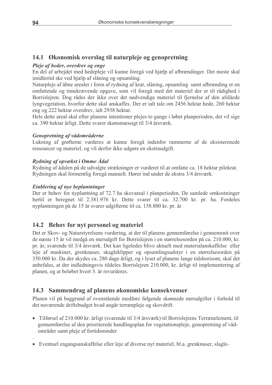# 14.1 Økonomisk overslag til naturpleje og genopretning

## Pleje af heder, overdrev og enge

En del af arbejdet med hedepleje vil kunne foregå ved hjælp af afbrændinger. Det meste skal imidlertid ske ved hiælp af slåning og opsamling.

Naturpleje af åbne arealer i form af rydning af krat, slåning, opsamling samt afbrænding er en omfattende og timekrævende opgave, som vil foregå med det materiel der er til rådighed i Borrislejren. Dog rådes der ikke over det nødvendige materiel til fjernelse af den afslåede lyngvegetation, hvorfor dette skal anskaffes. Der er ialt tale om 2456 hektar hede, 260 hektar eng og 222 hektar overdrev, ialt 2938 hektar.

Hele dette areal skal efter planens intentioner plejes to gange i løbet planperioden, det vil sige ca. 390 hektar årligt. Dette svarer skønsmæssigt til 3/4 årsværk.

### Genopretning af vådområderne

Lukning af grøfterne vurderes at kunne foregå indenfor rammerne af de eksisterenede ressourcer og materiel, og vil derfor ikke udgøre en ekstraudgift.

### Rydning af opvækst i Omme Ådal

Rydning af ådalen på de udvalgte strækninger er vurderet til at omfatte ca. 18 hektar pilekrat. Rydningen skal formentlig foregå manuelt. Hører ind under de ekstra 3/4 årsværk.

#### Etablering af nye beplantninger

Der er behov for nyplantning af 72.7 ha skovareal i planperioden. De samlede omkostninger hertil er beregnet til 2.381.976 kr. Dette svarer til ca. 32.700 kr. pr. ha. Fordeles nyplantningen på de 15 år svarer udgifterne til ca. 158.800 kr. pr. år

# 14.2 Behov for nyt personel og materiel

Det er Skov- og Naturstyrelsens vurdering, at der til planens gennemførelse i gennemsnit over de næste 15 år vil medgå en merudgift for Borrislejren i en størrelsesorden på ca. 210.000, kr. pr. år, svarende til 3/4 årsværk. Det kan ligeledes blive aktuelt med materialanskaffelse eller leje af maskiner, grenknuser, skagleklipper og opsamlingsudstyr i en størrelsesorden på 350.000 kr. Da der skydes ca. 280 dage årligt, og i lyset af planens lange tidshorisont, skal det anbefales, at der indledningsvis tildeles Borrislejren 210.000, kr. årligt til implementering af planen, og at beløbet hvert 3. år revurderes.

# 14.3 Sammendrag af planens økonomiske konsekvenser

Planen vil på baggrund af ovenstående medføre følgende skønnede merudgifter i forhold til det nuværende driftsbudget hvad angår terrænpleje og skovdrift.

- Tilførsel af 210.000 kr. årligt (svarende til 3/4 årsværk) til Borrislejrens Terrænelement, til gennemførelse af den prioriterede handlingsplan for vegetationspleje, genopretning af vådområder samt pleje af fortidsminder
- Eventuel engangsanskaffelse eller leje af diverse nyt materiel, bl.a. grenknuser, slagle-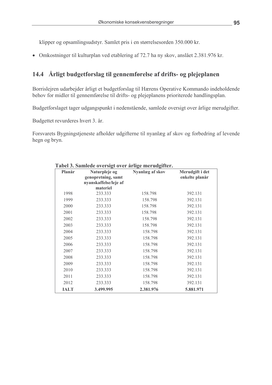klipper og opsamlingsudstyr. Samlet pris i en størrelsesorden 350.000 kr.

• Omkostninger til kulturplan ved etablering af 72.7 ha ny skov, anslået 2.381.976 kr.

# 14.4 Årligt budgetforslag til gennemførelse af drifts- og plejeplanen

Borrislejren udarbejder årligt et budgetforslag til Hærens Operative Kommando indeholdende behov for midler til gennemførelse til drifts- og plejeplanens prioriterede handlingsplan.

Budgetforslaget tager udgangspunkt i nedenstående, samlede oversigt over årlige merudgifter.

Budgettet revurderes hvert 3. år.

Forsvarets Bygningstjeneste afholder udgifterne til nyanlæg af skov og forbedring af levende hegn og bryn.

| Planår | Naturpleje og                               | Nyanlæg af skov | Merudgift i det |
|--------|---------------------------------------------|-----------------|-----------------|
|        | genopretning, samt<br>nyanskaffelse/leje af |                 | enkelte planår  |
|        | materiel                                    |                 |                 |
| 1998   | 233.333                                     | 158.798         | 392.131         |
| 1999   | 233.333                                     | 158.798         | 392.131         |
| 2000   | 233.333                                     | 158.798         | 392.131         |
| 2001   | 233.333                                     | 158.798         | 392.131         |
| 2002   | 233.333                                     | 158.798         | 392.131         |
| 2003   | 233.333                                     | 158.798         | 392.131         |
| 2004   | 233.333                                     | 158.798         | 392.131         |
| 2005   | 233.333                                     | 158.798         | 392.131         |
| 2006   | 233.333                                     | 158.798         | 392.131         |
| 2007   | 233.333                                     | 158.798         | 392.131         |
| 2008   | 233.333                                     | 158.798         | 392.131         |
| 2009   | 233.333                                     | 158.798         | 392.131         |
| 2010   | 233.333                                     | 158.798         | 392.131         |
| 2011   | 233.333                                     | 158.798         | 392.131         |
| 2012   | 233.333                                     | 158.798         | 392.131         |
| IALT   | 3.499.995                                   | 2.381.976       | 5.881.971       |

#### Tabel 3. Samlede oversigt over årlige merudgifter.